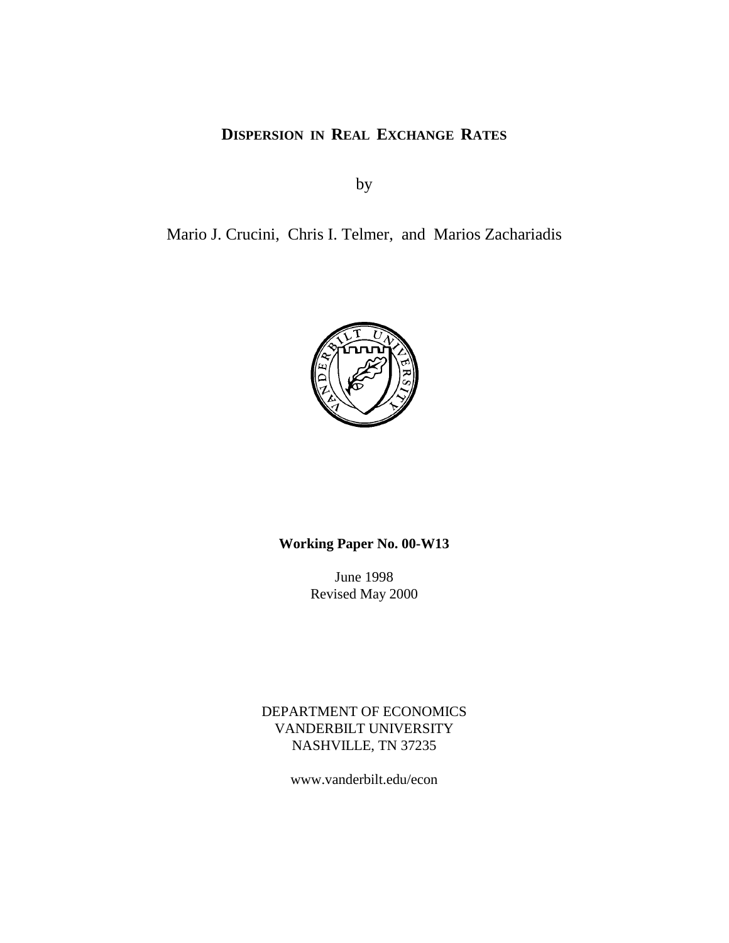## **DISPERSION IN REAL EXCHANGE RATES**

by

Mario J. Crucini, Chris I. Telmer, and Marios Zachariadis



## **Working Paper No. 00-W13**

June 1998 Revised May 2000

DEPARTMENT OF ECONOMICS VANDERBILT UNIVERSITY NASHVILLE, TN 37235

www.vanderbilt.edu/econ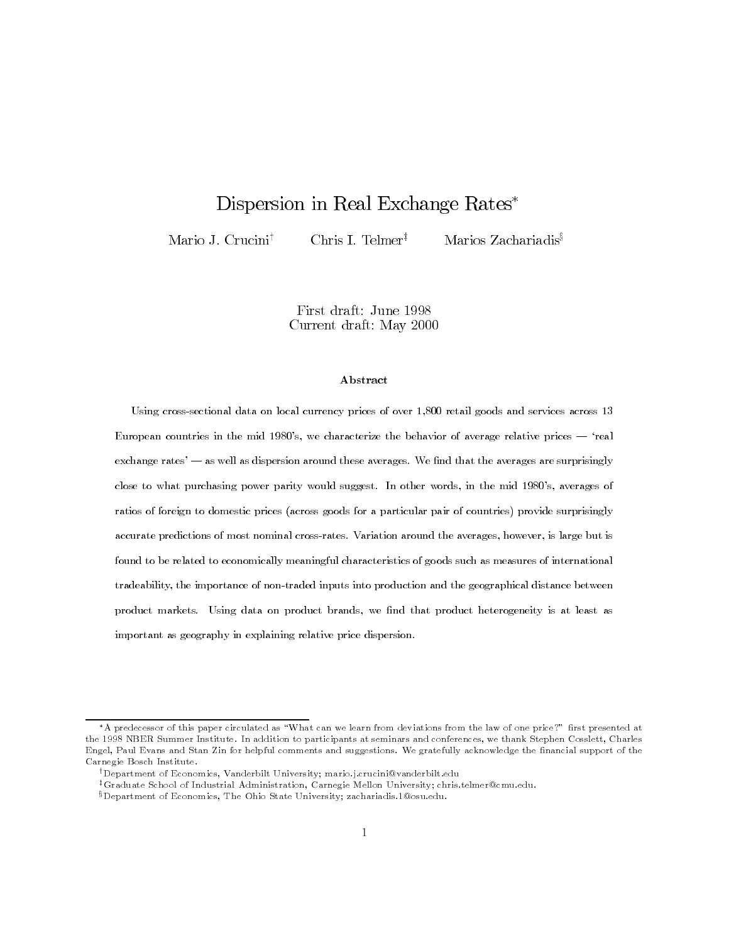# Dispersion in Real Exchange Rates\*

Mario J. Crucini<sup>†</sup>

Chris I. Telmer<sup>‡</sup>

Marios Zachariadis<sup>§</sup>

First draft: June 1998 Current draft: May 2000

### Abstract

Using cross-sectional data on local currency prices of over 1,800 retail goods and services across 13 European countries in the mid 1980's, we characterize the behavior of average relative prices — 'real exchange rates' — as well as dispersion around these averages. We find that the averages are surprisingly close to what purchasing power parity would suggest. In other words, in the mid 1980's, averages of ratios of foreign to domestic prices (across goods for a particular pair of countries) provide surprisingly accurate predictions of most nominal cross-rates. Variation around the averages, however, is large but is found to be related to economically meaningful characteristics of goods such as measures of international tradeability, the importance of non-traded inputs into production and the geographical distance between product markets. Using data on product brands, we find that product heterogeneity is at least as important as geography in explaining relative price dispersion.

<sup>\*</sup>A predecessor of this paper circulated as "What can we learn from deviations from the law of one price?" first presented at the 1998 NBER Summer Institute. In addition to participants at seminars and conferences, we thank Stephen Cosslett, Charles Engel, Paul Evans and Stan Zin for helpful comments and suggestions. We gratefully acknowledge the financial support of the Carnegie Bosch Institute.

<sup>&</sup>lt;sup>†</sup>Department of Economics, Vanderbilt University; mario.j.crucini@vanderbilt.edu

<sup>&</sup>lt;sup>‡</sup>Graduate School of Industrial Administration, Carnegie Mellon University; chris.telmer@cmu.edu.

<sup>&</sup>lt;sup>§</sup>Department of Economics, The Ohio State University; zachariadis 1@osu.edu.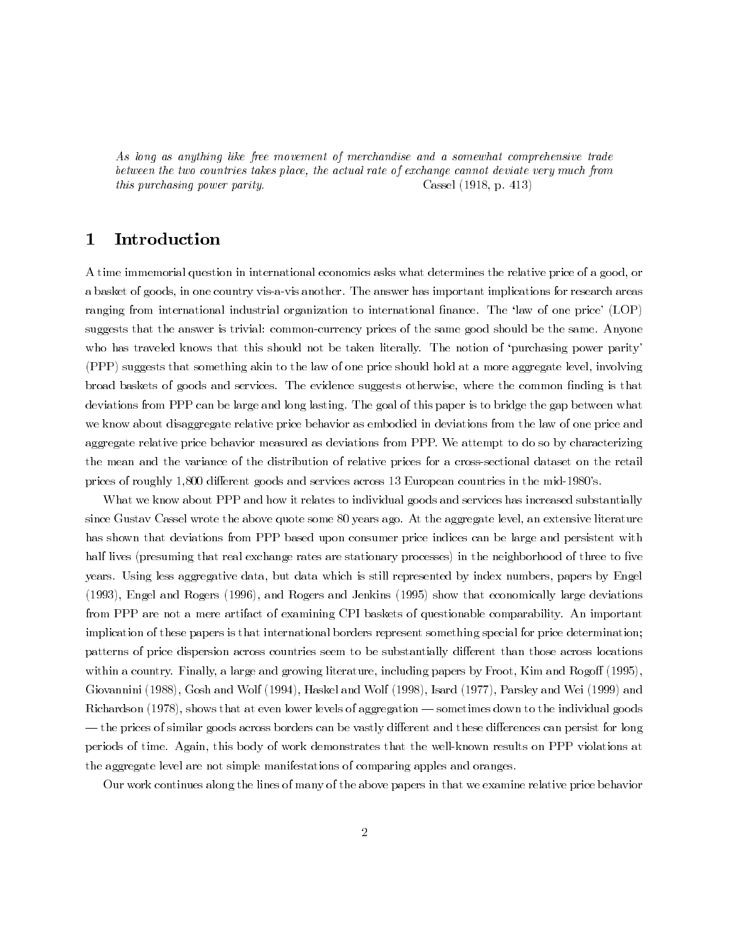As long as anything like free movement of merchandise and a somewhat comprehensive trade between the two countries takes place, the actual rate of exchange cannot deviate very much from this purchasing power parity. Cassel  $(1918, p. 413)$ 

#### 1 Introduction

A time immemorial question in international economics asks what determines the relative price of a good, or a basket of goods, in one country vis-a-vis another. The answer has important implications for research areas ranging from international industrial organization to international finance. The 'law of one price' (LOP) suggests that the answer is trivial: common-currency prices of the same good should be the same. Anyone who has traveled knows that this should not be taken literally. The notion of 'purchasing power parity' (PPP) suggests that something akin to the law of one price should hold at a more aggregate level, involving broad baskets of goods and services. The evidence suggests otherwise, where the common finding is that deviations from PPP can be large and long lasting. The goal of this paper is to bridge the gap between what we know about disaggregate relative price behavior as embodied in deviations from the law of one price and aggregate relative price behavior measured as deviations from PPP. We attempt to do so by characterizing the mean and the variance of the distribution of relative prices for a cross-sectional dataset on the retail prices of roughly 1,800 different goods and services across 13 European countries in the mid-1980's.

What we know about PPP and how it relates to individual goods and services has increased substantially since Gustav Cassel wrote the above quote some 80 years ago. At the aggregate level, an extensive literature has shown that deviations from PPP based upon consumer price indices can be large and persistent with half lives (presuming that real exchange rates are stationary processes) in the neighborhood of three to five years. Using less aggregative data, but data which is still represented by index numbers, papers by Engel (1993), Engel and Rogers (1996), and Rogers and Jenkins (1995) show that economically large deviations from PPP are not a mere artifact of examining CPI baskets of questionable comparability. An important implication of these papers is that international borders represent something special for price determination; patterns of price dispersion across countries seem to be substantially different than those across locations within a country. Finally, a large and growing literature, including papers by Froot, Kim and Rogoff (1995), Giovannini (1988), Gosh and Wolf (1994), Haskel and Wolf (1998), Isard (1977), Parsley and Wei (1999) and Richardson (1978), shows that at even lower levels of aggregation — sometimes down to the individual goods - the prices of similar goods across borders can be vastly different and these differences can persist for long periods of time. Again, this body of work demonstrates that the well-known results on PPP violations at the aggregate level are not simple manifestations of comparing apples and oranges.

Our work continues along the lines of many of the above papers in that we examine relative price behavior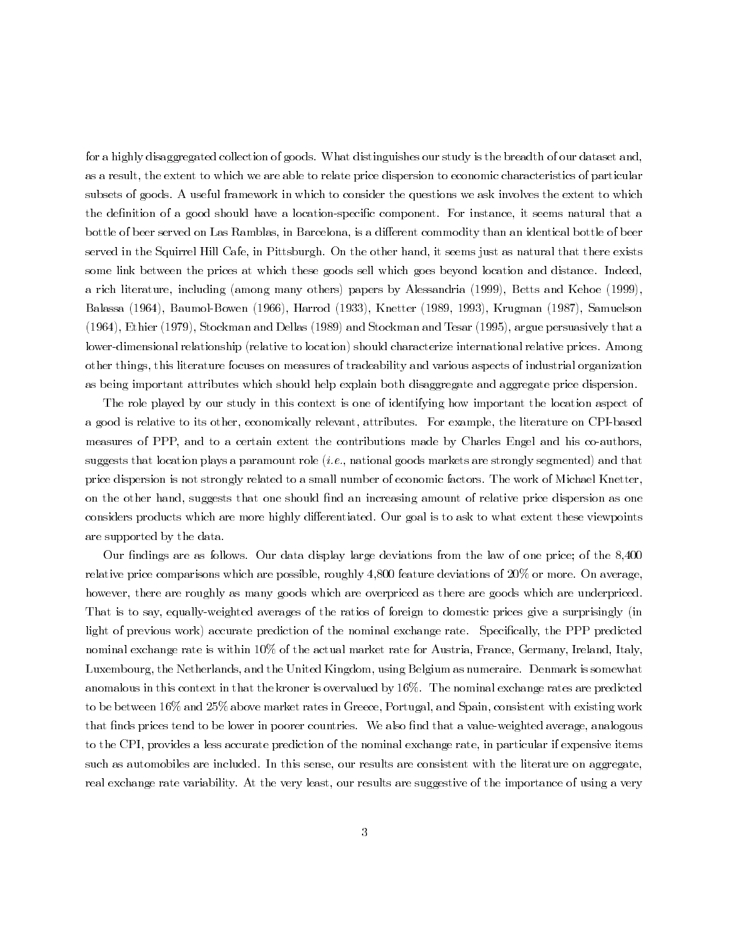for a highly disaggregated collection of goods. What distinguishes our study is the breadth of our dataset and. as a result, the extent to which we are able to relate price dispersion to economic characteristics of particular subsets of goods. A useful framework in which to consider the questions we ask involves the extent to which the definition of a good should have a location-specific component. For instance, it seems natural that a bottle of beer served on Las Ramblas, in Barcelona, is a different commodity than an identical bottle of beer served in the Squirrel Hill Cafe, in Pittsburgh. On the other hand, it seems just as natural that there exists some link between the prices at which these goods sell which goes beyond location and distance. Indeed, a rich literature, including (among many others) papers by Alessandria (1999), Betts and Kehoe (1999), Balassa (1964), Baumol-Bowen (1966), Harrod (1933), Knetter (1989, 1993), Krugman (1987), Samuelson (1964), Ethier (1979), Stockman and Dellas (1989) and Stockman and Tesar (1995), argue persuasively that a lower-dimensional relationship (relative to location) should characterize international relative prices. Among other things, this literature focuses on measures of tradeability and various aspects of industrial organization as being important attributes which should help explain both disaggregate and aggregate price dispersion.

The role played by our study in this context is one of identifying how important the location aspect of a good is relative to its other, economically relevant, attributes. For example, the literature on CPI-based measures of PPP, and to a certain extent the contributions made by Charles Engel and his co-authors. suggests that location plays a paramount role (*i.e.*, national goods markets are strongly segmented) and that price dispersion is not strongly related to a small number of economic factors. The work of Michael Knetter. on the other hand, suggests that one should find an increasing amount of relative price dispersion as one considers products which are more highly differentiated. Our goal is to ask to what extent these viewpoints are supported by the data.

Our findings are as follows. Our data display large deviations from the law of one price; of the 8,400 relative price comparisons which are possible, roughly 4,800 feature deviations of 20% or more. On average. however, there are roughly as many goods which are overpriced as there are goods which are underpriced. That is to say, equally-weighted averages of the ratios of foreign to domestic prices give a surprisingly (in light of previous work) accurate prediction of the nominal exchange rate. Specifically, the PPP predicted nominal exchange rate is within 10% of the actual market rate for Austria, France, Germany, Ireland, Italy, Luxembourg, the Netherlands, and the United Kingdom, using Belgium as numeraire. Denmark is somewhat anomalous in this context in that the kroner is overvalued by 16%. The nominal exchange rates are predicted to be between 16% and 25% above market rates in Greece, Portugal, and Spain, consistent with existing work that finds prices tend to be lower in poorer countries. We also find that a value-weighted average, analogous to the CPI, provides a less accurate prediction of the nominal exchange rate, in particular if expensive items such as automobiles are included. In this sense, our results are consistent with the literature on aggregate, real exchange rate variability. At the very least, our results are suggestive of the importance of using a very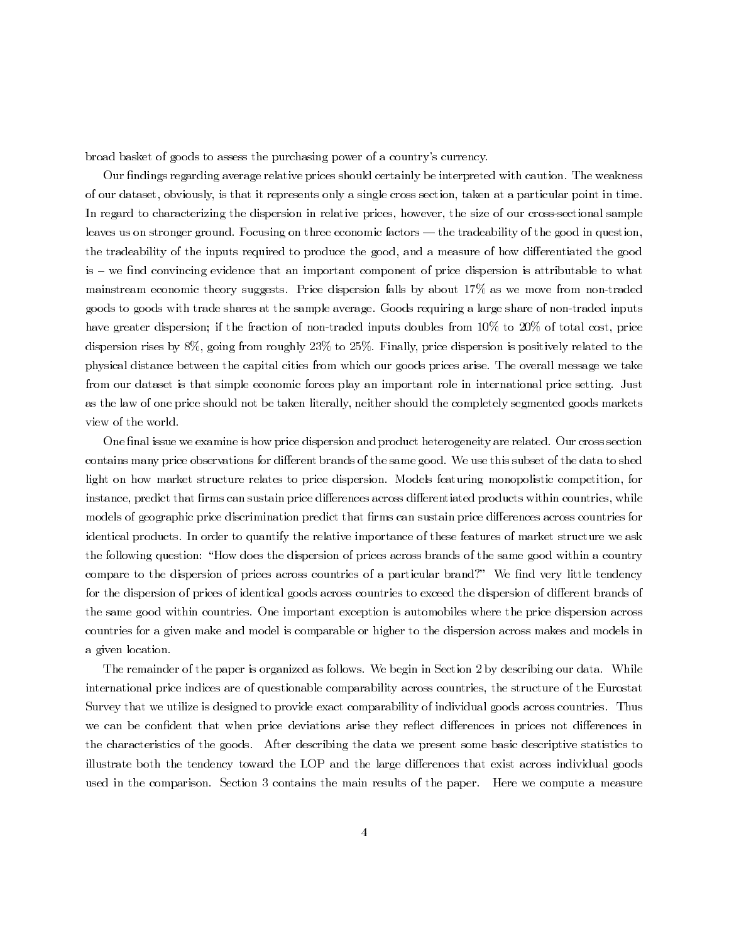broad basket of goods to assess the purchasing power of a country's currency.

Our findings regarding average relative prices should certainly be interpreted with caution. The weakness of our dataset, obviously, is that it represents only a single cross section, taken at a particular point in time. In regard to characterizing the dispersion in relative prices, however, the size of our cross-sectional sample leaves us on stronger ground. Focusing on three economic factors  $-$  the tradeability of the good in question, the tradeability of the inputs required to produce the good, and a measure of how differentiated the good is – we find convincing evidence that an important component of price dispersion is attributable to what mainstream economic theory suggests. Price dispersion falls by about 17% as we move from non-traded goods to goods with trade shares at the sample average. Goods requiring a large share of non-traded inputs have greater dispersion; if the fraction of non-traded inputs doubles from 10% to 20% of total cost, price dispersion rises by  $8\%$ , going from roughly  $23\%$  to  $25\%$ . Finally, price dispersion is positively related to the physical distance between the capital cities from which our goods prices arise. The overall message we take from our dataset is that simple economic forces play an important role in international price setting. Just as the law of one price should not be taken literally, neither should the completely segmented goods markets view of the world.

One final issue we examine is how price dispersion and product heterogeneity are related. Our cross section contains many price observations for different brands of the same good. We use this subset of the data to shed light on how market structure relates to price dispersion. Models featuring monopolistic competition, for instance, predict that firms can sustain price differences across differentiated products within countries, while models of geographic price discrimination predict that firms can sustain price differences across countries for identical products. In order to quantify the relative importance of these features of market structure we ask the following question: "How does the dispersion of prices across brands of the same good within a country compare to the dispersion of prices across countries of a particular brand?" We find very little tendency for the dispersion of prices of identical goods across countries to exceed the dispersion of different brands of the same good within countries. One important exception is automobiles where the price dispersion across countries for a given make and model is comparable or higher to the dispersion across makes and models in a given location.

The remainder of the paper is organized as follows. We begin in Section 2 by describing our data. While international price indices are of questionable comparability across countries, the structure of the Eurostat Survey that we utilize is designed to provide exact comparability of individual goods across countries. Thus we can be confident that when price deviations arise they reflect differences in prices not differences in the characteristics of the goods. After describing the data we present some basic descriptive statistics to illustrate both the tendency toward the LOP and the large differences that exist across individual goods used in the comparison. Section 3 contains the main results of the paper. Here we compute a measure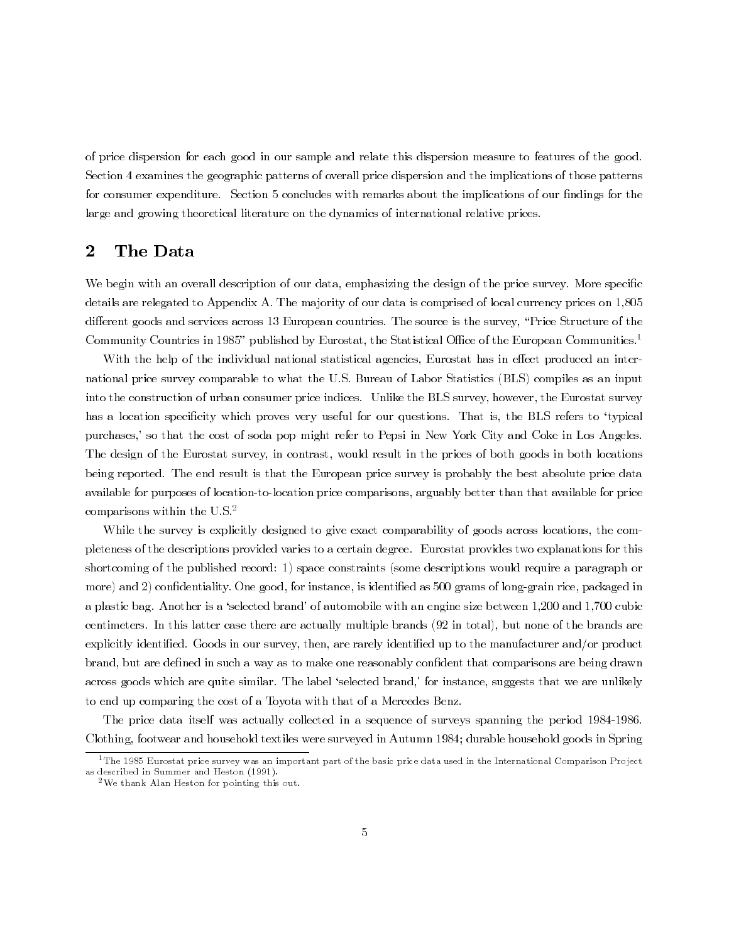of price dispersion for each good in our sample and relate this dispersion measure to features of the good. Section 4 examines the geographic patterns of overall price dispersion and the implications of those patterns for consumer expenditure. Section 5 concludes with remarks about the implications of our findings for the large and growing theoretical literature on the dynamics of international relative prices.

#### $\overline{2}$ The Data

We begin with an overall description of our data, emphasizing the design of the price survey. More specific details are relegated to Appendix A. The majority of our data is comprised of local currency prices on 1,805 different goods and services across 13 European countries. The source is the survey, "Price Structure of the Community Countries in 1985" published by Eurostat, the Statistical Office of the European Communities.<sup>1</sup>

With the help of the individual national statistical agencies, Eurostat has in effect produced an international price survey comparable to what the U.S. Bureau of Labor Statistics (BLS) compiles as an input into the construction of urban consumer price indices. Unlike the BLS survey, however, the Eurostat survey has a location specificity which proves very useful for our questions. That is, the BLS refers to 'typical purchases,' so that the cost of soda pop might refer to Pepsi in New York City and Coke in Los Angeles. The design of the Eurostat survey, in contrast, would result in the prices of both goods in both locations being reported. The end result is that the European price survey is probably the best absolute price data available for purposes of location-to-location price comparisons, arguably better than that available for price comparisons within the U.S. $2$ 

While the survey is explicitly designed to give exact comparability of goods across locations, the completeness of the descriptions provided varies to a certain degree. Eurostat provides two explanations for this shortcoming of the published record: 1) space constraints (some descriptions would require a paragraph or more) and 2) confidentiality. One good, for instance, is identified as 500 grams of long-grain rice, packaged in a plastic bag. Another is a 'selected brand' of automobile with an engine size between 1,200 and 1,700 cubic centimeters. In this latter case there are actually multiple brands (92 in total), but none of the brands are explicitly identified. Goods in our survey, then, are rarely identified up to the manufacturer and/or product brand, but are defined in such a way as to make one reasonably confident that comparisons are being drawn across goods which are quite similar. The label 'selected brand,' for instance, suggests that we are unlikely to end up comparing the cost of a Toyota with that of a Mercedes Benz.

The price data itself was actually collected in a sequence of surveys spanning the period 1984-1986. Clothing, footwear and household textiles were surveyed in Autumn 1984; durable household goods in Spring

 $1$ The 1985 Eurostat price survey was an important part of the basic price data used in the International Comparison Project as described in Summer and Heston (1991).

<sup>&</sup>lt;sup>2</sup>We thank Alan Heston for pointing this out.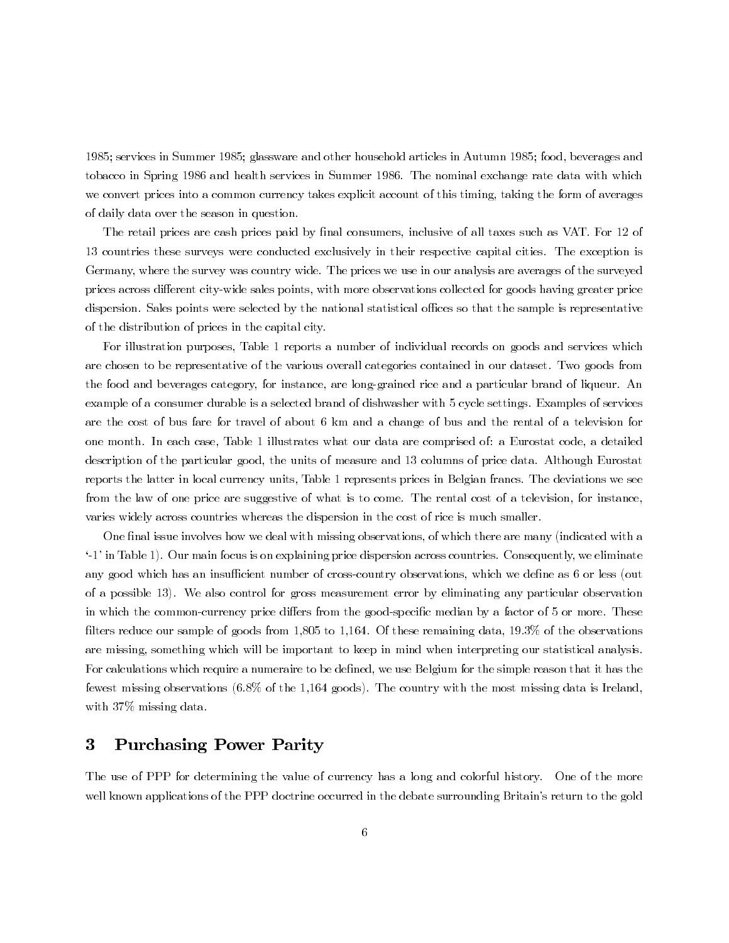1985; services in Summer 1985; glassware and other household articles in Autumn 1985; food, beverages and tobacco in Spring 1986 and health services in Summer 1986. The nominal exchange rate data with which we convert prices into a common currency takes explicit account of this timing, taking the form of averages of daily data over the season in question.

The retail prices are cash prices paid by final consumers, inclusive of all taxes such as VAT. For 12 of 13 countries these surveys were conducted exclusively in their respective capital cities. The exception is Germany, where the survey was country wide. The prices we use in our analysis are averages of the surveyed prices across different city-wide sales points, with more observations collected for goods having greater price dispersion. Sales points were selected by the national statistical offices so that the sample is representative of the distribution of prices in the capital city.

For illustration purposes, Table 1 reports a number of individual records on goods and services which are chosen to be representative of the various overall categories contained in our dataset. Two goods from the food and beverages category, for instance, are long-grained rice and a particular brand of liqueur. An example of a consumer durable is a selected brand of dishwasher with 5 cycle settings. Examples of services are the cost of bus fare for travel of about 6 km and a change of bus and the rental of a television for one month. In each case, Table 1 illustrates what our data are comprised of: a Eurostat code, a detailed description of the particular good, the units of measure and 13 columns of price data. Although Eurostat reports the latter in local currency units, Table 1 represents prices in Belgian francs. The deviations we see from the law of one price are suggestive of what is to come. The rental cost of a television, for instance. varies widely across countries whereas the dispersion in the cost of rice is much smaller.

One final issue involves how we deal with missing observations, of which there are many (indicated with a '-1' in Table 1). Our main focus is on explaining price dispersion across countries. Consequently, we eliminate any good which has an insufficient number of cross-country observations, which we define as 6 or less (out of a possible 13). We also control for gross measurement error by eliminating any particular observation in which the common-currency price differs from the good-specific median by a factor of 5 or more. These filters reduce our sample of goods from 1,805 to 1,164. Of these remaining data,  $19.3\%$  of the observations are missing, something which will be important to keep in mind when interpreting our statistical analysis. For calculations which require a numeraire to be defined, we use Belgium for the simple reason that it has the fewest missing observations (6.8% of the 1,164 goods). The country with the most missing data is Ireland. with 37% missing data.

#### **Purchasing Power Parity** 3

The use of PPP for determining the value of currency has a long and colorful history. One of the more well known applications of the PPP doctrine occurred in the debate surrounding Britain's return to the gold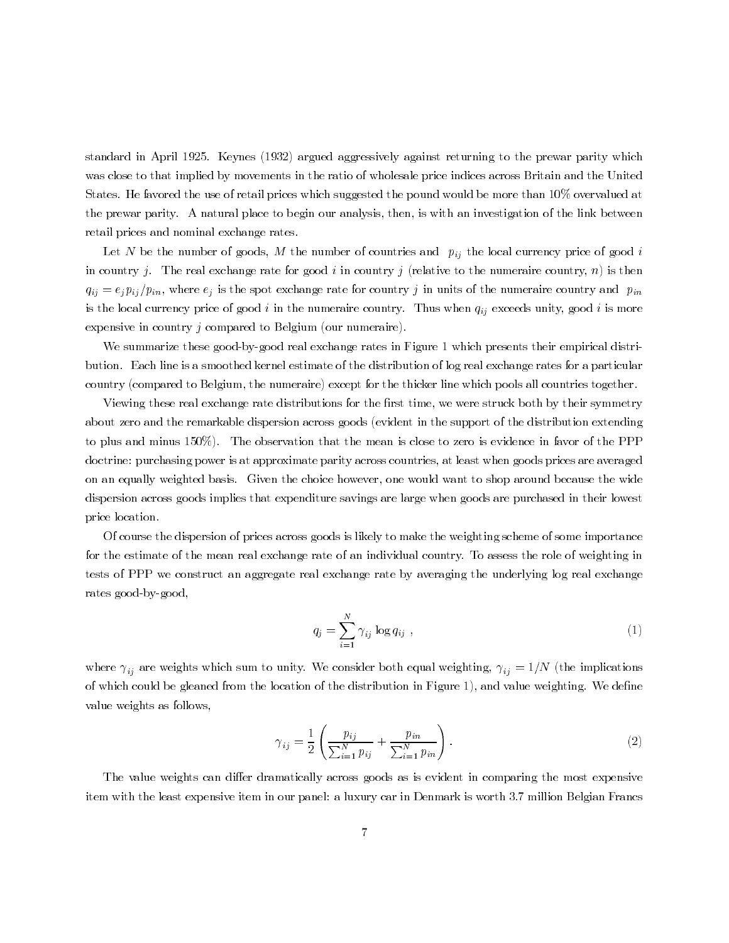standard in April 1925. Keynes (1932) argued aggressively against returning to the prewar parity which was close to that implied by movements in the ratio of wholesale price indices across Britain and the United States. He favored the use of retail prices which suggested the pound would be more than 10% overvalued at the prewar parity. A natural place to begin our analysis, then, is with an investigation of the link between retail prices and nominal exchange rates.

Let N be the number of goods, M the number of countries and  $p_{ij}$  the local currency price of good i in country j. The real exchange rate for good i in country j (relative to the numeraire country, n) is then  $q_{ij} = e_j p_{ij}/p_{in}$ , where  $e_j$  is the spot exchange rate for country j in units of the numeraire country and  $p_{in}$ is the local currency price of good i in the numeraire country. Thus when  $q_{ij}$  exceeds unity, good i is more expensive in country  $j$  compared to Belgium (our numeraire).

We summarize these good-by-good real exchange rates in Figure 1 which presents their empirical distribution. Each line is a smoothed kernel estimate of the distribution of log real exchange rates for a particular country (compared to Belgium, the numeraire) except for the thicker line which pools all countries together.

Viewing these real exchange rate distributions for the first time, we were struck both by their symmetry about zero and the remarkable dispersion across goods (evident in the support of the distribution extending to plus and minus 150%). The observation that the mean is close to zero is evidence in favor of the PPP doctrine: purchasing power is at approximate parity across countries, at least when goods prices are averaged on an equally weighted basis. Given the choice however, one would want to shop around because the wide dispersion across goods implies that expenditure savings are large when goods are purchased in their lowest price location.

Of course the dispersion of prices across goods is likely to make the weighting scheme of some importance for the estimate of the mean real exchange rate of an individual country. To assess the role of weighting in tests of PPP we construct an aggregate real exchange rate by averaging the underlying log real exchange rates good-by-good,

$$
q_j = \sum_{i=1}^{N} \gamma_{ij} \log q_{ij} \tag{1}
$$

where  $\gamma_{ij}$  are weights which sum to unity. We consider both equal weighting,  $\gamma_{ij} = 1/N$  (the implications of which could be gleaned from the location of the distribution in Figure 1), and value weighting. We define value weights as follows,

$$
\gamma_{ij} = \frac{1}{2} \left( \frac{p_{ij}}{\sum_{i=1}^{N} p_{ij}} + \frac{p_{in}}{\sum_{i=1}^{N} p_{in}} \right).
$$
 (2)

The value weights can differ dramatically across goods as is evident in comparing the most expensive item with the least expensive item in our panel: a luxury car in Denmark is worth 3.7 million Belgian Francs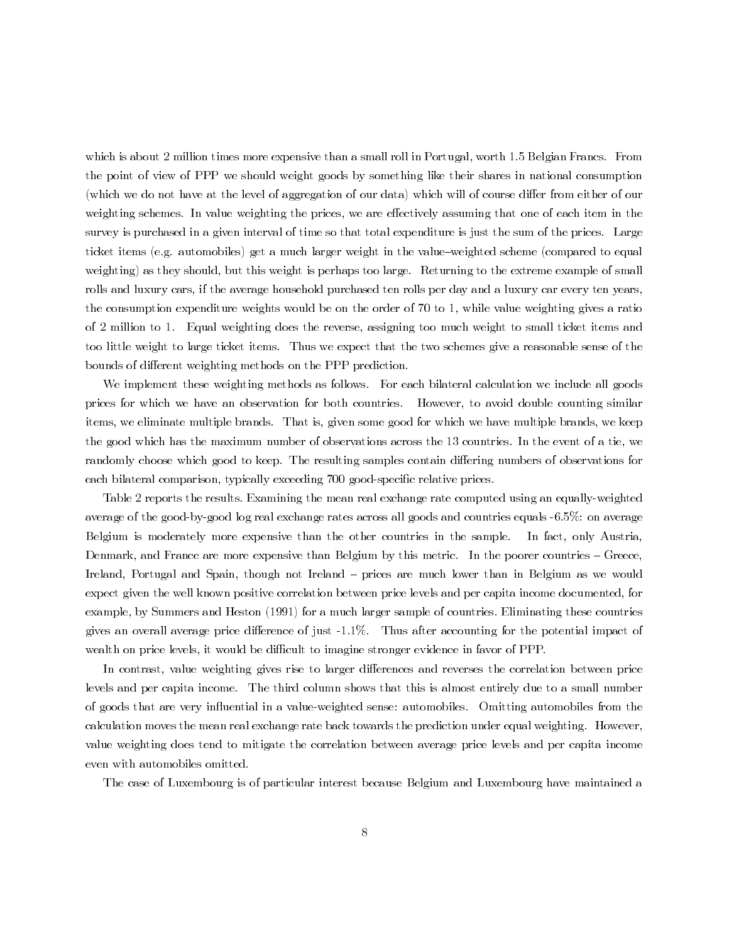which is about 2 million times more expensive than a small roll in Portugal, worth 1.5 Belgian Francs. From the point of view of PPP we should weight goods by something like their shares in national consumption (which we do not have at the level of aggregation of our data) which will of course differ from either of our weighting schemes. In value weighting the prices, we are effectively assuming that one of each item in the survey is purchased in a given interval of time so that total expenditure is just the sum of the prices. Large ticket items (e.g. automobiles) get a much larger weight in the value-weighted scheme (compared to equal weighting) as they should, but this weight is perhaps too large. Returning to the extreme example of small rolls and luxury cars, if the average household purchased ten rolls per day and a luxury car every ten years, the consumption expenditure weights would be on the order of 70 to 1, while value weighting gives a ratio of 2 million to 1. Equal weighting does the reverse, assigning too much weight to small ticket items and too little weight to large ticket items. Thus we expect that the two schemes give a reasonable sense of the bounds of different weighting methods on the PPP prediction.

We implement these weighting methods as follows. For each bilateral calculation we include all goods prices for which we have an observation for both countries. However, to avoid double counting similar items, we eliminate multiple brands. That is, given some good for which we have multiple brands, we keep the good which has the maximum number of observations across the 13 countries. In the event of a tie, we randomly choose which good to keep. The resulting samples contain differing numbers of observations for each bilateral comparison, typically exceeding 700 good-specific relative prices.

Table 2 reports the results. Examining the mean real exchange rate computed using an equally-weighted average of the good-by-good log real exchange rates across all goods and countries equals -6.5%: on average Belgium is moderately more expensive than the other countries in the sample. In fact, only Austria, Denmark, and France are more expensive than Belgium by this metric. In the poorer countries – Greece, Ireland, Portugal and Spain, though not Ireland – prices are much lower than in Belgium as we would expect given the well known positive correlation between price levels and per capita income documented, for example, by Summers and Heston (1991) for a much larger sample of countries. Eliminating these countries gives an overall average price difference of just -1.1%. Thus after accounting for the potential impact of wealth on price levels, it would be difficult to imagine stronger evidence in favor of PPP.

In contrast, value weighting gives rise to larger differences and reverses the correlation between price levels and per capita income. The third column shows that this is almost entirely due to a small number of goods that are very influential in a value-weighted sense: automobiles. Omitting automobiles from the calculation moves the mean real exchange rate back towards the prediction under equal weighting. However, value weighting does tend to mitigate the correlation between average price levels and per capita income even with automobiles omitted.

The case of Luxembourg is of particular interest because Belgium and Luxembourg have maintained a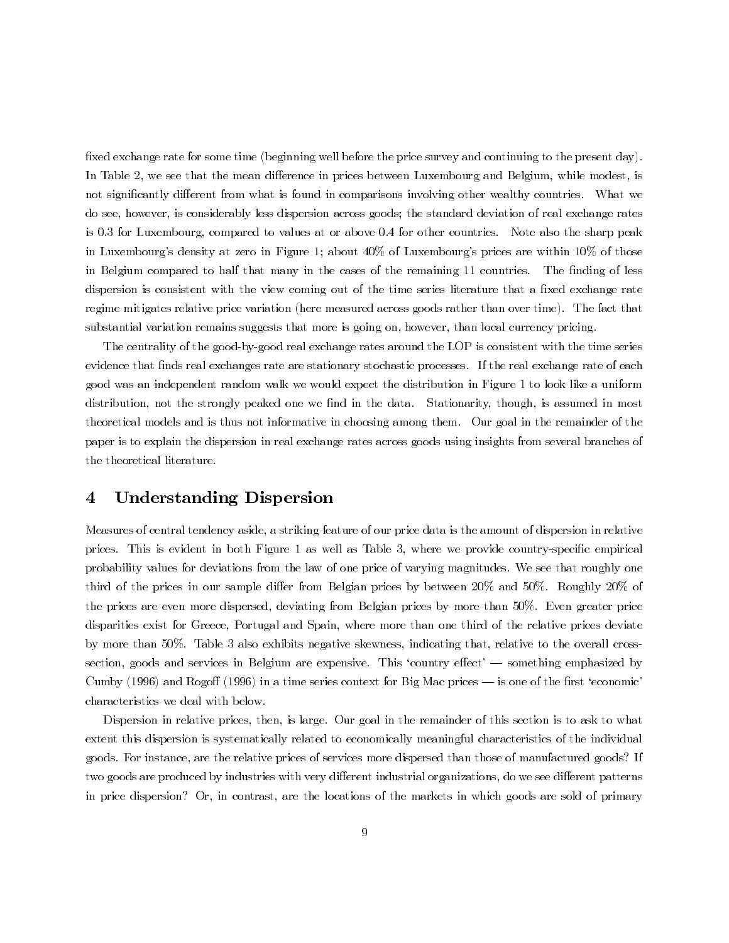fixed exchange rate for some time (beginning well before the price survey and continuing to the present day). In Table 2, we see that the mean difference in prices between Luxembourg and Belgium, while modest, is not significantly different from what is found in comparisons involving other wealthy countries. What we do see, however, is considerably less dispersion across goods; the standard deviation of real exchange rates is 0.3 for Luxembourg, compared to values at or above 0.4 for other countries. Note also the sharp peak in Luxembourg's density at zero in Figure 1; about 40% of Luxembourg's prices are within 10% of those in Belgium compared to half that many in the cases of the remaining 11 countries. The finding of less dispersion is consistent with the view coming out of the time series literature that a fixed exchange rate regime mitigates relative price variation (here measured across goods rather than over time). The fact that substantial variation remains suggests that more is going on, however, than local currency pricing.

The centrality of the good-by-good real exchange rates around the LOP is consistent with the time series evidence that finds real exchanges rate are stationary stochastic processes. If the real exchange rate of each good was an independent random walk we would expect the distribution in Figure 1 to look like a uniform distribution, not the strongly peaked one we find in the data. Stationarity, though, is assumed in most theoretical models and is thus not informative in choosing among them. Our goal in the remainder of the paper is to explain the dispersion in real exchange rates across goods using insights from several branches of the theoretical literature.

#### **Understanding Dispersion** 4

Measures of central tendency aside, a striking feature of our price data is the amount of dispersion in relative prices. This is evident in both Figure 1 as well as Table 3, where we provide country-specific empirical probability values for deviations from the law of one price of varying magnitudes. We see that roughly one third of the prices in our sample differ from Belgian prices by between  $20\%$  and  $50\%$ . Roughly  $20\%$  of the prices are even more dispersed, deviating from Belgian prices by more than 50%. Even greater price disparities exist for Greece, Portugal and Spain, where more than one third of the relative prices deviate by more than 50%. Table 3 also exhibits negative skewness, indicating that, relative to the overall crosssection, goods and services in Belgium are expensive. This 'country effect' — something emphasized by Cumby (1996) and Rogoff (1996) in a time series context for Big Mac prices  $-$  is one of the first 'economic' characteristics we deal with below.

Dispersion in relative prices, then, is large. Our goal in the remainder of this section is to ask to what extent this dispersion is systematically related to economically meaningful characteristics of the individual goods. For instance, are the relative prices of services more dispersed than those of manufactured goods? If two goods are produced by industries with very different industrial organizations, do we see different patterns in price dispersion? Or, in contrast, are the locations of the markets in which goods are sold of primary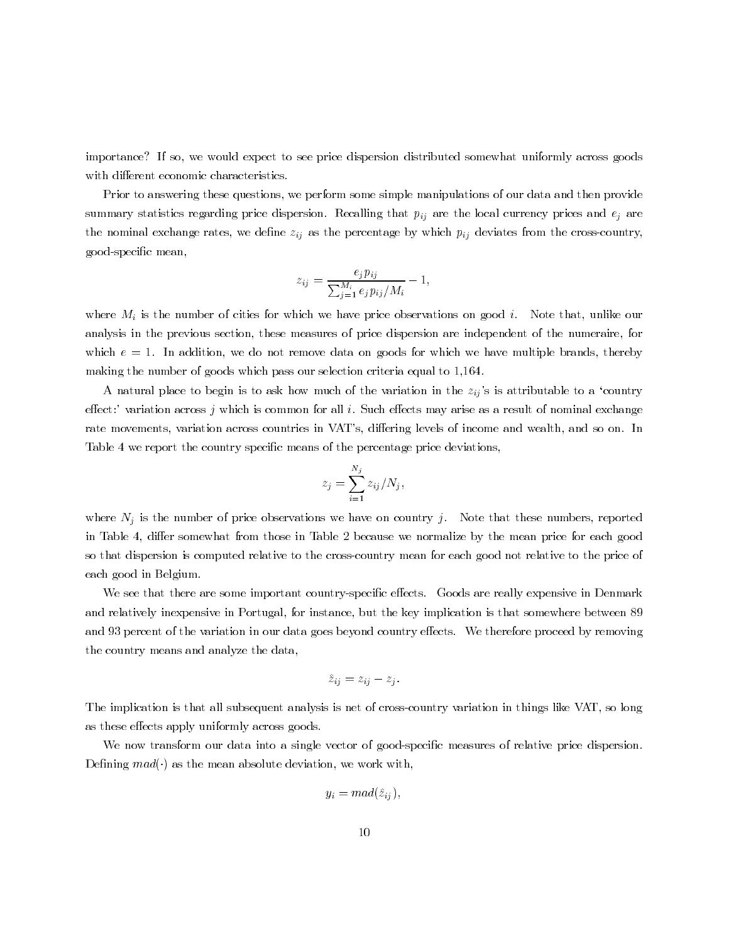importance? If so, we would expect to see price dispersion distributed somewhat uniformly across goods with different economic characteristics.

Prior to answering these questions, we perform some simple manipulations of our data and then provide summary statistics regarding price dispersion. Recalling that  $p_{ij}$  are the local currency prices and  $e_j$  are the nominal exchange rates, we define  $z_{ij}$  as the percentage by which  $p_{ij}$  deviates from the cross-country. good-specific mean,

$$
z_{ij} = \frac{e_j p_{ij}}{\sum_{j=1}^{M_i} e_j p_{ij}/M_i} - 1,
$$

where  $M_i$  is the number of cities for which we have price observations on good i. Note that, unlike our analysis in the previous section, these measures of price dispersion are independent of the numeraire, for which  $e = 1$ . In addition, we do not remove data on goods for which we have multiple brands, thereby making the number of goods which pass our selection criteria equal to 1,164.

A natural place to begin is to ask how much of the variation in the  $z_{ij}$ 's is attributable to a 'country effect:' variation across  $j$  which is common for all  $i$ . Such effects may arise as a result of nominal exchange rate movements, variation across countries in VAT's, differing levels of income and wealth, and so on. In Table 4 we report the country specific means of the percentage price deviations.

$$
z_j = \sum_{i=1}^{N_j} z_{ij} / N_j,
$$

where  $N_i$  is the number of price observations we have on country j. Note that these numbers, reported in Table 4, differ somewhat from those in Table 2 because we normalize by the mean price for each good so that dispersion is computed relative to the cross-country mean for each good not relative to the price of each good in Belgium.

We see that there are some important country-specific effects. Goods are really expensive in Denmark and relatively inexpensive in Portugal, for instance, but the key implication is that somewhere between 89 and 93 percent of the variation in our data goes beyond country effects. We therefore proceed by removing the country means and analyze the data,

$$
\hat{z}_{ij} = z_{ij} - z_j.
$$

The implication is that all subsequent analysis is net of cross-country variation in things like VAT, so long as these effects apply uniformly across goods.

We now transform our data into a single vector of good-specific measures of relative price dispersion. Defining  $mad()$  as the mean absolute deviation, we work with,

$$
y_i = mad(\hat{z}_{ij})
$$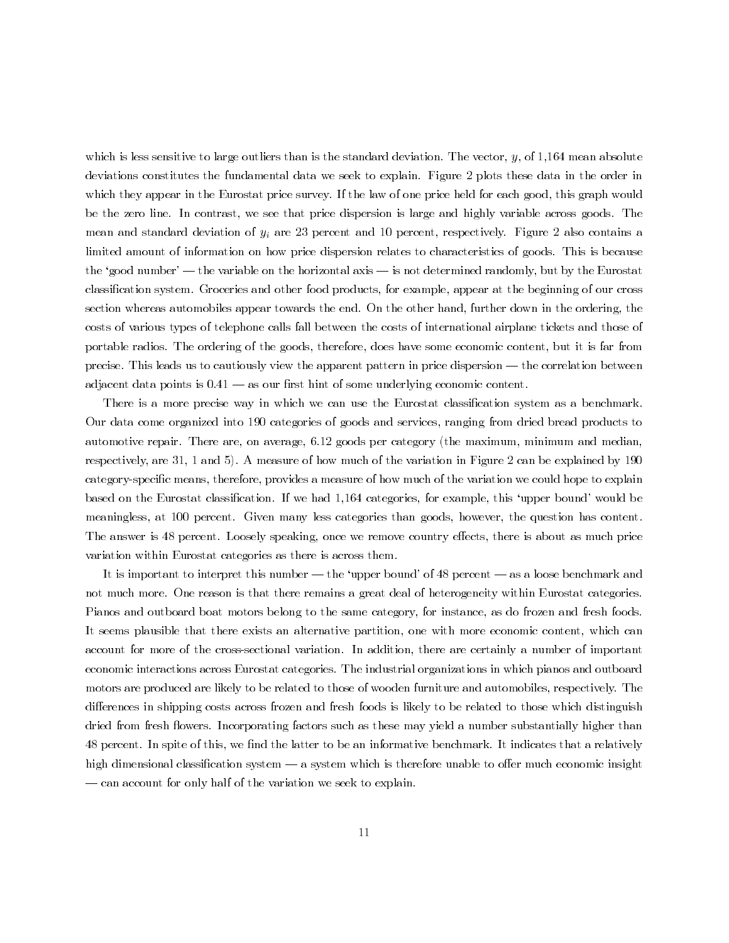which is less sensitive to large outliers than is the standard deviation. The vector,  $y$ , of 1,164 mean absolute deviations constitutes the fundamental data we seek to explain. Figure 2 plots these data in the order in which they appear in the Eurostat price survey. If the law of one price held for each good, this graph would be the zero line. In contrast, we see that price dispersion is large and highly variable across goods. The mean and standard deviation of  $y_i$  are 23 percent and 10 percent, respectively. Figure 2 also contains a limited amount of information on how price dispersion relates to characteristics of goods. This is because the 'good number' — the variable on the horizontal axis — is not determined randomly, but by the Eurostat classification system. Groceries and other food products, for example, appear at the beginning of our cross section whereas automobiles appear towards the end. On the other hand, further down in the ordering, the costs of various types of telephone calls fall between the costs of international airplane tickets and those of portable radios. The ordering of the goods, therefore, does have some economic content, but it is far from precise. This leads us to cautiously view the apparent pattern in price dispersion — the correlation between adjacent data points is  $0.41$  — as our first hint of some underlying economic content.

There is a more precise way in which we can use the Eurostat classification system as a benchmark. Our data come organized into 190 categories of goods and services, ranging from dried bread products to automotive repair. There are, on average, 6.12 goods per category (the maximum, minimum and median. respectively, are 31, 1 and 5). A measure of how much of the variation in Figure 2 can be explained by 190 category-specific means, therefore, provides a measure of how much of the variation we could hope to explain based on the Eurostat classification. If we had 1,164 categories, for example, this 'upper bound' would be meaningless, at 100 percent. Given many less categories than goods, however, the question has content. The answer is 48 percent. Loosely speaking, once we remove country effects, there is about as much price variation within Eurostat categories as there is across them.

It is important to interpret this number — the 'upper bound' of 48 percent — as a loose benchmark and not much more. One reason is that there remains a great deal of heterogeneity within Eurostat categories. Pianos and outboard boat motors belong to the same category, for instance, as do frozen and fresh foods. It seems plausible that there exists an alternative partition, one with more economic content, which can account for more of the cross-sectional variation. In addition, there are certainly a number of important economic interactions across Eurostat categories. The industrial organizations in which pianos and outboard motors are produced are likely to be related to those of wooden furniture and automobiles, respectively. The differences in shipping costs across frozen and fresh foods is likely to be related to those which distinguish dried from fresh flowers. Incorporating factors such as these may yield a number substantially higher than 48 percent. In spite of this, we find the latter to be an informative benchmark. It indicates that a relatively high dimensional classification system — a system which is therefore unable to offer much economic insight - can account for only half of the variation we seek to explain.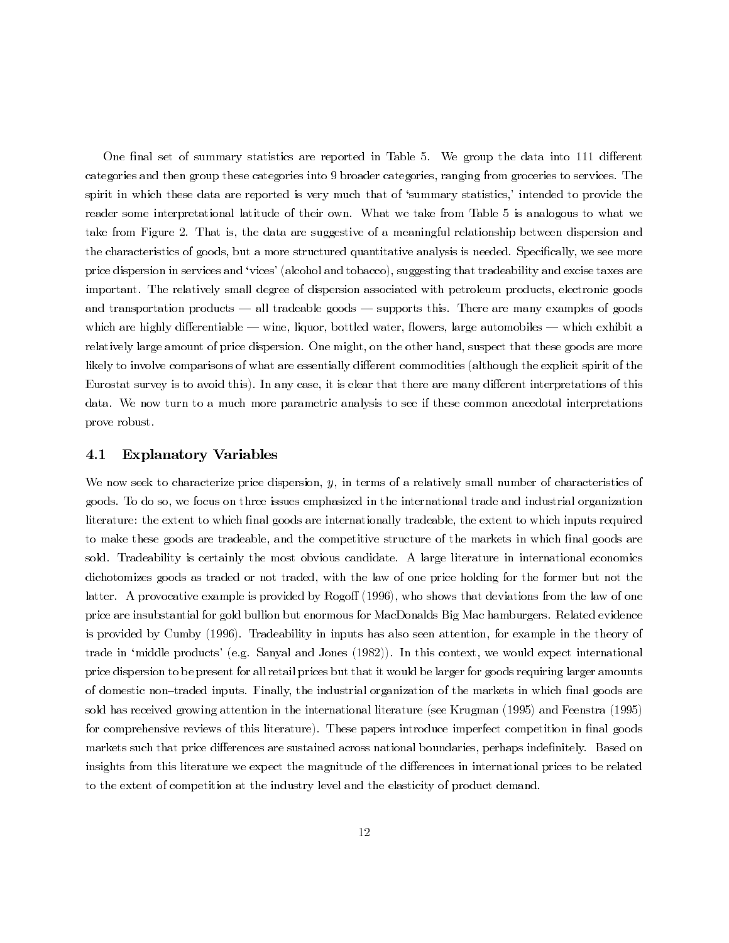One final set of summary statistics are reported in Table 5. We group the data into 111 different categories and then group these categories into 9 broader categories, ranging from groceries to services. The spirit in which these data are reported is very much that of 'summary statistics,' intended to provide the reader some interpretational latitude of their own. What we take from Table 5 is analogous to what we take from Figure 2. That is, the data are suggestive of a meaningful relationship between dispersion and the characteristics of goods, but a more structured quantitative analysis is needed. Specifically, we see more price dispersion in services and 'vices' (alcohol and tobacco), suggesting that tradeability and excise taxes are important. The relatively small degree of dispersion associated with petroleum products, electronic goods and transportation products  $-$  all tradeable goods  $-$  supports this. There are many examples of goods which are highly differentiable — wine, liquor, bottled water, flowers, large automobiles — which exhibit a relatively large amount of price dispersion. One might, on the other hand, suspect that these goods are more likely to involve comparisons of what are essentially different commodities (although the explicit spirit of the Eurostat survey is to avoid this). In any case, it is clear that there are many different interpretations of this data. We now turn to a much more parametric analysis to see if these common anecdotal interpretations prove robust.

#### **Explanatory Variables**  $4.1\,$

We now seek to characterize price dispersion,  $y$ , in terms of a relatively small number of characteristics of goods. To do so, we focus on three issues emphasized in the international trade and industrial organization literature: the extent to which final goods are internationally tradeable, the extent to which inputs required to make these goods are tradeable, and the competitive structure of the markets in which final goods are sold. Tradeability is certainly the most obvious candidate. A large literature in international economics dichotomizes goods as traded or not traded, with the law of one price holding for the former but not the latter. A provocative example is provided by Rogoff (1996), who shows that deviations from the law of one price are insubstantial for gold bullion but enormous for MacDonalds Big Mac hamburgers. Related evidence is provided by Cumby (1996). Tradeability in inputs has also seen attention, for example in the theory of trade in 'middle products' (e.g. Sanyal and Jones  $(1982)$ ). In this context, we would expect international price dispersion to be present for all retail prices but that it would be larger for goods requiring larger amounts of domestic non-traded inputs. Finally, the industrial organization of the markets in which final goods are sold has received growing attention in the international literature (see Krugman (1995) and Feenstra (1995) for comprehensive reviews of this literature). These papers introduce imperfect competition in final goods markets such that price differences are sustained across national boundaries, perhaps indefinitely. Based on insights from this literature we expect the magnitude of the differences in international prices to be related to the extent of competition at the industry level and the elasticity of product demand.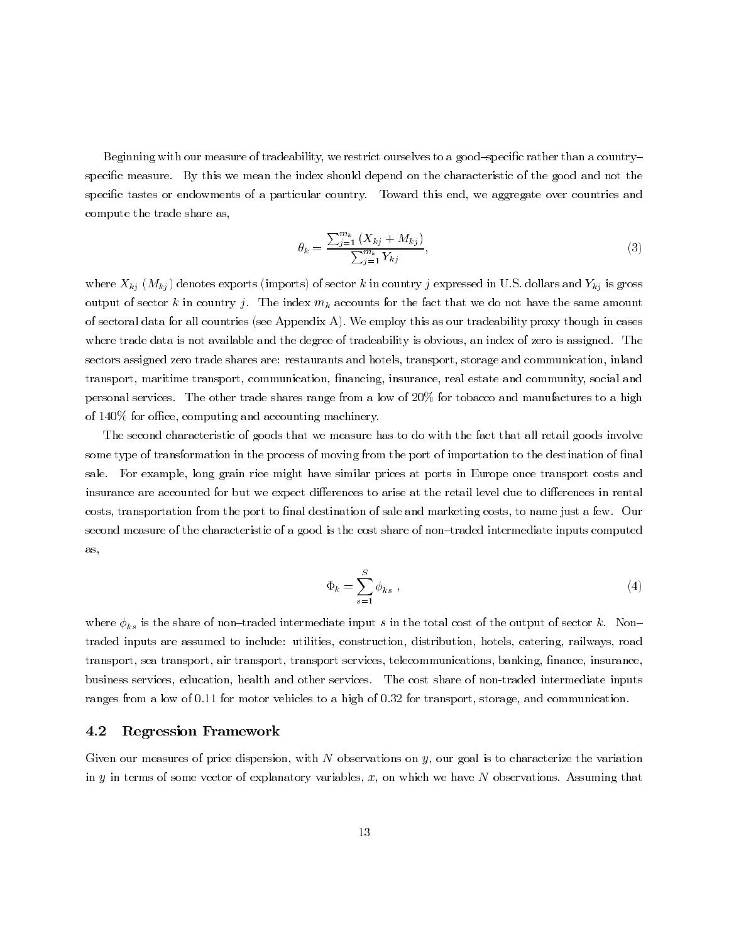Beginning with our measure of tradeability, we restrict ourselves to a good-specific rather than a countryspecific measure. By this we mean the index should depend on the characteristic of the good and not the specific tastes or endowments of a particular country. Toward this end, we aggregate over countries and compute the trade share as,

$$
\theta_k = \frac{\sum_{j=1}^{m_k} (X_{kj} + M_{kj})}{\sum_{j=1}^{m_k} Y_{kj}},
$$
\n(3)

where  $X_{kj}$   $(M_{kj})$  denotes exports (imports) of sector k in country j expressed in U.S. dollars and  $Y_{kj}$  is gross output of sector k in country j. The index  $m_k$  accounts for the fact that we do not have the same amount of sectoral data for all countries (see Appendix A). We employ this as our tradeability proxy though in cases where trade data is not available and the degree of tradeability is obvious, an index of zero is assigned. The sectors assigned zero trade shares are: restaurants and hotels, transport, storage and communication, inland transport, maritime transport, communication, financing, insurance, real estate and community, social and personal services. The other trade shares range from a low of 20% for tobacco and manufactures to a high of 140% for office, computing and accounting machinery.

The second characteristic of goods that we measure has to do with the fact that all retail goods involve some type of transformation in the process of moving from the port of importation to the destination of final sale. For example, long grain rice might have similar prices at ports in Europe once transport costs and insurance are accounted for but we expect differences to arise at the retail level due to differences in rental costs, transportation from the port to final destination of sale and marketing costs, to name just a few. Our second measure of the characteristic of a good is the cost share of non-traded intermediate inputs computed as,

$$
\Phi_k = \sum_{s=1}^{S} \phi_{ks} \tag{4}
$$

where  $\phi_{ks}$  is the share of non-traded intermediate input s in the total cost of the output of sector k. Nontraded inputs are assumed to include: utilities, construction, distribution, hotels, catering, railways, road transport, sea transport, air transport, transport services, telecommunications, banking, finance, insurance, business services, education, health and other services. The cost share of non-traded intermediate inputs ranges from a low of 0.11 for motor vehicles to a high of 0.32 for transport, storage, and communication.

#### $4.2$ **Regression Framework**

Given our measures of price dispersion, with  $N$  observations on  $y$ , our goal is to characterize the variation in  $y$  in terms of some vector of explanatory variables,  $x$ , on which we have  $N$  observations. Assuming that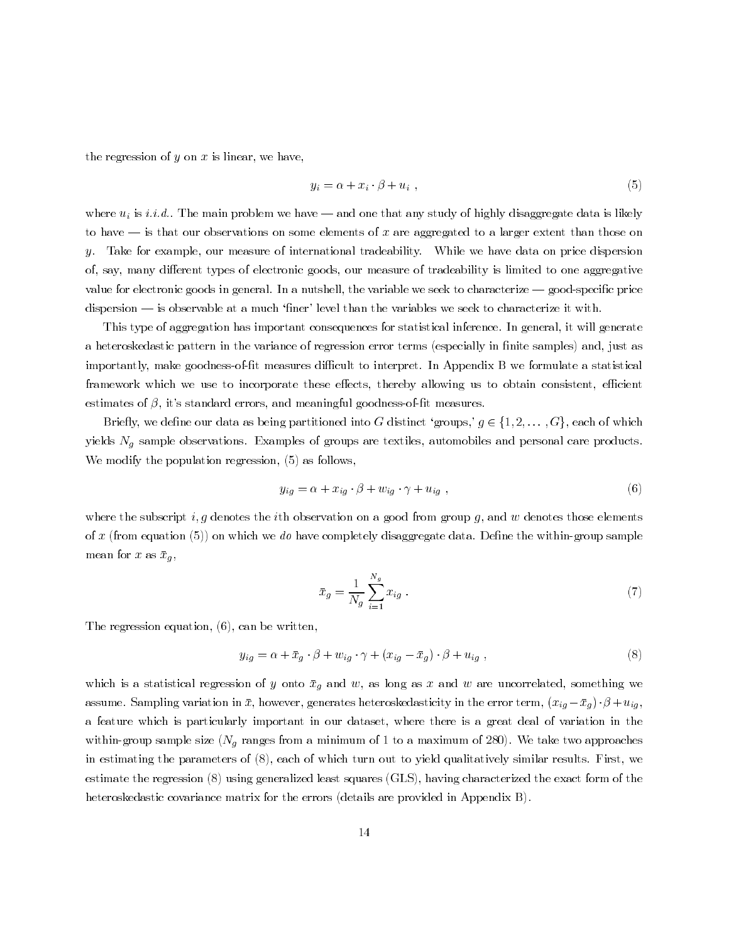the regression of  $y$  on  $x$  is linear, we have,

$$
y_i = \alpha + x_i \cdot \beta + u_i \t\t(5)
$$

where  $u_i$  is *i.i.d.*. The main problem we have — and one that any study of highly disaggregate data is likely to have  $-$  is that our observations on some elements of x are aggregated to a larger extent than those on Take for example, our measure of international tradeability. While we have data on price dispersion  $y_{-}$ of, say, many different types of electronic goods, our measure of tradeability is limited to one aggregative value for electronic goods in general. In a nutshell, the variable we seek to characterize — good-specific price dispersion — is observable at a much 'finer' level than the variables we seek to characterize it with.

This type of aggregation has important consequences for statistical inference. In general, it will generate a heteroskedastic pattern in the variance of regression error terms (especially in finite samples) and, just as importantly, make goodness-of-fit measures difficult to interpret. In Appendix B we formulate a statistical framework which we use to incorporate these effects, thereby allowing us to obtain consistent, efficient estimates of  $\beta$ , it's standard errors, and meaningful goodness-of-fit measures.

Briefly, we define our data as being partitioned into G distinct 'groups,'  $g \in \{1, 2, ..., G\}$ , each of which yields  $N_q$  sample observations. Examples of groups are textiles, automobiles and personal care products. We modify the population regression,  $(5)$  as follows,

$$
y_{ig} = \alpha + x_{ig} \cdot \beta + w_{ig} \cdot \gamma + u_{ig} \tag{6}
$$

where the subscript i, g denotes the ith observation on a good from group g, and w denotes those elements of x (from equation (5)) on which we do have completely disaggregate data. Define the within-group sample mean for x as  $\bar{x}_g$ ,

$$
\bar{x}_g = \frac{1}{N_g} \sum_{i=1}^{N_g} x_{ig} . \tag{7}
$$

The regression equation,  $(6)$ , can be written,

$$
y_{ig} = \alpha + \bar{x}_g \cdot \beta + w_{ig} \cdot \gamma + (x_{ig} - \bar{x}_g) \cdot \beta + u_{ig} \,, \tag{8}
$$

which is a statistical regression of y onto  $\bar{x}_g$  and w, as long as x and w are uncorrelated, something we assume. Sampling variation in  $\bar{x}$ , however, generates heteroskedasticity in the error term,  $(x_{ig} - \bar{x}_g) \cdot \beta + u_{ig}$ a feature which is particularly important in our dataset, where there is a great deal of variation in the within-group sample size ( $N_q$  ranges from a minimum of 1 to a maximum of 280). We take two approaches in estimating the parameters of (8), each of which turn out to yield qualitatively similar results. First, we estimate the regression (8) using generalized least squares (GLS), having characterized the exact form of the heteroskedastic covariance matrix for the errors (details are provided in Appendix B).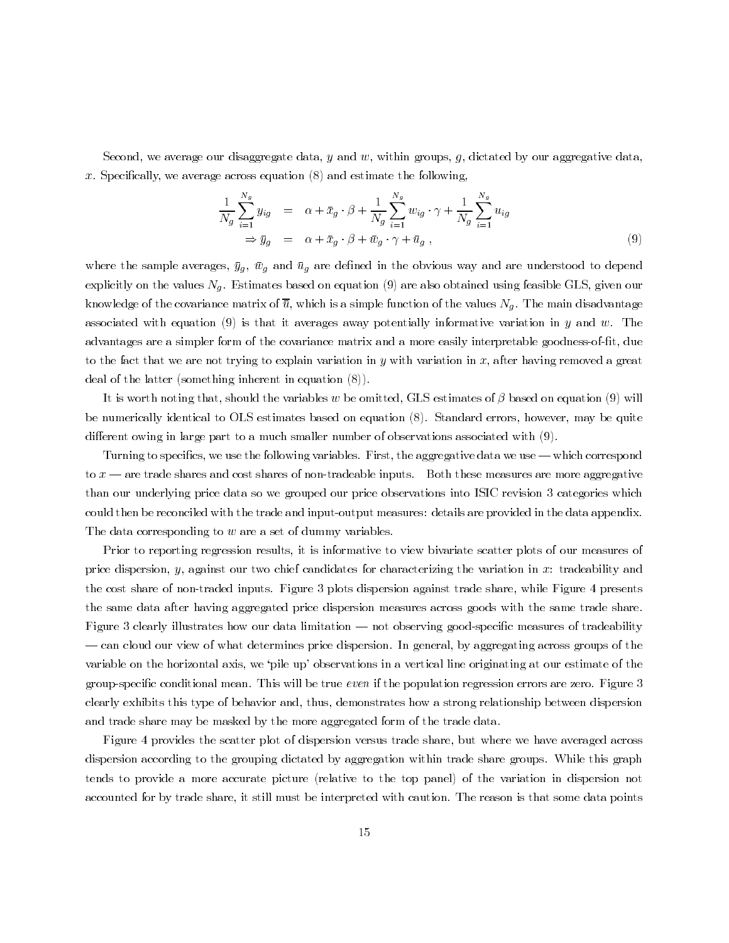Second, we average our disaggregate data, y and w, within groups, g, dictated by our aggregative data, x. Specifically, we average across equation  $(8)$  and estimate the following,

$$
\frac{1}{N_g} \sum_{i=1}^{N_g} y_{ig} = \alpha + \bar{x}_g \cdot \beta + \frac{1}{N_g} \sum_{i=1}^{N_g} w_{ig} \cdot \gamma + \frac{1}{N_g} \sum_{i=1}^{N_g} u_{ig}
$$
  
\n
$$
\Rightarrow \bar{y}_g = \alpha + \bar{x}_g \cdot \beta + \bar{w}_g \cdot \gamma + \bar{u}_g,
$$
\n(9)

where the sample averages,  $\bar{y}_g$ ,  $\bar{w}_g$  and  $\bar{u}_g$  are defined in the obvious way and are understood to depend explicitly on the values  $N_q$ . Estimates based on equation (9) are also obtained using feasible GLS, given our knowledge of the covariance matrix of  $\overline{u}$ , which is a simple function of the values  $N_q$ . The main disadvantage associated with equation (9) is that it averages away potentially informative variation in y and w. The advantages are a simpler form of the covariance matrix and a more easily interpretable goodness-of-fit, due to the fact that we are not trying to explain variation in y with variation in x, after having removed a great deal of the latter (something inherent in equation  $(8)$ ).

It is worth noting that, should the variables w be omitted, GLS estimates of  $\beta$  based on equation (9) will be numerically identical to OLS estimates based on equation (8). Standard errors, however, may be quite different owing in large part to a much smaller number of observations associated with  $(9)$ .

Turning to specifics, we use the following variables. First, the aggregative data we use — which correspond to  $x$  — are trade shares and cost shares of non-tradeable inputs. Both these measures are more aggregative than our underlying price data so we grouped our price observations into ISIC revision 3 categories which could then be reconciled with the trade and input-output measures: details are provided in the data appendix. The data corresponding to  $w$  are a set of dummy variables.

Prior to reporting regression results, it is informative to view bivariate scatter plots of our measures of price dispersion,  $y$ , against our two chief candidates for characterizing the variation in  $x$ : tradeability and the cost share of non-traded inputs. Figure 3 plots dispersion against trade share, while Figure 4 presents the same data after having aggregated price dispersion measures across goods with the same trade share. Figure 3 clearly illustrates how our data limitation — not observing good-specific measures of tradeability - can cloud our view of what determines price dispersion. In general, by aggregating across groups of the variable on the horizontal axis, we 'pile up' observations in a vertical line originating at our estimate of the group-specific conditional mean. This will be true even if the population regression errors are zero. Figure  $3$ clearly exhibits this type of behavior and, thus, demonstrates how a strong relationship between dispersion and trade share may be masked by the more aggregated form of the trade data.

Figure 4 provides the scatter plot of dispersion versus trade share, but where we have averaged across dispersion according to the grouping dictated by aggregation within trade share groups. While this graph tends to provide a more accurate picture (relative to the top panel) of the variation in dispersion not accounted for by trade share, it still must be interpreted with caution. The reason is that some data points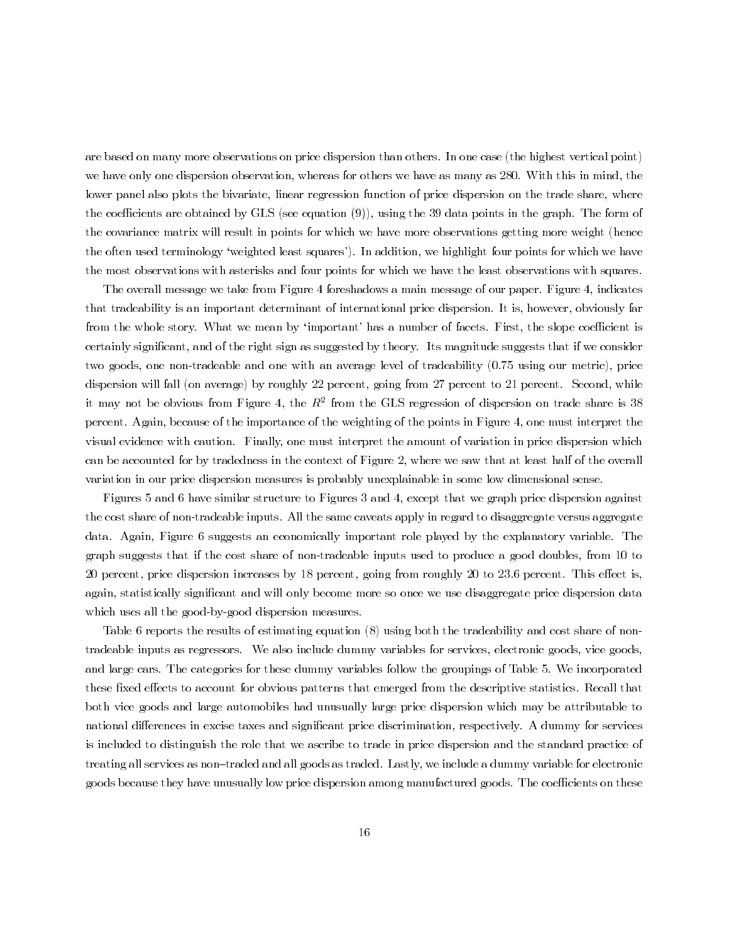are based on many more observations on price dispersion than others. In one case (the highest vertical point) we have only one dispersion observation, whereas for others we have as many as 280. With this in mind, the lower panel also plots the bivariate, linear regression function of price dispersion on the trade share, where the coefficients are obtained by GLS (see equation  $(9)$ ), using the 39 data points in the graph. The form of the covariance matrix will result in points for which we have more observations getting more weight (hence the often used terminology 'weighted least squares'). In addition, we highlight four points for which we have the most observations with asterisks and four points for which we have the least observations with squares.

The overall message we take from Figure 4 foreshadows a main message of our paper. Figure 4, indicates that tradeability is an important determinant of international price dispersion. It is, however, obviously far from the whole story. What we mean by 'important' has a number of facets. First, the slope coefficient is certainly significant, and of the right sign as suggested by theory. Its magnitude suggests that if we consider two goods, one non-tradeable and one with an average level of tradeability (0.75 using our metric), price dispersion will fall (on average) by roughly 22 percent, going from 27 percent to 21 percent. Second, while it may not be obvious from Figure 4, the  $R^2$  from the GLS regression of dispersion on trade share is 38 percent. Again, because of the importance of the weighting of the points in Figure 4, one must interpret the visual evidence with caution. Finally, one must interpret the amount of variation in price dispersion which can be accounted for by tradedness in the context of Figure 2, where we saw that at least half of the overall variation in our price dispersion measures is probably unexplainable in some low dimensional sense.

Figures 5 and 6 have similar structure to Figures 3 and 4, except that we graph price dispersion against the cost share of non-tradeable inputs. All the same caveats apply in regard to disaggregate versus aggregate data. Again, Figure 6 suggests an economically important role played by the explanatory variable. The graph suggests that if the cost share of non-tradeable inputs used to produce a good doubles, from 10 to 20 percent, price dispersion increases by 18 percent, going from roughly 20 to 23.6 percent. This effect is, again, statistically significant and will only become more so once we use disaggregate price dispersion data which uses all the good-by-good dispersion measures.

Table 6 reports the results of estimating equation (8) using both the tradeability and cost share of nontradeable inputs as regressors. We also include dummy variables for services, electronic goods, vice goods. and large cars. The categories for these dummy variables follow the groupings of Table 5. We incorporated these fixed effects to account for obvious patterns that emerged from the descriptive statistics. Recall that both vice goods and large automobiles had unusually large price dispersion which may be attributable to national differences in excise taxes and significant price discrimination, respectively. A dummy for services is included to distinguish the role that we ascribe to trade in price dispersion and the standard practice of treating all services as non-traded and all goods as traded. Lastly, we include a dummy variable for electronic goods because they have unusually low price dispersion among manufactured goods. The coefficients on these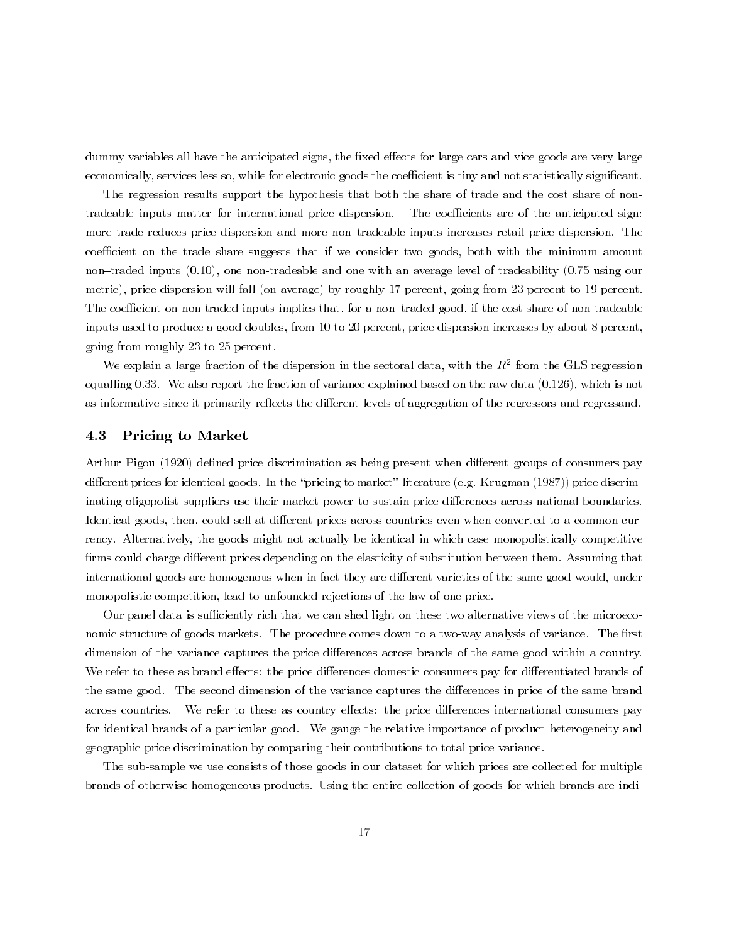dummy variables all have the anticipated signs, the fixed effects for large cars and vice goods are very large economically, services less so, while for electronic goods the coefficient is tiny and not statistically significant.

The regression results support the hypothesis that both the share of trade and the cost share of nontradeable inputs matter for international price dispersion. The coefficients are of the anticipated sign: more trade reduces price dispersion and more non-tradeable inputs increases retail price dispersion. The coefficient on the trade share suggests that if we consider two goods, both with the minimum amount non-traded inputs  $(0.10)$ , one non-tradeable and one with an average level of tradeability  $(0.75 \text{ using our})$ metric), price dispersion will fall (on average) by roughly 17 percent, going from 23 percent to 19 percent. The coefficient on non-traded inputs implies that, for a non-traded good, if the cost share of non-tradeable inputs used to produce a good doubles, from 10 to 20 percent, price dispersion increases by about 8 percent, going from roughly 23 to 25 percent.

We explain a large fraction of the dispersion in the sectoral data, with the  $R^2$  from the GLS regression equalling 0.33. We also report the fraction of variance explained based on the raw data  $(0.126)$ , which is not as informative since it primarily reflects the different levels of aggregation of the regressors and regressand.

#### 4.3 **Pricing to Market**

Arthur Pigou (1920) defined price discrimination as being present when different groups of consumers pay different prices for identical goods. In the "pricing to market" literature (e.g. Krugman (1987)) price discriminating oligopolist suppliers use their market power to sustain price differences across national boundaries. Identical goods, then, could sell at different prices across countries even when converted to a common currency. Alternatively, the goods might not actually be identical in which case monopolistically competitive firms could charge different prices depending on the elasticity of substitution between them. Assuming that international goods are homogenous when in fact they are different varieties of the same good would, under monopolistic competition, lead to unfounded rejections of the law of one price.

Our panel data is sufficiently rich that we can shed light on these two alternative views of the microeconomic structure of goods markets. The procedure comes down to a two-way analysis of variance. The first dimension of the variance captures the price differences across brands of the same good within a country. We refer to these as brand effects: the price differences domestic consumers pay for differentiated brands of the same good. The second dimension of the variance captures the differences in price of the same brand across countries. We refer to these as country effects: the price differences international consumers pay for identical brands of a particular good. We gauge the relative importance of product heterogeneity and geographic price discrimination by comparing their contributions to total price variance.

The sub-sample we use consists of those goods in our dataset for which prices are collected for multiple brands of otherwise homogeneous products. Using the entire collection of goods for which brands are indi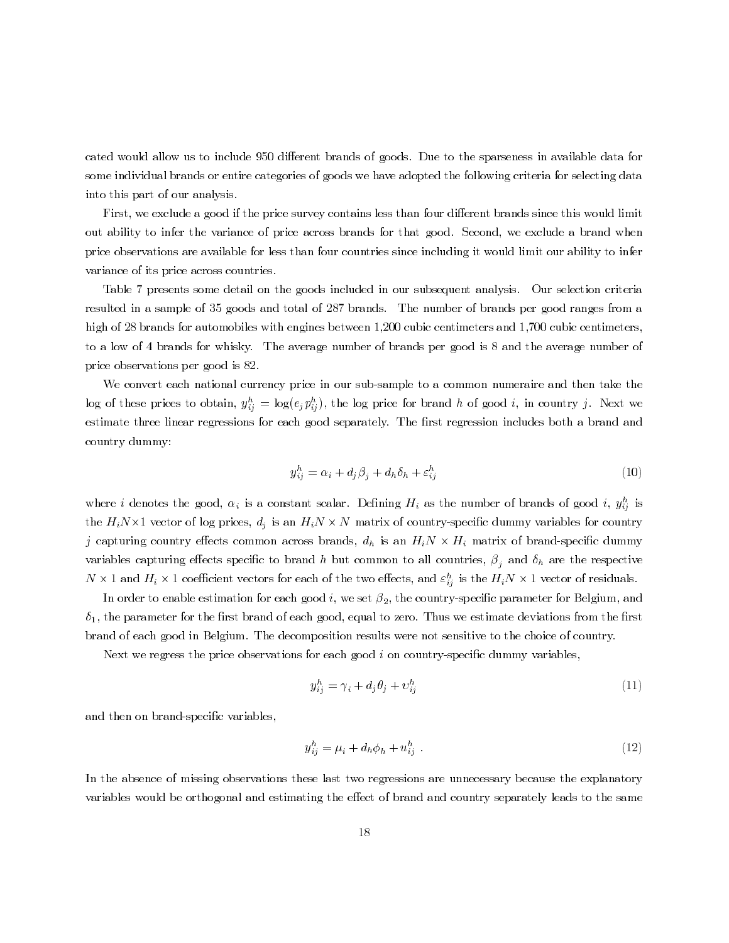cated would allow us to include 950 different brands of goods. Due to the sparseness in available data for some individual brands or entire categories of goods we have adopted the following criteria for selecting data into this part of our analysis.

First, we exclude a good if the price survey contains less than four different brands since this would limit out ability to infer the variance of price across brands for that good. Second, we exclude a brand when price observations are available for less than four countries since including it would limit our ability to infer variance of its price across countries.

Table 7 presents some detail on the goods included in our subsequent analysis. Our selection criteria resulted in a sample of 35 goods and total of 287 brands. The number of brands per good ranges from a high of 28 brands for automobiles with engines between 1,200 cubic centimeters and 1,700 cubic centimeters, to a low of 4 brands for whisky. The average number of brands per good is 8 and the average number of price observations per good is 82.

We convert each national currency price in our sub-sample to a common numeraire and then take the log of these prices to obtain,  $y_{ij}^h = \log(e_j p_{ij}^h)$ , the log price for brand h of good i, in country j. Next we estimate three linear regressions for each good separately. The first regression includes both a brand and country dummy:

$$
y_{ij}^h = \alpha_i + d_j \beta_j + d_h \delta_h + \varepsilon_{ij}^h \tag{10}
$$

where i denotes the good,  $\alpha_i$  is a constant scalar. Defining  $H_i$  as the number of brands of good i,  $y_{ij}^h$  is the  $H_i N \times 1$  vector of log prices,  $d_j$  is an  $H_i N \times N$  matrix of country-specific dummy variables for country j capturing country effects common across brands,  $d_h$  is an  $H_i N \times H_i$  matrix of brand-specific dummy variables capturing effects specific to brand h but common to all countries,  $\beta_j$  and  $\delta_h$  are the respective  $N \times 1$  and  $H_i \times 1$  coefficient vectors for each of the two effects, and  $\varepsilon_{ij}^h$  is the  $H_i N \times 1$  vector of residuals.

In order to enable estimation for each good i, we set  $\beta_2$ , the country-specific parameter for Belgium, and  $\delta_1$ , the parameter for the first brand of each good, equal to zero. Thus we estimate deviations from the first brand of each good in Belgium. The decomposition results were not sensitive to the choice of country.

Next we regress the price observations for each good  $i$  on country-specific dummy variables,

$$
y_{ij}^h = \gamma_i + d_j \theta_j + v_{ij}^h \tag{11}
$$

and then on brand-specific variables,

$$
y_{ij}^h = \mu_i + d_h \phi_h + u_{ij}^h \tag{12}
$$

In the absence of missing observations these last two regressions are unnecessary because the explanatory variables would be orthogonal and estimating the effect of brand and country separately leads to the same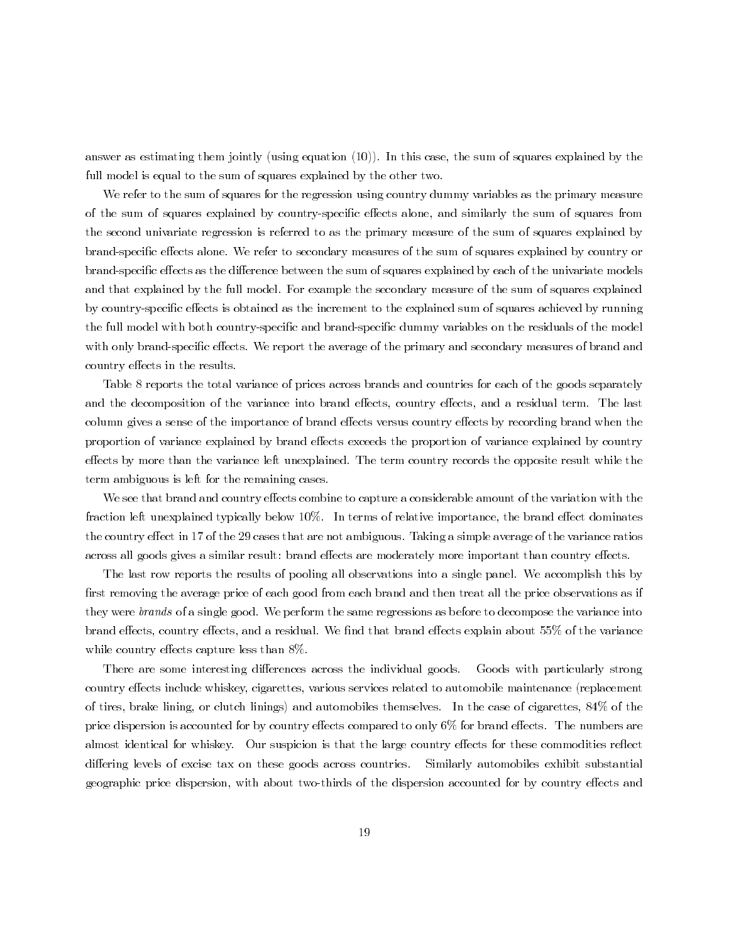answer as estimating them jointly (using equation  $(10)$ ). In this case, the sum of squares explained by the full model is equal to the sum of squares explained by the other two.

We refer to the sum of squares for the regression using country dummy variables as the primary measure of the sum of squares explained by country-specific effects alone, and similarly the sum of squares from the second univariate regression is referred to as the primary measure of the sum of squares explained by brand-specific effects alone. We refer to secondary measures of the sum of squares explained by country or brand-specific effects as the difference between the sum of squares explained by each of the univariate models and that explained by the full model. For example the secondary measure of the sum of squares explained by country-specific effects is obtained as the increment to the explained sum of squares achieved by running the full model with both country-specific and brand-specific dummy variables on the residuals of the model with only brand-specific effects. We report the average of the primary and secondary measures of brand and country effects in the results.

Table 8 reports the total variance of prices across brands and countries for each of the goods separately and the decomposition of the variance into brand effects, country effects, and a residual term. The last column gives a sense of the importance of brand effects versus country effects by recording brand when the proportion of variance explained by brand effects exceeds the proportion of variance explained by country effects by more than the variance left unexplained. The term country records the opposite result while the term ambiguous is left for the remaining cases.

We see that brand and country effects combine to capture a considerable amount of the variation with the fraction left unexplained typically below 10%. In terms of relative importance, the brand effect dominates the country effect in 17 of the 29 cases that are not ambiguous. Taking a simple average of the variance ratios across all goods gives a similar result: brand effects are moderately more important than country effects.

The last row reports the results of pooling all observations into a single panel. We accomplish this by first removing the average price of each good from each brand and then treat all the price observations as if they were *brands* of a single good. We perform the same regressions as before to decompose the variance into brand effects, country effects, and a residual. We find that brand effects explain about 55% of the variance while country effects capture less than 8%.

There are some interesting differences across the individual goods. Goods with particularly strong country effects include whiskey, cigarettes, various services related to automobile maintenance (replacement of tires, brake lining, or clutch linings) and automobiles themselves. In the case of cigarettes, 84% of the price dispersion is accounted for by country effects compared to only 6% for brand effects. The numbers are almost identical for whiskey. Our suspicion is that the large country effects for these commodities reflect differing levels of excise tax on these goods across countries. Similarly automobiles exhibit substantial geographic price dispersion, with about two-thirds of the dispersion accounted for by country effects and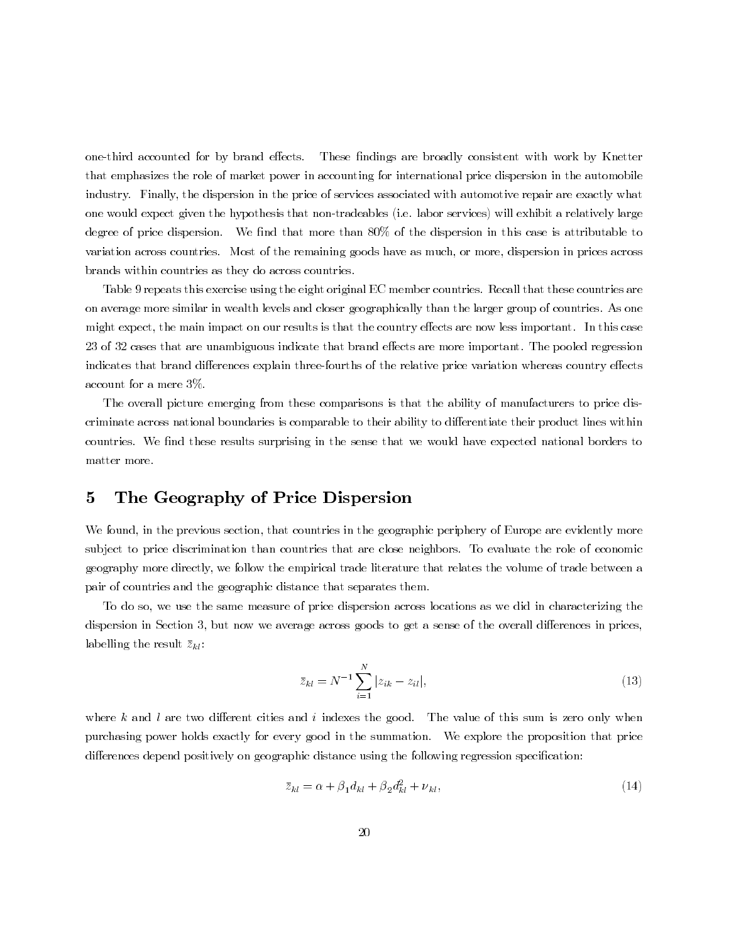one-third accounted for by brand effects. These findings are broadly consistent with work by Knetter that emphasizes the role of market power in accounting for international price dispersion in the automobile industry. Finally, the dispersion in the price of services associated with automotive repair are exactly what one would expect given the hypothesis that non-tradeables (i.e. labor services) will exhibit a relatively large degree of price dispersion. We find that more than 80% of the dispersion in this case is attributable to variation across countries. Most of the remaining goods have as much, or more, dispersion in prices across brands within countries as they do across countries.

Table 9 repeats this exercise using the eight original EC member countries. Recall that these countries are on average more similar in wealth levels and closer geographically than the larger group of countries. As one might expect, the main impact on our results is that the country effects are now less important. In this case 23 of 32 cases that are unambiguous indicate that brand effects are more important. The pooled regression indicates that brand differences explain three-fourths of the relative price variation whereas country effects account for a mere  $3\%$ .

The overall picture emerging from these comparisons is that the ability of manufacturers to price discriminate across national boundaries is comparable to their ability to differentiate their product lines within countries. We find these results surprising in the sense that we would have expected national borders to matter more.

#### $\bf{5}$ The Geography of Price Dispersion

We found, in the previous section, that countries in the geographic periphery of Europe are evidently more subject to price discrimination than countries that are close neighbors. To evaluate the role of economic geography more directly, we follow the empirical trade literature that relates the volume of trade between a pair of countries and the geographic distance that separates them.

To do so, we use the same measure of price dispersion across locations as we did in characterizing the dispersion in Section 3, but now we average across goods to get a sense of the overall differences in prices, labelling the result  $\bar{z}_{kl}$ :

$$
\bar{z}_{kl} = N^{-1} \sum_{i=1}^{N} |z_{ik} - z_{il}|,\tag{13}
$$

where  $k$  and  $l$  are two different cities and  $i$  indexes the good. The value of this sum is zero only when purchasing power holds exactly for every good in the summation. We explore the proposition that price differences depend positively on geographic distance using the following regression specification:

$$
\bar{z}_{kl} = \alpha + \beta_1 d_{kl} + \beta_2 d_{kl}^2 + \nu_{kl},\tag{14}
$$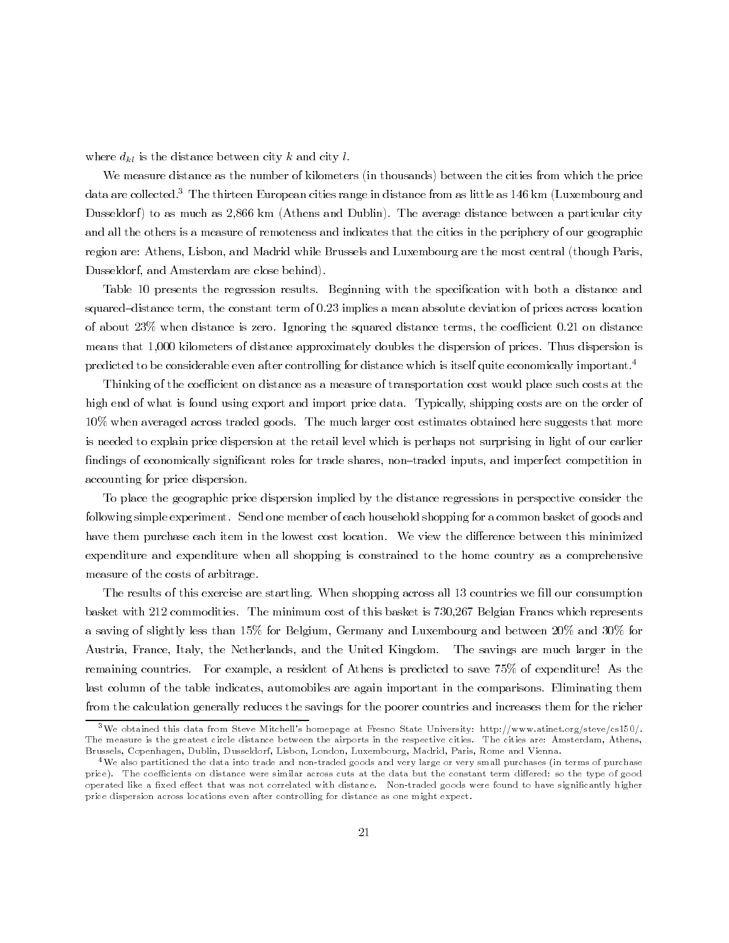where  $d_{kl}$  is the distance between city k and city l.

We measure distance as the number of kilometers (in thousands) between the cities from which the price data are collected.<sup>3</sup> The thirteen European cities range in distance from as little as 146 km (Luxembourg and Dusseldorf) to as much as 2,866 km (Athens and Dublin). The average distance between a particular city and all the others is a measure of remoteness and indicates that the cities in the periphery of our geographic region are: Athens, Lisbon, and Madrid while Brussels and Luxembourg are the most central (though Paris, Dusseldorf, and Amsterdam are close behind).

Table 10 presents the regression results. Beginning with the specification with both a distance and squared-distance term, the constant term of 0.23 implies a mean absolute deviation of prices across location of about 23% when distance is zero. Ignoring the squared distance terms, the coefficient 0.21 on distance means that 1,000 kilometers of distance approximately doubles the dispersion of prices. Thus dispersion is predicted to be considerable even after controlling for distance which is itself quite economically important.<sup>4</sup>

Thinking of the coefficient on distance as a measure of transportation cost would place such costs at the high end of what is found using export and import price data. Typically, shipping costs are on the order of 10% when averaged across traded goods. The much larger cost estimates obtained here suggests that more is needed to explain price dispersion at the retail level which is perhaps not surprising in light of our earlier findings of economically significant roles for trade shares, non-traded inputs, and imperfect competition in accounting for price dispersion.

To place the geographic price dispersion implied by the distance regressions in perspective consider the following simple experiment. Send one member of each household shopping for a common basket of goods and have them purchase each item in the lowest cost location. We view the difference between this minimized expenditure and expenditure when all shopping is constrained to the home country as a comprehensive measure of the costs of arbitrage.

The results of this exercise are startling. When shopping across all 13 countries we fill our consumption basket with 212 commodities. The minimum cost of this basket is 730,267 Belgian Francs which represents a saving of slightly less than 15% for Belgium, Germany and Luxembourg and between 20% and 30% for Austria, France, Italy, the Netherlands, and the United Kingdom. The savings are much larger in the remaining countries. For example, a resident of Athens is predicted to save 75% of expenditure! As the last column of the table indicates, automobiles are again important in the comparisons. Eliminating them from the calculation generally reduces the savings for the poorer countries and increases them for the richer

<sup>&</sup>lt;sup>3</sup>We obtained this data from Steve Mitchell's homepage at Fresno State University: http://www.atinet.org/steve/cs150/. The measure is the greatest circle distance between the airports in the respective cities. The cities are: Amsterdam, Athens, Brussels, Copenhagen, Dublin, Dusseldorf, Lisbon, London, Luxembourg, Madrid, Paris, Rome and Vienna.

 $^4\rm{We}$  also partitioned the data into trade and non-traded goods and very large or very small purchases (in terms of purchase price). The coefficients on distance were similar across cuts at the data but the constant term differed: so the type of good operated like a fixed effect that was not correlated with distance. Non-traded goods were found to have significantly higher price dispersion across locations even after controlling for distance as one might expect.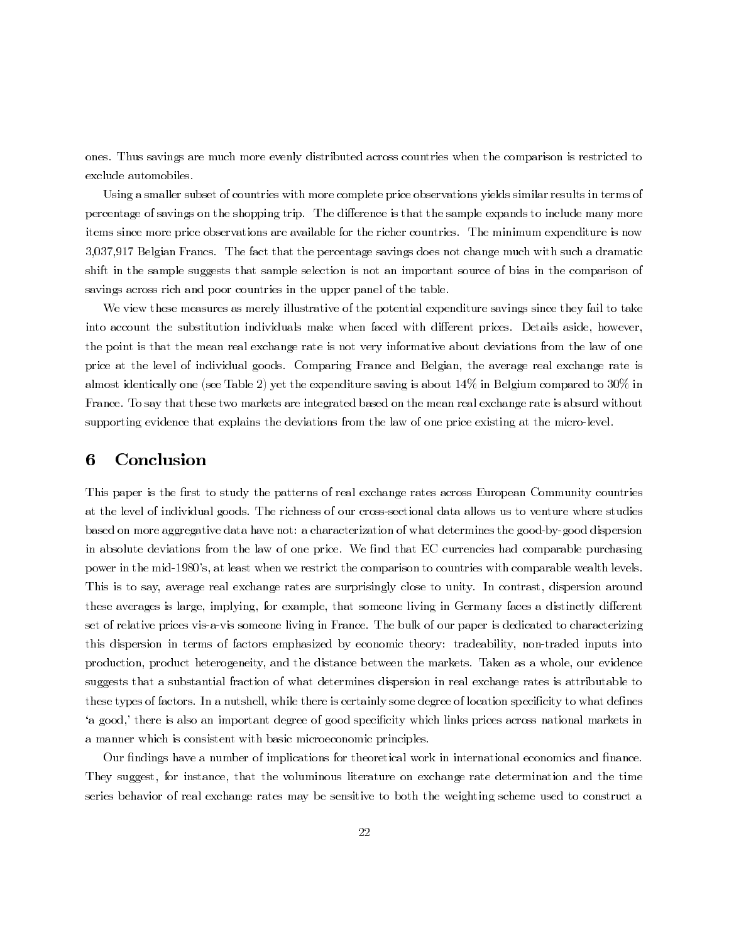ones. Thus savings are much more evenly distributed across countries when the comparison is restricted to exclude automobiles.

Using a smaller subset of countries with more complete price observations yields similar results in terms of percentage of savings on the shopping trip. The difference is that the sample expands to include many more items since more price observations are available for the richer countries. The minimum expenditure is now 3,037,917 Belgian Francs. The fact that the percentage savings does not change much with such a dramatic shift in the sample suggests that sample selection is not an important source of bias in the comparison of savings across rich and poor countries in the upper panel of the table.

We view these measures as merely illustrative of the potential expenditure savings since they fail to take into account the substitution individuals make when faced with different prices. Details aside, however, the point is that the mean real exchange rate is not very informative about deviations from the law of one price at the level of individual goods. Comparing France and Belgian, the average real exchange rate is almost identically one (see Table 2) yet the expenditure saving is about  $14\%$  in Belgium compared to 30% in France. To say that these two markets are integrated based on the mean real exchange rate is absurd without supporting evidence that explains the deviations from the law of one price existing at the micro-level.

#### 6 Conclusion

This paper is the first to study the patterns of real exchange rates across European Community countries at the level of individual goods. The richness of our cross-sectional data allows us to venture where studies based on more aggregative data have not: a characterization of what determines the good-by-good dispersion in absolute deviations from the law of one price. We find that EC currencies had comparable purchasing power in the mid-1980's, at least when we restrict the comparison to countries with comparable wealth levels. This is to say, average real exchange rates are surprisingly close to unity. In contrast, dispersion around these averages is large, implying, for example, that someone living in Germany faces a distinctly different set of relative prices vis-a-vis someone living in France. The bulk of our paper is dedicated to characterizing this dispersion in terms of factors emphasized by economic theory: tradeability, non-traded inputs into production, product heterogeneity, and the distance between the markets. Taken as a whole, our evidence suggests that a substantial fraction of what determines dispersion in real exchange rates is attributable to these types of factors. In a nutshell, while there is certainly some degree of location specificity to what defines 'a good,' there is also an important degree of good specificity which links prices across national markets in a manner which is consistent with basic microeconomic principles.

Our findings have a number of implications for theoretical work in international economics and finance. They suggest, for instance, that the voluminous literature on exchange rate determination and the time series behavior of real exchange rates may be sensitive to both the weighting scheme used to construct a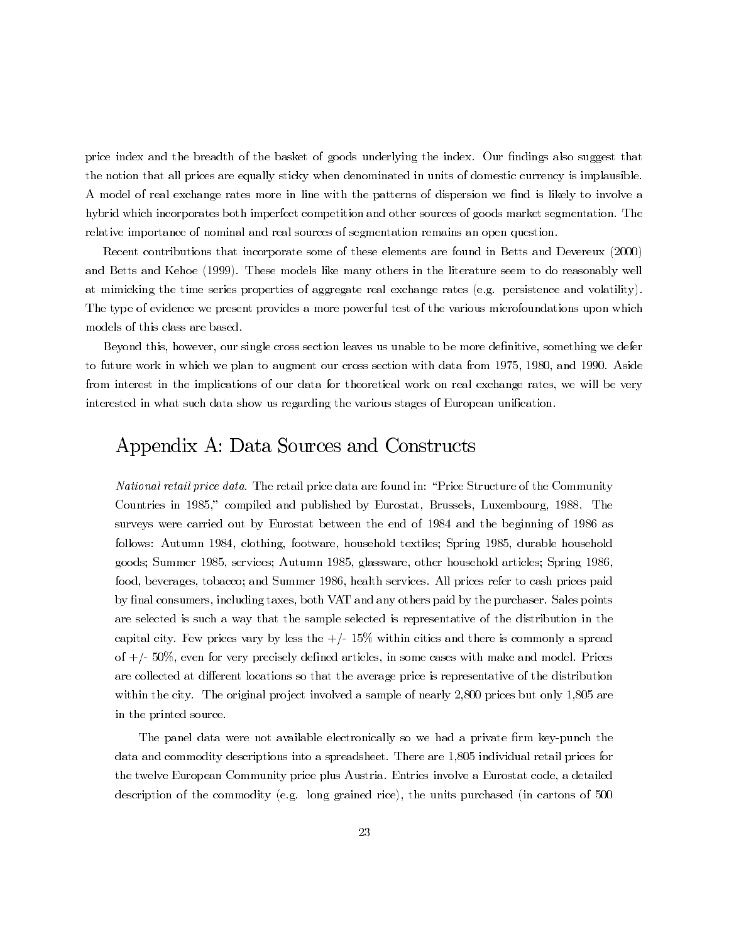price index and the breadth of the basket of goods underlying the index. Our findings also suggest that the notion that all prices are equally sticky when denominated in units of domestic currency is implausible. A model of real exchange rates more in line with the patterns of dispersion we find is likely to involve a hybrid which incorporates both imperfect competition and other sources of goods market segmentation. The relative importance of nominal and real sources of segmentation remains an open question.

Recent contributions that incorporate some of these elements are found in Betts and Devereux (2000) and Betts and Kehoe (1999). These models like many others in the literature seem to do reasonably well at mimicking the time series properties of aggregate real exchange rates (e.g. persistence and volatility). The type of evidence we present provides a more powerful test of the various microfoundations upon which models of this class are based.

Beyond this, however, our single cross section leaves us unable to be more definitive, something we defer to future work in which we plan to augment our cross section with data from 1975, 1980, and 1990. Aside from interest in the implications of our data for theoretical work on real exchange rates, we will be very interested in what such data show us regarding the various stages of European unification.

## Appendix A: Data Sources and Constructs

*National retail price data.* The retail price data are found in: "Price Structure of the Community" Countries in 1985," compiled and published by Eurostat, Brussels, Luxembourg, 1988. The surveys were carried out by Eurostat between the end of 1984 and the beginning of 1986 as follows: Autumn 1984, clothing, footware, household textiles; Spring 1985, durable household goods; Summer 1985, services; Autumn 1985, glassware, other household articles; Spring 1986, food, beverages, tobacco; and Summer 1986, health services. All prices refer to cash prices paid by final consumers, including taxes, both VAT and any others paid by the purchaser. Sales points are selected is such a way that the sample selected is representative of the distribution in the capital city. Few prices vary by less the  $+/-15\%$  within cities and there is commonly a spread of  $+/- 50\%$ , even for very precisely defined articles, in some cases with make and model. Prices are collected at different locations so that the average price is representative of the distribution within the city. The original project involved a sample of nearly 2,800 prices but only 1,805 are in the printed source.

The panel data were not available electronically so we had a private firm key-punch the data and commodity descriptions into a spreadsheet. There are 1,805 individual retail prices for the twelve European Community price plus Austria. Entries involve a Eurostat code, a detailed description of the commodity (e.g. long grained rice), the units purchased (in cartons of 500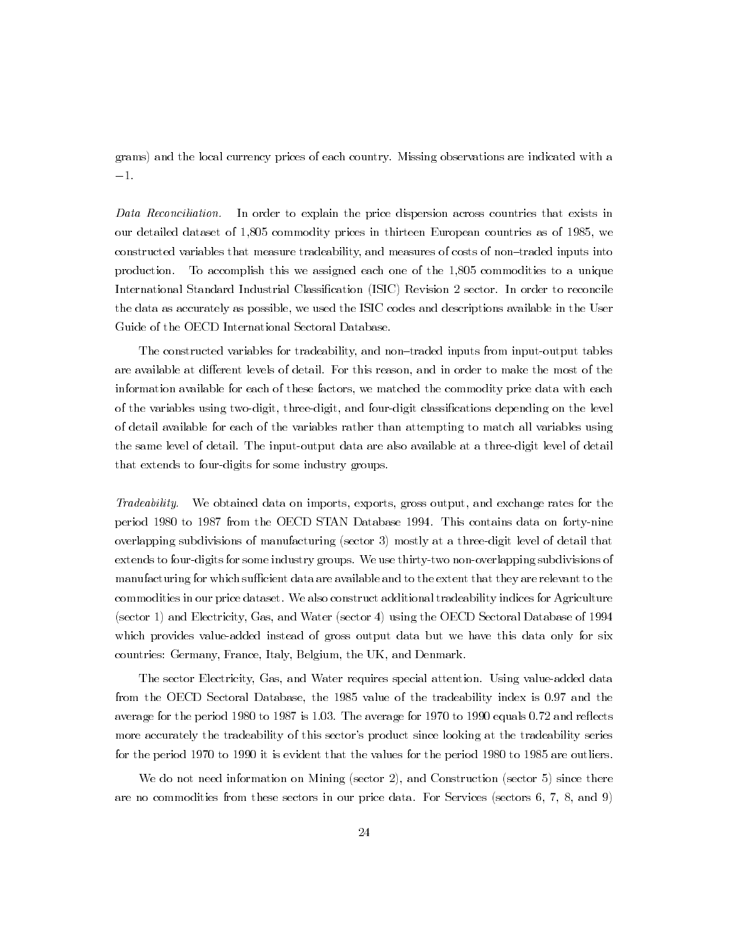grams) and the local currency prices of each country. Missing observations are indicated with a  $-1.$ 

Data Reconciliation. In order to explain the price dispersion across countries that exists in our detailed dataset of 1,805 commodity prices in thirteen European countries as of 1985, we constructed variables that measure tradeability, and measures of costs of non-traded inputs into To accomplish this we assigned each one of the 1,805 commodities to a unique production. International Standard Industrial Classification (ISIC) Revision 2 sector. In order to reconcile the data as accurately as possible, we used the ISIC codes and descriptions available in the User Guide of the OECD International Sectoral Database.

The constructed variables for tradeability, and non-traded inputs from input-output tables are available at different levels of detail. For this reason, and in order to make the most of the information available for each of these factors, we matched the commodity price data with each of the variables using two-digit, three-digit, and four-digit classifications depending on the level of detail available for each of the variables rather than attempting to match all variables using the same level of detail. The input-output data are also available at a three-digit level of detail that extends to four-digits for some industry groups.

We obtained data on imports, exports, gross output, and exchange rates for the Tradeability. period 1980 to 1987 from the OECD STAN Database 1994. This contains data on forty-nine overlapping subdivisions of manufacturing (sector 3) mostly at a three-digit level of detail that extends to four-digits for some industry groups. We use thirty-two non-overlapping subdivisions of manufacturing for which sufficient data are available and to the extent that they are relevant to the commodities in our price dataset. We also construct additional tradeability indices for Agriculture (sector 1) and Electricity, Gas, and Water (sector 4) using the OECD Sectoral Database of 1994 which provides value-added instead of gross output data but we have this data only for six countries: Germany, France, Italy, Belgium, the UK, and Denmark.

The sector Electricity, Gas, and Water requires special attention. Using value-added data from the OECD Sectoral Database, the 1985 value of the tradeability index is 0.97 and the average for the period 1980 to 1987 is 1.03. The average for 1970 to 1990 equals 0.72 and reflects more accurately the tradeability of this sector's product since looking at the tradeability series for the period 1970 to 1990 it is evident that the values for the period 1980 to 1985 are outliers.

We do not need information on Mining (sector 2), and Construction (sector 5) since there are no commodities from these sectors in our price data. For Services (sectors  $6, 7, 8,$  and  $9$ )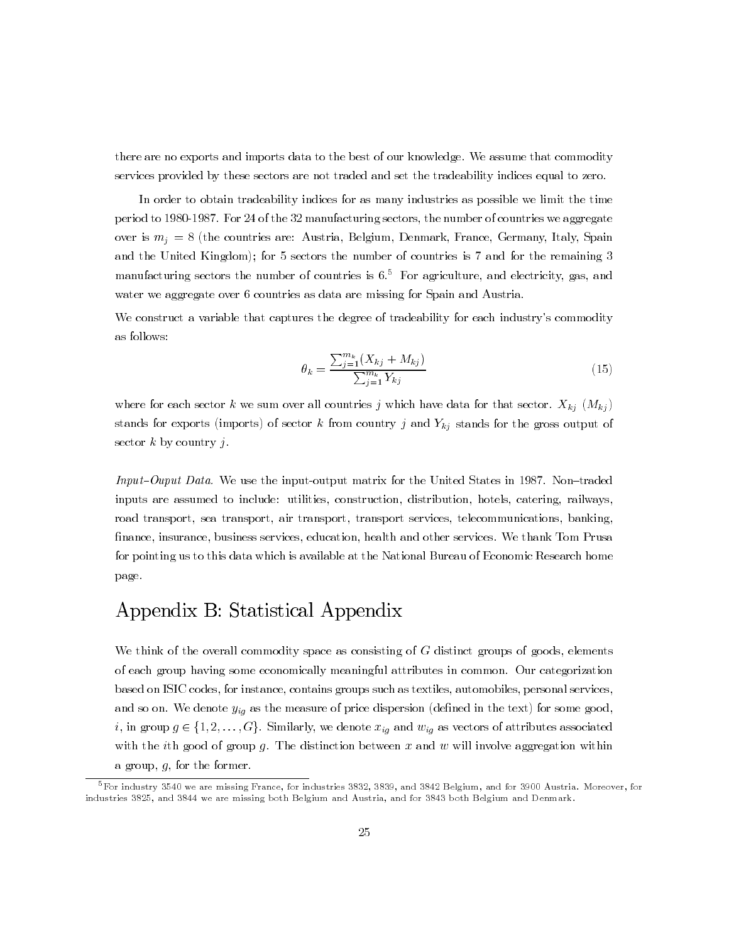there are no exports and imports data to the best of our knowledge. We assume that commodity services provided by these sectors are not traded and set the tradeability indices equal to zero.

In order to obtain tradeability indices for as many industries as possible we limit the time period to 1980-1987. For 24 of the 32 manufacturing sectors, the number of countries we aggregate over is  $m_i = 8$  (the countries are: Austria, Belgium, Denmark, France, Germany, Italy, Spain and the United Kingdom); for 5 sectors the number of countries is 7 and for the remaining 3 manufacturing sectors the number of countries is  $6<sup>5</sup>$  For agriculture, and electricity, gas, and water we aggregate over 6 countries as data are missing for Spain and Austria.

We construct a variable that captures the degree of tradeability for each industry's commodity as follows:

$$
\theta_k = \frac{\sum_{j=1}^{m_k} (X_{kj} + M_{kj})}{\sum_{j=1}^{m_k} Y_{kj}}
$$
(15)

where for each sector k we sum over all countries j which have data for that sector.  $X_{kj}$   $(M_{kj})$ stands for exports (imports) of sector  $k$  from country  $j$  and  $Y_{kj}$  stands for the gross output of sector  $k$  by country  $i$ .

*Input-Ouput Data.* We use the input-output matrix for the United States in 1987. Non-traded inputs are assumed to include: utilities, construction, distribution, hotels, catering, railways, road transport, sea transport, air transport, transport services, telecommunications, banking, finance, insurance, business services, education, health and other services. We thank Tom Prusa for pointing us to this data which is available at the National Bureau of Economic Research home page.

# Appendix B: Statistical Appendix

We think of the overall commodity space as consisting of  $G$  distinct groups of goods, elements of each group having some economically meaningful attributes in common. Our categorization based on ISIC codes, for instance, contains groups such as textiles, automobiles, personal services, and so on. We denote  $y_{i_q}$  as the measure of price dispersion (defined in the text) for some good, i, in group  $g \in \{1, 2, ..., G\}$ . Similarly, we denote  $x_{ig}$  and  $w_{ig}$  as vectors of attributes associated with the ith good of group  $g$ . The distinction between  $x$  and  $w$  will involve aggregation within a group,  $g$ , for the former.

 ${}^{5}$ For industry 3540 we are missing France, for industries 3832, 3839, and 3842 Belgium, and for 3900 Austria. Moreover, for industries 3825, and 3844 we are missing both Belgium and Austria, and for 3843 both Belgium and Denmark.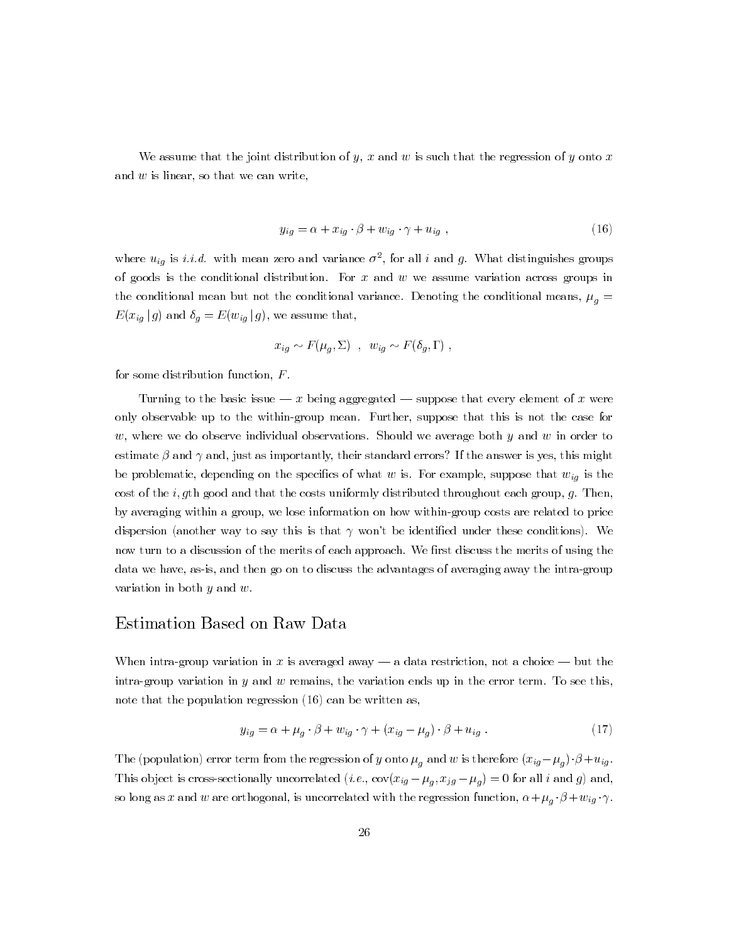We assume that the joint distribution of y, x and w is such that the regression of y onto x and  $w$  is linear, so that we can write,

$$
y_{iq} = \alpha + x_{iq} \cdot \beta + w_{iq} \cdot \gamma + u_{iq} \tag{16}
$$

where  $u_{ig}$  is *i.i.d.* with mean zero and variance  $\sigma^2$ , for all *i* and *g*. What distinguishes groups of goods is the conditional distribution. For  $x$  and  $w$  we assume variation across groups in the conditional mean but not the conditional variance. Denoting the conditional means,  $\mu_q =$  $E(x_{ig} | g)$  and  $\delta_g = E(w_{ig} | g)$ , we assume that,

$$
x_{ig} \sim F(\mu_q, \Sigma) , w_{ig} \sim F(\delta_g, \Gamma)
$$

for some distribution function,  $F$ .

Turning to the basic issue  $-x$  being aggregated  $-$  suppose that every element of x were only observable up to the within-group mean. Further, suppose that this is not the case for w, where we do observe individual observations. Should we average both y and w in order to estimate  $\beta$  and  $\gamma$  and, just as importantly, their standard errors? If the answer is yes, this might be problematic, depending on the specifics of what w is. For example, suppose that  $w_{ig}$  is the cost of the *i*, gth good and that the costs uniformly distributed throughout each group, g. Then, by averaging within a group, we lose information on how within-group costs are related to price dispersion (another way to say this is that  $\gamma$  won't be identified under these conditions). We now turn to a discussion of the merits of each approach. We first discuss the merits of using the data we have, as-is, and then go on to discuss the advantages of averaging away the intra-group variation in both  $y$  and  $w$ .

### Estimation Based on Raw Data

When intra-group variation in x is averaged away — a data restriction, not a choice — but the intra-group variation in  $y$  and  $w$  remains, the variation ends up in the error term. To see this, note that the population regression  $(16)$  can be written as,

$$
y_{ig} = \alpha + \mu_g \cdot \beta + w_{ig} \cdot \gamma + (x_{ig} - \mu_g) \cdot \beta + u_{ig} \tag{17}
$$

The (population) error term from the regression of y onto  $\mu_q$  and w is therefore  $(x_{ig} - \mu_q) \cdot \beta + u_{ig}$ . This object is cross-sectionally uncorrelated (*i.e.*,  $cov(x_{ig} - \mu_g, x_{jg} - \mu_g) = 0$  for all *i* and *g*) and, so long as x and w are orthogonal, is uncorrelated with the regression function,  $\alpha + \mu_g \cdot \beta + w_{ig} \cdot \gamma$ .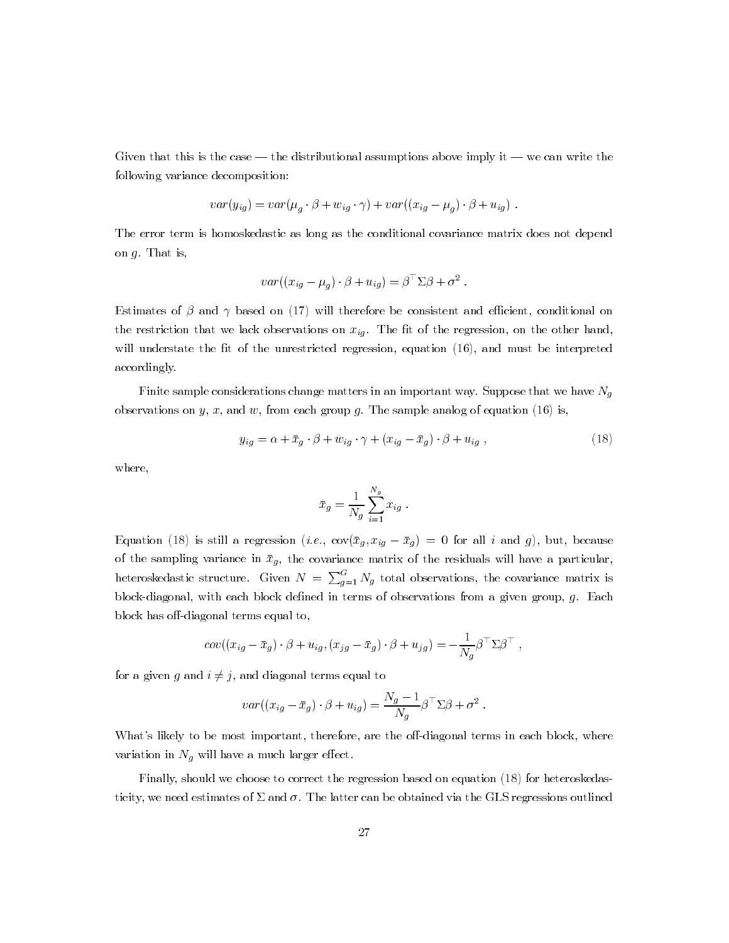Given that this is the case — the distributional assumptions above imply it — we can write the following variance decomposition:

$$
var(y_{ig}) = var(\mu_g \cdot \beta + w_{ig} \cdot \gamma) + var((x_{ig} - \mu_g) \cdot \beta + u_{ig})
$$

The error term is homoskedastic as long as the conditional covariance matrix does not depend on  $q$ . That is,

$$
var((x_{ig} - \mu_g) \cdot \beta + u_{ig}) = \beta^{\perp} \Sigma \beta + \sigma^2.
$$

Estimates of  $\beta$  and  $\gamma$  based on (17) will therefore be consistent and efficient, conditional on the restriction that we lack observations on  $x_{ig}$ . The fit of the regression, on the other hand, will understate the fit of the unrestricted regression, equation (16), and must be interpreted accordingly.

Finite sample considerations change matters in an important way. Suppose that we have  $N_q$ observations on y, x, and w, from each group g. The sample analog of equation (16) is,

$$
y_{ig} = \alpha + \bar{x}_g \cdot \beta + w_{ig} \cdot \gamma + (x_{ig} - \bar{x}_g) \cdot \beta + u_{ig} \,,\tag{18}
$$

where,

$$
\bar{x}_g = \frac{1}{N_g} \sum_{i=1}^{N_g} x_{ig} .
$$

Equation (18) is still a regression (*i.e.*,  $\text{cov}(\bar{x}_g, x_{ig} - \bar{x}_g) = 0$  for all *i* and *g*), but, because of the sampling variance in  $\bar{x}_g$ , the covariance matrix of the residuals will have a particular, heteroskedastic structure. Given  $N = \sum_{g=1}^{G} N_g$  total observations, the covariance matrix is block-diagonal, with each block defined in terms of observations from a given group,  $g$ . Each block has off-diagonal terms equal to,

$$
cov((x_{ig}-\bar{x}_g)\cdot \beta + u_{ig}, (x_{j\,g}-\bar{x}_g)\cdot \beta + u_{j\,g}) = -\frac{1}{N_g}\beta^{\top}\Sigma\beta^{\top},
$$

for a given g and  $i \neq j$ , and diagonal terms equal to

$$
var((x_{ig} - \bar{x}_g) \cdot \beta + u_{ig}) = \frac{N_g - 1}{N_g} \beta^\top \Sigma \beta + \sigma^2.
$$

What's likely to be most important, therefore, are the off-diagonal terms in each block, where variation in  $N_g$  will have a much larger effect.

Finally, should we choose to correct the regression based on equation (18) for heteroskedasticity, we need estimates of  $\Sigma$  and  $\sigma$ . The latter can be obtained via the GLS regressions outlined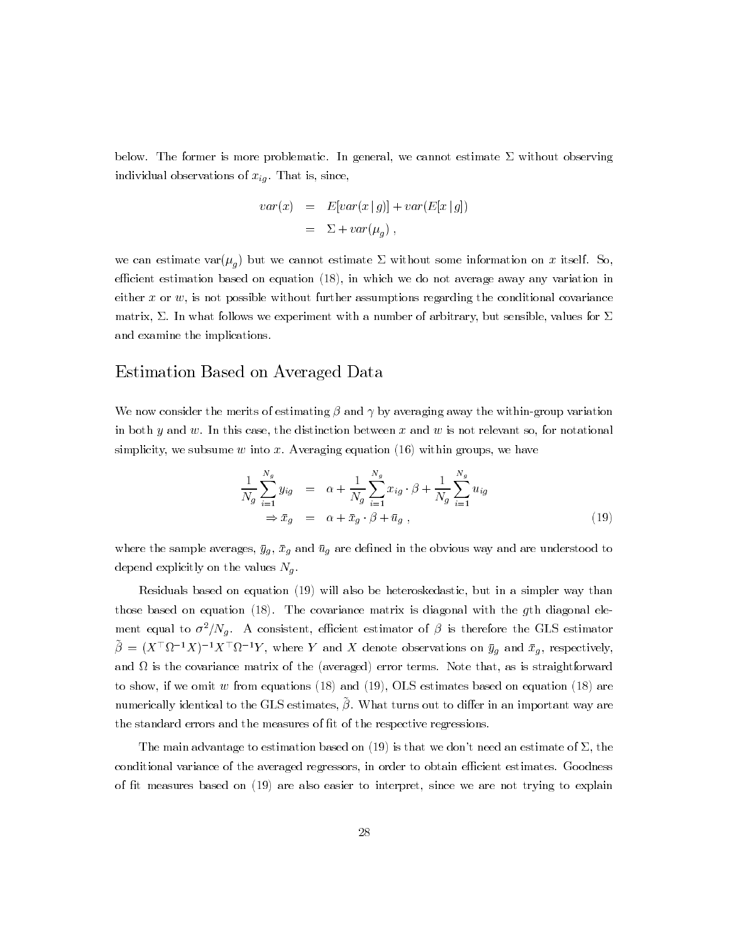below. The former is more problematic. In general, we cannot estimate  $\Sigma$  without observing individual observations of  $x_{ig}$ . That is, since,

$$
var(x) = E[var(x | g)] + var(E[x | g])
$$

$$
= \Sigma + var(\mu_g) ,
$$

we can estimate var $(\mu_g)$  but we cannot estimate  $\Sigma$  without some information on x itself. So, efficient estimation based on equation  $(18)$ , in which we do not average away any variation in either  $x$  or  $w$ , is not possible without further assumptions regarding the conditional covariance matrix,  $\Sigma$ . In what follows we experiment with a number of arbitrary, but sensible, values for  $\Sigma$ and examine the implications.

### Estimation Based on Averaged Data

We now consider the merits of estimating  $\beta$  and  $\gamma$  by averaging away the within-group variation in both y and w. In this case, the distinction between x and w is not relevant so, for notational simplicity, we subsume  $w$  into  $x$ . Averaging equation (16) within groups, we have

$$
\frac{1}{N_g} \sum_{i=1}^{N_g} y_{ig} = \alpha + \frac{1}{N_g} \sum_{i=1}^{N_g} x_{ig} \cdot \beta + \frac{1}{N_g} \sum_{i=1}^{N_g} u_{ig}
$$
\n
$$
\Rightarrow \bar{x}_g = \alpha + \bar{x}_g \cdot \beta + \bar{u}_g , \qquad (19)
$$

where the sample averages,  $\bar{y}_g$ ,  $\bar{x}_g$  and  $\bar{u}_g$  are defined in the obvious way and are understood to depend explicitly on the values  $N_g$ .

Residuals based on equation (19) will also be heteroskedastic, but in a simpler way than those based on equation  $(18)$ . The covariance matrix is diagonal with the gth diagonal element equal to  $\sigma^2/N_q$ . A consistent, efficient estimator of  $\beta$  is therefore the GLS estimator  $\tilde{\beta} = (X^{\top} \Omega^{-1} X)^{-1} X^{\top} \Omega^{-1} Y$ , where Y and X denote observations on  $\bar{y}_g$  and  $\bar{x}_g$ , respectively, and  $\Omega$  is the covariance matrix of the (averaged) error terms. Note that, as is straightforward to show, if we omit w from equations  $(18)$  and  $(19)$ , OLS estimates based on equation  $(18)$  are numerically identical to the GLS estimates,  $\tilde{\beta}$ . What turns out to differ in an important way are the standard errors and the measures of fit of the respective regressions.

The main advantage to estimation based on (19) is that we don't need an estimate of  $\Sigma$ , the conditional variance of the averaged regressors, in order to obtain efficient estimates. Goodness of fit measures based on  $(19)$  are also easier to interpret, since we are not trying to explain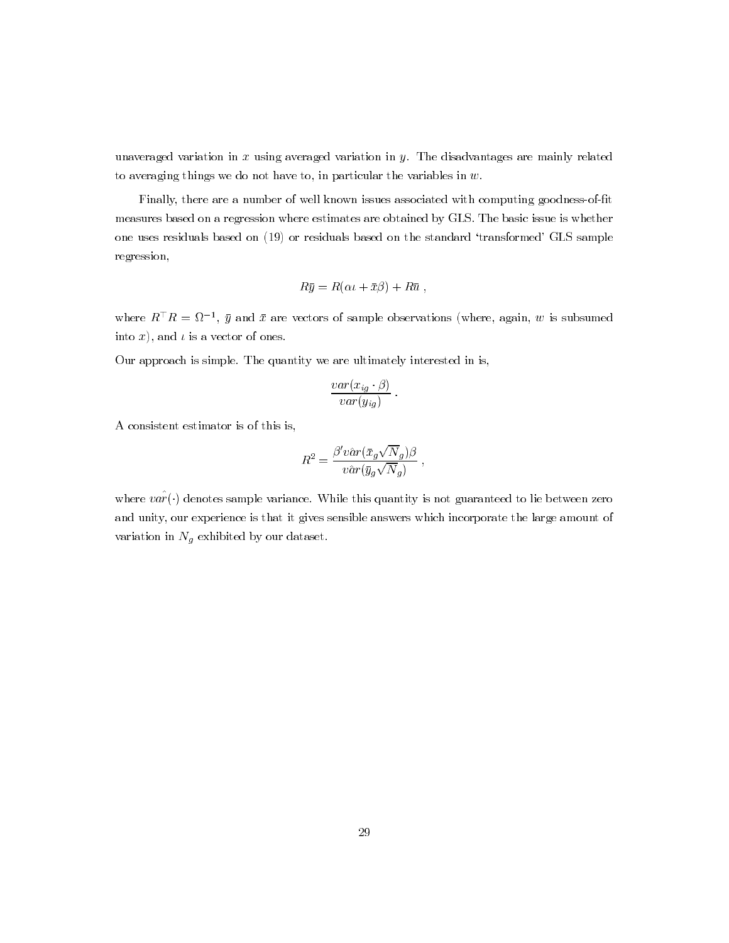unaveraged variation in  $x$  using averaged variation in  $y$ . The disadvantages are mainly related to averaging things we do not have to, in particular the variables in  $w$ .

Finally, there are a number of well known issues associated with computing goodness-of-fit measures based on a regression where estimates are obtained by GLS. The basic issue is whether one uses residuals based on (19) or residuals based on the standard 'transformed' GLS sample regression,

$$
R\bar{y} = R(\alpha t + \bar{x}\beta) + R\bar{u} ,
$$

where  $R^{\top}R = \Omega^{-1}$ ,  $\bar{y}$  and  $\bar{x}$  are vectors of sample observations (where, again, w is subsumed into x), and  $\iota$  is a vector of ones.

Our approach is simple. The quantity we are ultimately interested in is,

$$
\frac{var(x_{ig} \cdot \beta)}{var(y_{ig})}.
$$

A consistent estimator is of this is,

$$
R^2 = \frac{\beta' v \hat{a} r(\bar{x}_g \sqrt{N}_g) \beta}{v \hat{a} r(\bar{y}_g \sqrt{N}_g)}
$$

where  $v \hat{ar}(\cdot)$  denotes sample variance. While this quantity is not guaranteed to lie between zero and unity, our experience is that it gives sensible answers which incorporate the large amount of variation in  $N_g$  exhibited by our dataset.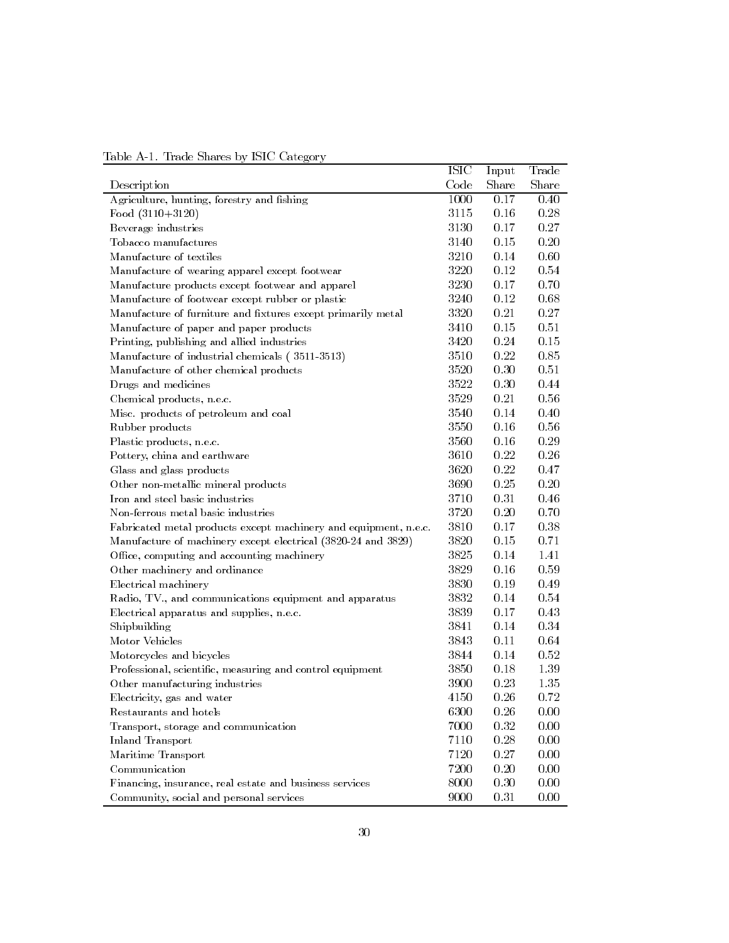| Table A-1. Trade Shares by ISIC Category |  |  |  |
|------------------------------------------|--|--|--|
|                                          |  |  |  |

|                                                                  | <b>ISIC</b> | Input | Trade |
|------------------------------------------------------------------|-------------|-------|-------|
| Description                                                      | Code        | Share | Share |
| Agriculture, hunting, forestry and fishing                       | 1000        | 0.17  | 0.40  |
| Food $(3110+3120)$                                               | 3115        | 0.16  | 0.28  |
| Beverage industries                                              | 3130        | 0.17  | 0.27  |
| Tobacco manufactures                                             | 3140        | 0.15  | 0.20  |
| Manufacture of textiles                                          | 3210        | 0.14  | 0.60  |
| Manufacture of wearing apparel except footwear                   | 3220        | 0.12  | 0.54  |
| Manufacture products except footwear and apparel                 | 3230        | 0.17  | 0.70  |
| Manufacture of footwear except rubber or plastic                 | 3240        | 0.12  | 0.68  |
| Manufacture of furniture and fixtures except primarily metal     | 3320        | 0.21  | 0.27  |
| Manufacture of paper and paper products                          | 3410        | 0.15  | 0.51  |
| Printing, publishing and allied industries                       | 3420        | 0.24  | 0.15  |
| Manufacture of industrial chemicals (3511-3513)                  | 3510        | 0.22  | 0.85  |
| Manufacture of other chemical products                           | 3520        | 0.30  | 0.51  |
| Drugs and medicines                                              | 3522        | 0.30  | 0.44  |
| Chemical products, n.e.c.                                        | 3529        | 0.21  | 0.56  |
| Misc. products of petroleum and coal                             | 3540        | 0.14  | 0.40  |
| Rubber products                                                  | 3550        | 0.16  | 0.56  |
| Plastic products, n.e.c.                                         | 3560        | 0.16  | 0.29  |
| Pottery, china and earthware                                     | 3610        | 0.22  | 0.26  |
| Glass and glass products                                         | 3620        | 0.22  | 0.47  |
| Other non-metallic mineral products                              | 3690        | 0.25  | 0.20  |
| Iron and steel basic industries                                  | 3710        | 0.31  | 0.46  |
| Non-ferrous metal basic industries                               | 3720        | 0.20  | 0.70  |
| Fabricated metal products except machinery and equipment, n.e.c. | 3810        | 0.17  | 0.38  |
| Manufacture of machinery except electrical (3820-24 and 3829)    | 3820        | 0.15  | 0.71  |
| Office, computing and accounting machinery                       | 3825        | 0.14  | 1.41  |
| Other machinery and ordinance                                    | 3829        | 0.16  | 0.59  |
| Electrical machinery                                             | 3830        | 0.19  | 0.49  |
| Radio, TV., and communications equipment and apparatus           | 3832        | 0.14  | 0.54  |
| Electrical apparatus and supplies, n.e.c.                        | 3839        | 0.17  | 0.43  |
| Shipbuilding                                                     | 3841        | 0.14  | 0.34  |
| Motor Vehicles                                                   | 3843        | 0.11  | 0.64  |
| Motorcycles and bicycles                                         | 3844        | 0.14  | 0.52  |
| Professional, scientific, measuring and control equipment        | 3850        | 0.18  | 1.39  |
| Other manufacturing industries                                   | 3900        | 0.23  | 1.35  |
| Electricity, gas and water                                       | 4150        | 0.26  | 0.72  |
| Restaurants and hotels                                           | 6300        | 0.26  | 0.00  |
| Transport, storage and communication                             | 7000        | 0.32  | 0.00  |
| Inland Transport                                                 | 7110        | 0.28  | 0.00  |
| Maritime Transport                                               | 7120        | 0.27  | 0.00  |
| $Communication$                                                  | 7200        | 0.20  | 0.00  |
| Financing, insurance, real estate and business services          | 8000        | 0.30  | 0.00  |
| Community, social and personal services                          | 9000        | 0.31  | 0.00  |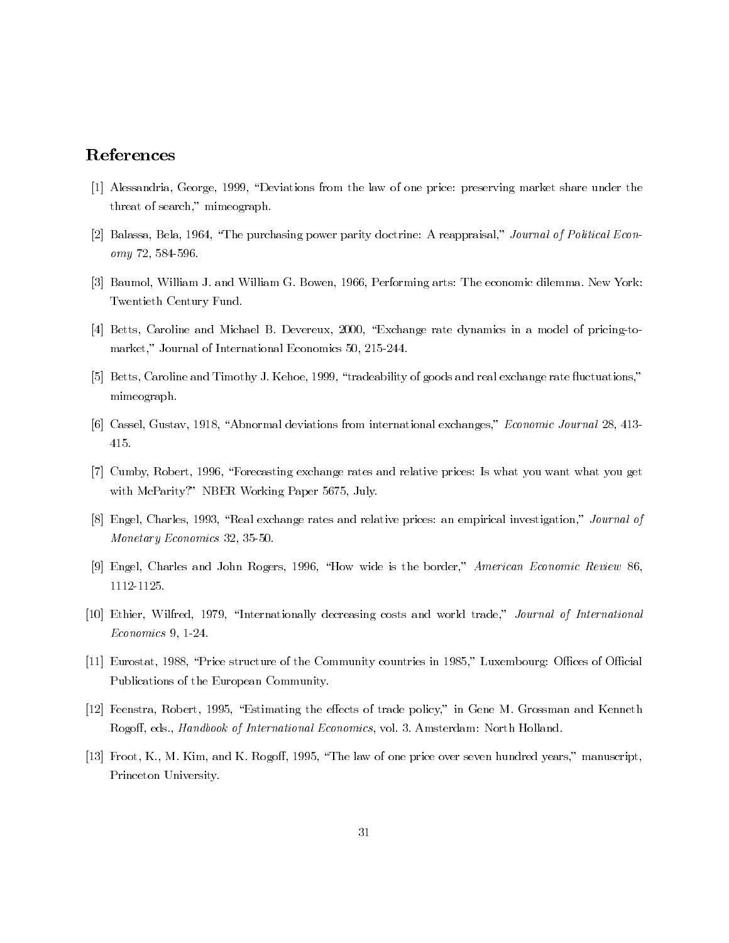## References

- [1] Alessandria, George, 1999, "Deviations from the law of one price: preserving market share under the threat of search," mimeograph.
- [2] Balassa, Bela, 1964, "The purchasing power parity doctrine: A reappraisal," Journal of Political Economy 72, 584-596.
- [3] Baumol, William J. and William G. Bowen, 1966, Performing arts: The economic dilemma. New York: Twentieth Century Fund.
- [4] Betts, Caroline and Michael B. Devereux, 2000, "Exchange rate dynamics in a model of pricing-tomarket," Journal of International Economics 50, 215-244.
- [5] Betts, Caroline and Timothy J. Kehoe, 1999, "tradeability of goods and real exchange rate fluctuations," mimeograph.
- [6] Cassel, Gustav, 1918, "Abnormal deviations from international exchanges," Economic Journal 28, 413-415.
- [7] Cumby, Robert, 1996, "Forecasting exchange rates and relative prices: Is what you want what you get with McParity?" NBER Working Paper 5675, July.
- [8] Engel, Charles, 1993, "Real exchange rates and relative prices: an empirical investigation," Journal of Monetary Economics 32, 35-50.
- [9] Engel, Charles and John Rogers, 1996, "How wide is the border," American Economic Review 86, 1112-1125.
- [10] Ethier, Wilfred, 1979, "Internationally decreasing costs and world trade," Journal of International  $Economics 9, 1-24.$
- [11] Eurostat, 1988, "Price structure of the Community countries in 1985," Luxembourg: Offices of Official Publications of the European Community.
- [12] Feenstra, Robert, 1995, "Estimating the effects of trade policy," in Gene M. Grossman and Kenneth Rogoff, eds., *Handbook of International Economics*, vol. 3. Amsterdam: North Holland.
- [13] Froot, K., M. Kim, and K. Rogoff, 1995, "The law of one price over seven hundred years," manuscript, Princeton University.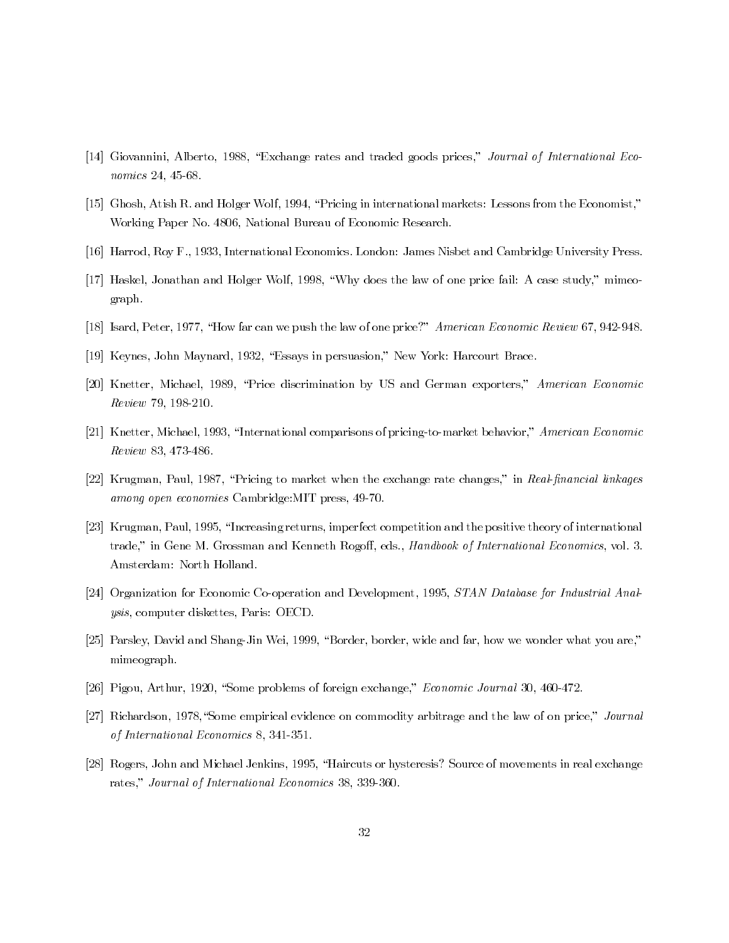- [14] Giovannini, Alberto, 1988, "Exchange rates and traded goods prices," Journal of International Economics 24, 45-68.
- [15] Ghosh, Atish R. and Holger Wolf, 1994, "Pricing in international markets: Lessons from the Economist," Working Paper No. 4806, National Bureau of Economic Research.
- [16] Harrod, Roy F., 1933, International Economics. London: James Nisbet and Cambridge University Press.
- [17] Haskel, Jonathan and Holger Wolf, 1998, "Why does the law of one price fail: A case study," mimeograph.
- [18] Isard, Peter, 1977, "How far can we push the law of one price?" American Economic Review 67, 942-948.
- [19] Keynes, John Maynard, 1932, "Essays in persuasion," New York: Harcourt Brace.
- [20] Knetter, Michael, 1989, "Price discrimination by US and German exporters," American Economic Review 79, 198-210.
- [21] Knetter, Michael, 1993, "International comparisons of pricing-to-market behavior," American Economic Review 83, 473-486.
- [22] Krugman, Paul, 1987, "Pricing to market when the exchange rate changes," in Real-financial linkages among open economies Cambridge: MIT press, 49-70.
- [23] Krugman, Paul, 1995, "Increasing returns, imperfect competition and the positive theory of international trade," in Gene M. Grossman and Kenneth Rogoff, eds., Handbook of International Economics, vol. 3. Amsterdam: North Holland.
- [24] Organization for Economic Co-operation and Development, 1995, STAN Database for Industrial Anal*ysis*, computer diskettes, Paris: OECD.
- [25] Parsley, David and Shang-Jin Wei, 1999, "Border, border, wide and far, how we wonder what you are," mimeograph.
- [26] Pigou, Arthur, 1920, "Some problems of foreign exchange," *Economic Journal* 30, 460-472.
- [27] Richardson, 1978, "Some empirical evidence on commodity arbitrage and the law of on price," Journal of International Economics 8, 341-351.
- [28] Rogers, John and Michael Jenkins, 1995, "Haircuts or hysteresis? Source of movements in real exchange rates," Journal of International Economics 38, 339-360.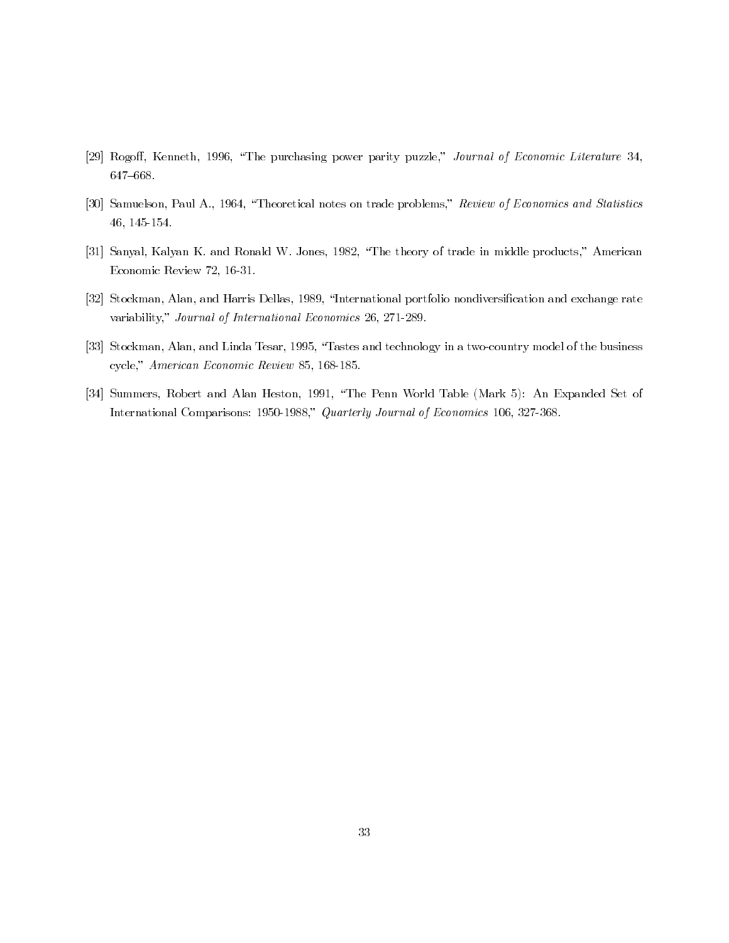- [29] Rogoff, Kenneth, 1996, "The purchasing power parity puzzle," Journal of Economic Literature 34,  $647 - 668$ .
- [30] Samuelson, Paul A., 1964, "Theoretical notes on trade problems," Review of Economics and Statistics  $46, 145-154.$
- [31] Sanyal, Kalyan K. and Ronald W. Jones, 1982, "The theory of trade in middle products," American Economic Review 72, 16-31.
- [32] Stockman, Alan, and Harris Dellas, 1989, "International portfolio nondiversification and exchange rate variability," Journal of International Economics 26, 271-289.
- [33] Stockman, Alan, and Linda Tesar, 1995, "Tastes and technology in a two-country model of the business cycle," American Economic Review 85, 168-185.
- [34] Summers, Robert and Alan Heston, 1991, "The Penn World Table (Mark 5): An Expanded Set of International Comparisons: 1950-1988," Quarterly Journal of Economics 106, 327-368.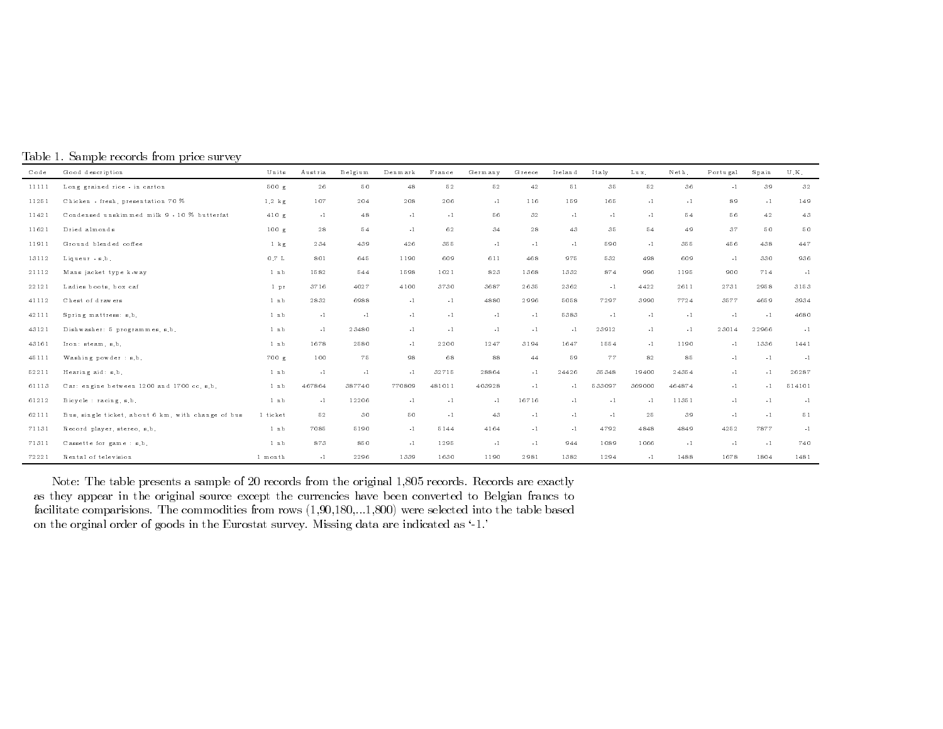|  |  | Table 1. Sample records from price survey |  |  |
|--|--|-------------------------------------------|--|--|
|  |  |                                           |  |  |

| $C$ o de | Good description                                   | U nits           | A ustria | Belgium | Denmark | France        | Germany | Greece | Ireland       | Italy  | Lux.   | Neth.         | Portugal | Spain | ${\rm U}$ . K . |
|----------|----------------------------------------------------|------------------|----------|---------|---------|---------------|---------|--------|---------------|--------|--------|---------------|----------|-------|-----------------|
| 11111    | Long grained rice - in carton                      | 500 g            | 26       | 50      | 48      | 52            | 52      | 42     | $5\,1$        | 35     | 52     | 36            | $-1$     | 39    | 32              |
| 11251    | Chicken - fresh, presentation 70 %                 | $1.2$ kg         | 107      | 204     | 208     | 206           | $-1$    | 116    | 159           | 165    | $-1$   | $-1$          | 89       | $-1$  | 149             |
| 11421    | Condensed unskimmed milk 9 - 10 % butterfat        | 410 g            | $-1$     | 48      | $-1$    | $-1$          | 56      | 32     | $-1$          | $-1$   | $-1$   | 54            | 56       | 42    | 43              |
| 11621    | Dried almonds                                      | 100 g            | 28       | 54      | $-1$    | 62            | 34      | 28     | 43            | 35     | 54     | 49            | 37       | 50    | 50              |
| 11911    | Ground blended coffee                              | $1 \text{ kg}$   | 234      | 439     | 426     | 355           | $-1$    | $-1$   | $\mathbf{-1}$ | 590    | $-1$   | 355           | 456      | 438   | 447             |
| 13112    | Liqueur - s.b.                                     | $0.7\,$ L        | 801      | 645     | 1190    | 609           | 611     | 468    | 975           | 532    | 498    | 609           | $-1$     | 330   | 936             |
| 21112    | Mans jacket type k-way                             | $1$ nb           | 1582     | 544     | 1598    | 1021          | 823     | 1368   | 1332          | 874    | 996    | 1195          | 900      | 714   | $-1$            |
| 22121    | Ladies boots, box caf                              | 1 pr             | 3716     | 4027    | 4100    | 3730          | 3687    | 2635   | 2362          | $-1$   | 4422   | 2611          | 2731     | 2958  | 3153            |
| 41112    | Chest of drawers                                   | $1$ nb           | 2832     | 6988    | $-1$    | $-1$          | 4880    | 2996   | 5058          | 7297   | 3990   | 7724          | 3577     | 4659  | 3934            |
| 42111    | Spring mattress: s.b.                              | $1$ nb           | $-1$     | $-1$    | $-1$    | $-1$          | $-1$    | $-1$   | 5383          | $-1$   | $-1$   | $\mathbf{-1}$ | $-1$     | $-1$  | 4680            |
| 43121    | Dishwasher: 5 programmes, s.b.                     | $1$ nb           | $-1$     | 23480   | $-1$    | $-1$          | $-1$    | $-1$   | $-1$          | 23912  | $-1$   | $-1$          | 23014    | 22966 | $-1$            |
| 43161    | Iron: steam, s.b.                                  | 1nb              | 1678     | 2580    | $-1$    | 2200          | 1247    | 3194   | 1647          | 1554   | $-1$   | 1190          | $-1$     | 1336  | 1441            |
| 45111    | Washing powder : s.b.                              | 700 g            | 100      | 75      | 98      | 68            | $8\,8$  | 44     | 59            | 77     | 82     | 85            | $-1$     | $-1$  | $-1$            |
| 52211    | Hearing aid: s.b.                                  | 1nb              | $-1$     | $-1$    | $-1$    | 32715         | 28864   | $-1$   | 24426         | 35348  | 19400  | 24354         | $-1$     | $-1$  | 26287           |
| 61113    | Car: engine between 1200 and 1700 cc. s.b.         | $1$ nb           | 467864   | 387740  | 770809  | 481011        | 403928  | $-1$   | $-1$          | 533097 | 369000 | 464874        | $-1$     | $-1$  | 514101          |
| 61212    | Bicycle : racing, s.b.                             | $1$ nb           | $-1$     | 12206   | $-1$    | $\mathbf{-1}$ | $-1$    | 16716  | $-1$          | $-1$   | $-1$   | 11351         | $-1$     | $-1$  | $-1$            |
| 62111    | Bus, single ticket, about 6 km, with change of bus | 1 ticket         | 52       | 30      | 50      | $-1$          | 43      | $-1$   | $-1$          | $-1$   | 25     | 39            | $-1$     | $-1$  | 51              |
| 71131    | Record player, stereo, s.b.                        | 1 <sub>n</sub> b | 7085     | 5190    | $-1$    | 5144          | 4164    | $-1$   | $-1$          | 4792   | 4848   | 4849          | 4252     | 7877  | $-1$            |
| 71311    | Cassette for game : s.b.                           | 1nb              | 873      | 850     | $-1$    | 1295          | $-1$    | $-1$   | 944           | 1089   | 1066   | $\mathbf{-1}$ | $-1$     | $-1$  | 740             |
| 72221    | Rental of television                               | 1 month          | $-1$     | 2296    | 1339    | 1630          | 1190    | 2981   | 1382          | 1294   | $-1$   | 1488          | 1678     | 1804  | 1481            |

Note: The table presents a sample of 20 records from the original 1,805 records. Records are exactly as they appear in the original source except the currencies have been converted to Belgian francs to facilitate comparisions. The commodities from rows  $(1,90,180,...1,800)$  were selected into the table based on the orginal order of goods in the Eurostat survey. Missing data are indicated as '-1.'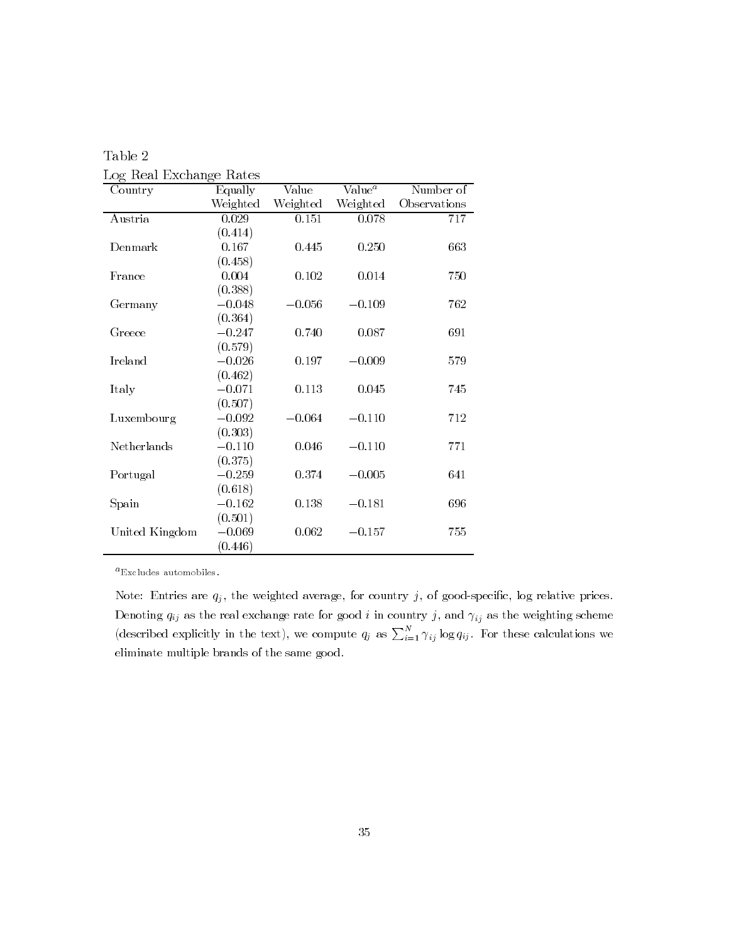| Country        | Equally  | Value    | Value <sup>a</sup> | Number of    |
|----------------|----------|----------|--------------------|--------------|
|                | Weighted | Weighted | Weighted           | Observations |
| Austria        | 0.029    | 0.151    | 0.078              | 717          |
|                | (0.414)  |          |                    |              |
| Denmark        | 0.167    | 0.445    | 0.250              | 663          |
|                | (0.458)  |          |                    |              |
| France         | 0.004    | 0.102    | 0.014              | 750          |
|                | (0.388)  |          |                    |              |
| Germany        | $-0.048$ | $-0.056$ | $-0.109$           | 762          |
|                | (0.364)  |          |                    |              |
| Greece         | $-0.247$ | 0.740    | 0.087              | 691          |
|                | (0.579)  |          |                    |              |
| Ireland        | $-0.026$ | 0.197    | $-0.009$           | 579          |
|                | (0.462)  |          |                    |              |
| Italy          | $-0.071$ | 0.113    | 0.045              | 745          |
|                | (0.507)  |          |                    |              |
| Luxembourg     | $-0.092$ | $-0.064$ | $-0.110$           | 712          |
|                | (0.303)  |          |                    |              |
| Netherlands    | $-0.110$ | 0.046    | $-0.110$           | 771          |
|                | (0.375)  |          |                    |              |
| Portugal       | $-0.259$ | 0.374    | $-0.005$           | 641          |
|                | (0.618)  |          |                    |              |
| Spain          | $-0.162$ | 0.138    | $-0.181$           | 696          |
|                | (0.501)  |          |                    |              |
| United Kingdom | $-0.069$ | 0.062    | $-0.157$           | 755          |
|                | (0.446)  |          |                    |              |

Table 2  $Loc$  Real Exchange Rates

 $a_{\text{Excludes}}$  automobiles.

Note: Entries are  $q_j$ , the weighted average, for country j, of good-specific, log relative prices. Denoting  $q_{ij}$  as the real exchange rate for good i in country j, and  $\gamma_{ij}$  as the weighting scheme (described explicitly in the text), we compute  $q_j$  as  $\sum_{i=1}^{N} \gamma_{ij} \log q_{ij}$ . For these calculations we eliminate multiple brands of the same good.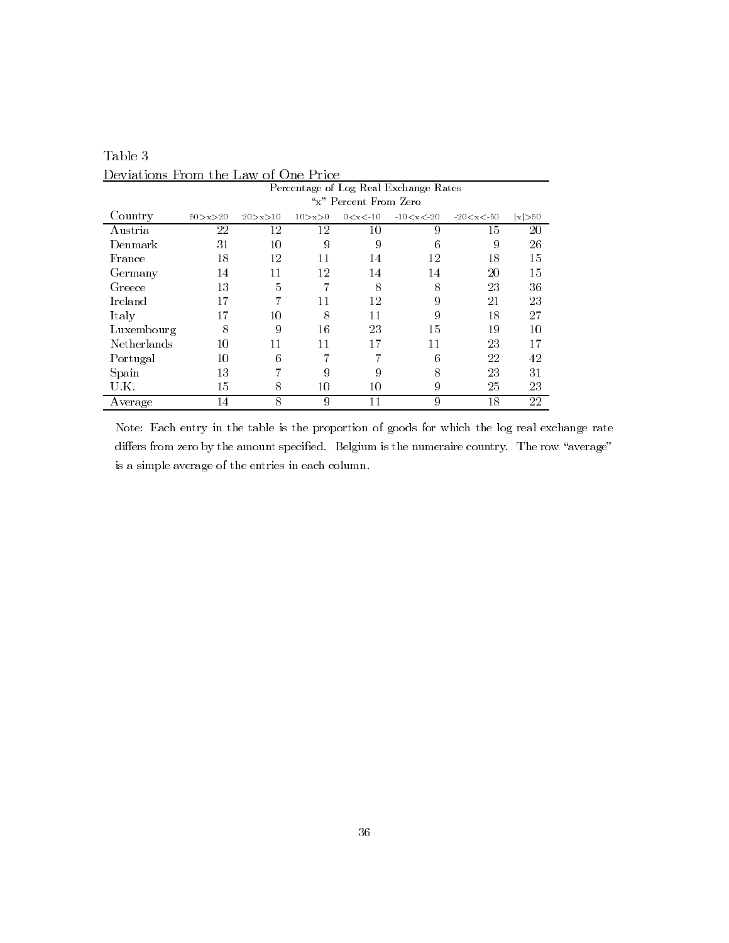|             | реталоны гтонгане нам<br><u>UL UMU LIUU</u><br>Percentage of Log Real Exchange Rates |             |            |               |                 |                 |         |  |  |
|-------------|--------------------------------------------------------------------------------------|-------------|------------|---------------|-----------------|-----------------|---------|--|--|
|             | "x" Percent From Zero                                                                |             |            |               |                 |                 |         |  |  |
| Country     | 50 > x > 20                                                                          | 20 > x > 10 | 10 > x > 0 | $0 < x < -10$ | $-10 < x < -20$ | $-20 < x < -50$ | x  > 50 |  |  |
| Austria     | 22                                                                                   | 12          | 12         | 10            | 9               | 15              | 20      |  |  |
| Denmark     | 31                                                                                   | 10          | 9          | 9             | 6               | 9               | 26      |  |  |
| France      | 18                                                                                   | 12          | 11         | 14            | 12              | 18              | 15      |  |  |
| Germany     | 14                                                                                   | 11          | 12         | 14            | 14              | 20              | 15      |  |  |
| Greece      | 13                                                                                   | 5           |            | 8             | 8               | 23              | 36      |  |  |
| Ireland     | 17                                                                                   | 7           | 11         | 12            | 9               | 21              | 23      |  |  |
| Italy       | 17                                                                                   | 10          | 8          | 11            | 9               | 18              | 27      |  |  |
| Luxembourg  | 8                                                                                    | 9           | 16         | 23            | 15              | 19              | 10      |  |  |
| Netherlands | 10                                                                                   | 11          | 11         | 17            | 11              | 23              | 17      |  |  |
| Portugal    | 10                                                                                   | 6           |            |               | 6               | 22              | 42      |  |  |
| Spain       | 13                                                                                   |             | 9          | 9             | 8               | 23              | 31      |  |  |
| U.K.        | 15                                                                                   | 8           | 10         | 10            | 9               | 25              | 23      |  |  |
| Average     | 14                                                                                   | 8           | 9          | 11            | 9               | 18              | 22      |  |  |

Table  $3\,$ Deviations From the Law of One Price

Note: Each entry in the table is the proportion of goods for which the log real exchange rate differs from zero by the amount specified. Belgium is the numeraire country. The row "average" is a simple average of the entries in each column.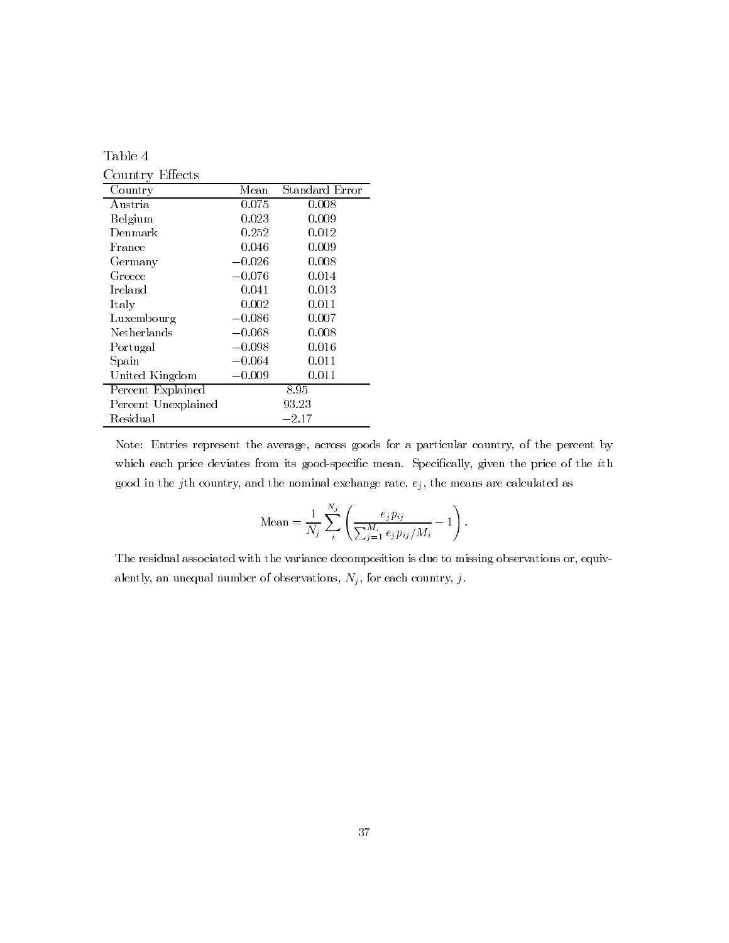| 1.<br>ч |
|---------|
|---------|

Country Effects

| Country             | Mean     | Standard Error |
|---------------------|----------|----------------|
| Austria             | 0.075    | 0.008          |
| Belgium             | 0.023    | 0.009          |
| Denmark             | 0.252    | 0.012          |
| France              | 0.046    | 0.009          |
| Germany             | $-0.026$ | 0.008          |
| Greece              | $-0.076$ | 0.014          |
| Ireland             | 0.041    | 0.013          |
| Italy               | 0.002    | 0.011          |
| Luxembourg          | $-0.086$ | 0.007          |
| Netherlands         | $-0.068$ | 0.008          |
| Portugal            | $-0.098$ | 0.016          |
| Spain               | $-0.064$ | 0.011          |
| United Kingdom      | $-0.009$ | 0.011          |
| Percent Explained   |          | 8.95           |
| Percent Unexplained |          | 93.23          |
| Residual            |          | $-2.17$        |

Note: Entries represent the average, across goods for a particular country, of the percent by which each price deviates from its good-specific mean. Specifically, given the price of the ith good in the j<sup>th</sup> country, and the nominal exchange rate,  $e_j$ , the means are calculated as

Mean = 
$$
\frac{1}{N_j} \sum_{i}^{N_j} \left( \frac{e_j p_{ij}}{\sum_{j=1}^{M_i} e_j p_{ij} / M_i} - 1 \right).
$$

The residual associated with the variance decomposition is due to missing observations or, equivalently, an unequal number of observations,  $N_j$ , for each country, j.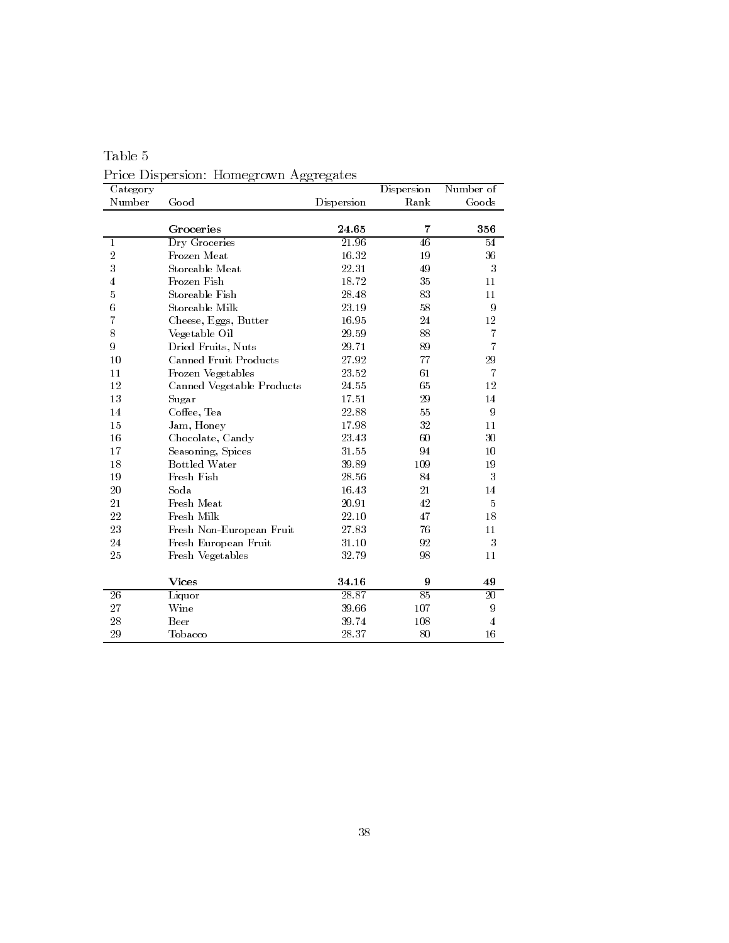| Category         |                              |            | Dispersion | Number of      |
|------------------|------------------------------|------------|------------|----------------|
| Number           | Good                         | Dispersion | Rank       | Goods          |
|                  |                              |            |            |                |
|                  | Groceries                    | 24.65      | 7          | 356            |
| $\mathbf{1}$     | Dry Groceries                | 21.96      | 46         | 54             |
| $\overline{2}$   | Frozen Meat                  | 16.32      | 19         | 36             |
| 3                | Storeable Meat               | 22.31      | 49         | 3              |
| $\overline{4}$   | Frozen Fish                  | 18.72      | 35         | 11             |
| 5                | Storeable Fish               | 28.48      | 83         | 11             |
| $\!6\!$          | Storeable Milk               | 23.19      | 58         | 9              |
| $\overline{7}$   | Cheese, Eggs, Butter         | 16.95      | 24         | 12             |
| 8                | Vegetable Oil                | 29.59      | 88         | 7              |
| $\boldsymbol{9}$ | Dried Fruits, Nuts           | 29.71      | 89         | $\overline{7}$ |
| 10               | <b>Canned Fruit Products</b> | 27.92      | 77         | 29             |
| 11               | Frozen Vegetables            | $23.52\,$  | 61         | 7              |
| 12               | Canned Vegetable Products    | 24.55      | 65         | 12             |
| 13               | Sugar                        | 17.51      | 29         | 14             |
| 14               | Coffee, Tea                  | 22.88      | 55         | 9              |
| 15               | Jam, Honey                   | 17.98      | 32         | 11             |
| 16               | Chocolate, Candy             | 23.43      | 60         | 30             |
| 17               | Seasoning, Spices            | 31.55      | 94         | 10             |
| 18               | <b>Bottled Water</b>         | 39.89      | 109        | 19             |
| 19               | Fresh Fish                   | 28.56      | 84         | 3              |
| 20               | Soda                         | 16.43      | 21         | 14             |
| 21               | Fresh Meat                   | 20.91      | 42         | 5              |
| 22               | Fresh Milk                   | 22.10      | 47         | 18             |
| 23               | Fresh Non-European Fruit     | 27.83      | 76         | 11             |
| 24               | Fresh European Fruit         | 31.10      | 92         | 3              |
| 25               | Fresh Vegetables             | 32.79      | 98         | 11             |
|                  |                              |            |            |                |
|                  | Vices                        | 34.16      | 9          | 49             |
| 26               | Liquor                       | 28.87      | 85         | 20             |
| 27               | Wine                         | 39.66      | 107        | 9              |
| 28               | Beer                         | 39.74      | 108        | $\overline{4}$ |
| 29               | Tobacco                      | 28.37      | 80         | 16             |

Table  $5\,$ Price Dispersion: Homegrown Aggregates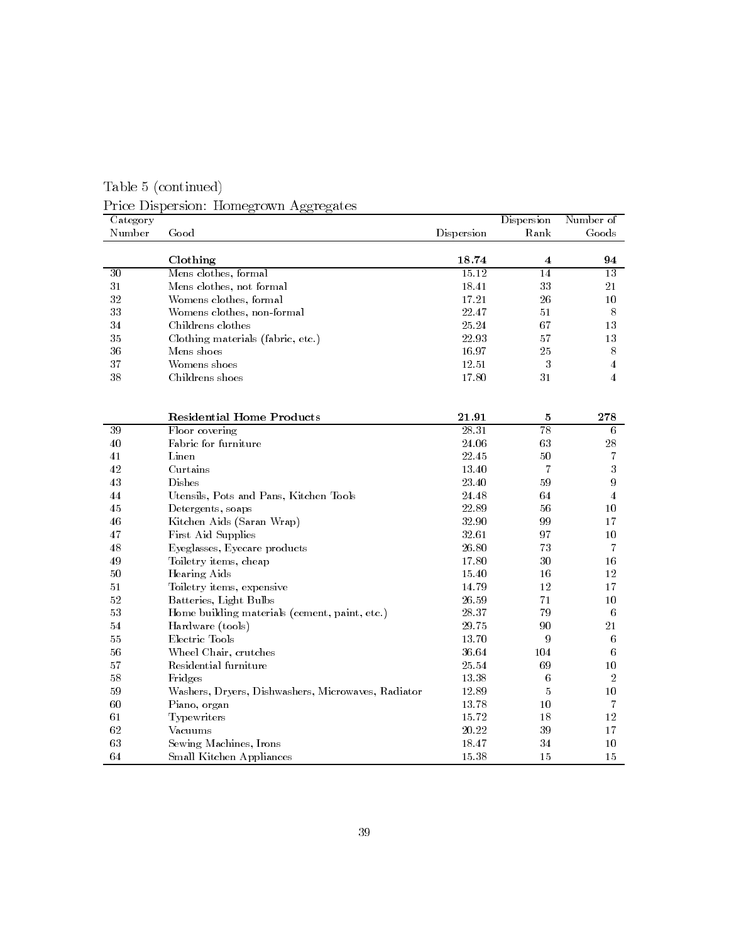Table 5 (continued)

Price Dispersion: Homegrown Aggregates

| Category        |                                                    |            | Dispersion       | Number of               |
|-----------------|----------------------------------------------------|------------|------------------|-------------------------|
| Number          | Good                                               | Dispersion | Rank             | Goods                   |
|                 |                                                    |            |                  |                         |
|                 | Clothing                                           | 18.74      | 4                | 94                      |
| $\overline{30}$ | Mens clothes, formal                               | 15.12      | 14               | $\overline{13}$         |
| 31              | Mens clothes, not formal                           | 18.41      | 33               | 21                      |
| 32              | Womens clothes, formal                             | 17.21      | 26               | 10                      |
| 33              | Womens clothes, non-formal                         | 22.47      | 51               | 8                       |
| 34              | Childrens clothes                                  | 25.24      | 67               | 13                      |
| 35              | Clothing materials (fabric, etc.)                  | 22.93      | 57               | 13                      |
| 36              | Mens shoes                                         | 16.97      | 25               | $8\,$                   |
| 37              | Womens shoes                                       | 12.51      | $\boldsymbol{3}$ | $\overline{\mathbf{4}}$ |
| 38              | Childrens shoes                                    | 17.80      | 31               | $\overline{4}$          |
|                 |                                                    |            |                  |                         |
|                 |                                                    |            |                  |                         |
|                 | <b>Residential Home Products</b>                   | 21.91      | 5                | 278                     |
| 39              | Floor covering                                     | 28.31      | 78               | 6                       |
| 40              | Fabric for furniture                               | 24.06      | 63               | 28                      |
| 41              | Linen                                              | 22.45      | 50               | 7                       |
| 42              | Curtains                                           | 13.40      | 7                | 3                       |
| 43              | Dishes                                             | 23.40      | 59               | 9                       |
| 44              | Utensils, Pots and Pans, Kitchen Tools             | 24.48      | 64               | $\overline{4}$          |
| 45              | Detergents, soaps                                  | 22.89      | 56               | 10                      |
| 46              | Kitchen Aids (Saran Wrap)                          | 32.90      | 99               | 17                      |
| 47              | First Aid Supplies                                 | 32.61      | 97               | $10\,$                  |
| 48              | Eyeglasses, Eyecare products                       | 26.80      | 73               | 7                       |
| 49              | Toiletry items, cheap                              | 17.80      | 30               | 16                      |
| 50              | Hearing Aids                                       | 15.40      | 16               | 12                      |
| 51              | Toiletry items, expensive                          | 14.79      | 12               | 17                      |
| 52              | Batteries, Light Bulbs                             | 26.59      | 71               | 10                      |
| 53              | Home building materials (cement, paint, etc.)      | 28.37      | 79               | 6                       |
| 54              | Hardware (tools)                                   | 29.75      | 90               | 21                      |
| 55              | Electric Tools                                     | 13.70      | 9                | 6                       |
| 56              | Wheel Chair, crutches                              | 36.64      | 104              | 6                       |
| 57              | Residential furniture                              | 25.54      | 69               | 10 <sup>°</sup>         |
| 58              | Fridges                                            | 13.38      | 6                | $\overline{2}$          |
| 59              | Washers, Dryers, Dishwashers, Microwaves, Radiator | 12.89      | 5                | 10                      |
| 60              | Piano, organ                                       | 13.78      | 10               | 7                       |
| 61              | Typewriters                                        | 15.72      | 18               | 12                      |
| 62              | Vacuums                                            | 20.22      | 39               | 17                      |
| 63              | Sewing Machines, Irons                             | 18.47      | 34               | 10                      |
| 64              | Small Kitchen Appliances                           | 15.38      | 15               | 15                      |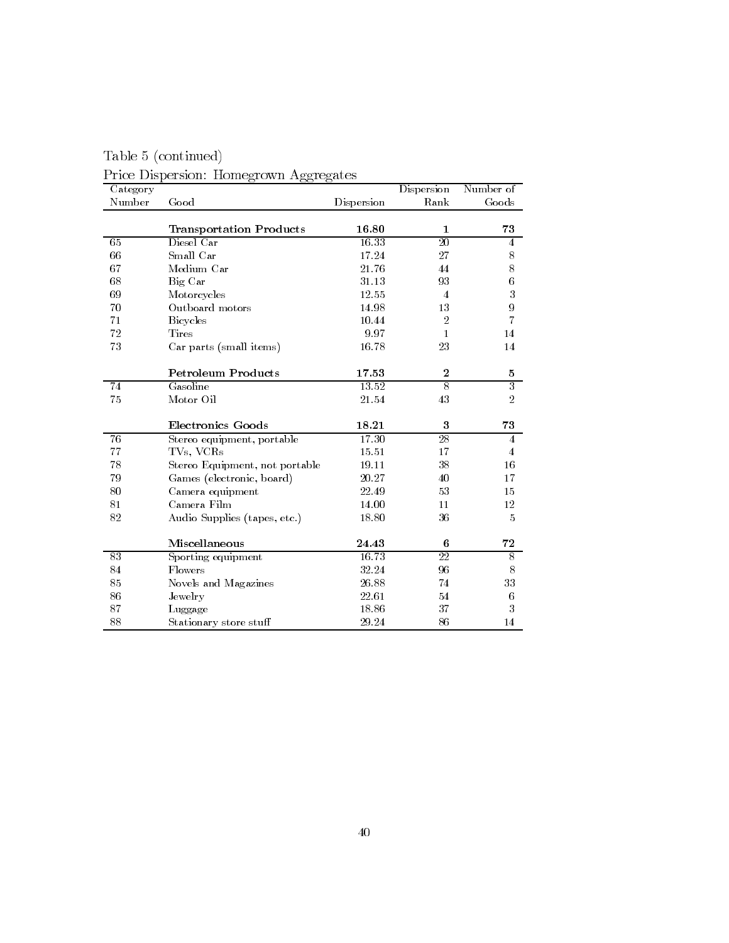| Category |                                |            | Dispersion       | Number of                            |
|----------|--------------------------------|------------|------------------|--------------------------------------|
| Number   | Good                           | Dispersion | Rank             | Goods                                |
|          | <b>Transportation Products</b> | 16.80      | 1                | 73                                   |
| 65       | Diesel Car                     | 16.33      | $\overline{20}$  | $\overline{4}$                       |
| 66       | Small Car                      | 17.24      | 27               | 8                                    |
| 67       | Medium Car                     | 21.76      | 44               | 8                                    |
| 68       | Big Car                        | 31.13      | 93               | $\boldsymbol{6}$                     |
| 69       | Motorcycles                    | 12.55      | $\overline{4}$   | $\overline{3}$                       |
| 70       | Outboard motors                | 14.98      | 13               | $\boldsymbol{9}$                     |
| 71       | <b>Bicycles</b>                | 10.44      | $\overline{2}$   | $\overline{7}$                       |
| 72       | Tires                          | 9.97       | $\mathbf{1}$     | 14                                   |
| 73       | Car parts (small items)        | 16.78      | 23               | 14                                   |
|          | <b>Petroleum Products</b>      | 17.53      | $\boldsymbol{2}$ | $\bf 5$                              |
| 74       | Gasoline                       | 13.52      | $\overline{s}$   | $\overline{3}$                       |
| 75       | Motor Oil                      | 21.54      | 43               | $\sqrt{2}$                           |
|          | <b>Electronics Goods</b>       | 18.21      | 3                | 73                                   |
| 76       | Stereo equipment, portable     | 17.30      | 28               | $\overline{4}$                       |
| 77       | TVs, VCRs                      | 15.51      | 17               | $\overline{4}$                       |
| 78       | Stereo Equipment, not portable | 19.11      | 38               | 16                                   |
| 79       | Games (electronic, board)      | 20.27      | 40               | 17                                   |
| 80       | Camera equipment               | 22.49      | 53               | 15                                   |
| 81       | Camera Film                    | 14.00      | 11               | 12                                   |
| 82       | Audio Supplies (tapes, etc.)   | 18.80      | 36               | $\overline{5}$                       |
|          | Miscellaneous                  | 24.43      | 6                | 72                                   |
| 83       | Sporting equipment             | 16.73      | $\overline{22}$  | $\overline{\overline{\overline{8}}}$ |
| 84       | Flowers                        | 32.24      | 96               | 8                                    |
| 85       | Novels and Magazines           | 26.88      | 74               | 33                                   |
| 86       | Jewelry                        | 22.61      | 54               | $\,6$                                |
| 87       | Luggage                        | 18.86      | 37               | 3                                    |
| 88       | Stationary store stuff         | 29.24      | 86               | 14                                   |

Table 5 (continued) Price Dispersion: Homegrown Aggregates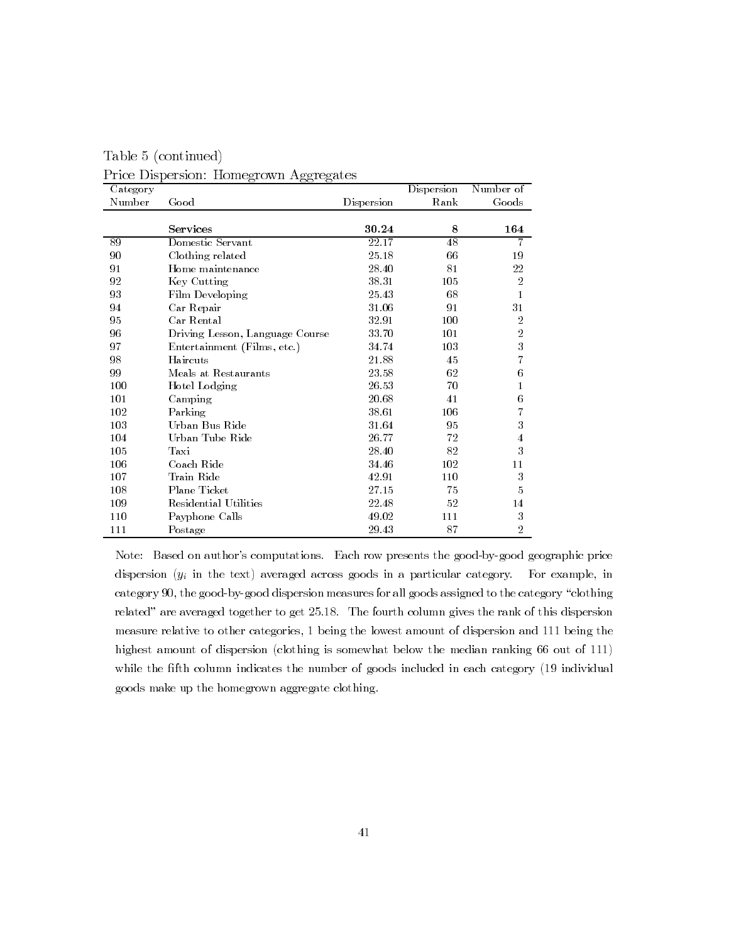| Category |                                 |            | Dispersion | Number of      |
|----------|---------------------------------|------------|------------|----------------|
| Number   | Good                            | Dispersion | Rank       | Goods          |
|          |                                 |            |            |                |
|          | Services                        | 30.24      | 8          | 164            |
| 89       | Domestic Servant                | 22.17      | 48         | 7              |
| 90       | Clothing related                | 25.18      | 66         | 19             |
| 91       | Home maintenance                | 28.40      | 81         | 22             |
| 92       | Key Cutting                     | 38.31      | 105        | $\overline{2}$ |
| 93       | Film Developing                 | 25.43      | 68         | 1              |
| 94       | Car Repair                      | 31.06      | 91         | 31             |
| 95       | Car Rental                      | 32.91      | 100        | 2              |
| 96       | Driving Lesson, Language Course | 33.70      | 101        | $\sqrt{2}$     |
| 97       | Entertainment (Films, etc.)     | 34.74      | 103        | 3              |
| 98       | Haircuts                        | 21.88      | 45         | 7              |
| 99       | Meals at Restaurants            | 23.58      | 62         | 6              |
| 100      | Hotel Lodging                   | 26.53      | 70         | 1              |
| 101      | Camping                         | 20.68      | 41         | 6              |
| 102      | Parking                         | 38.61      | 106        | 7              |
| 103      | Urban Bus Ride                  | 31.64      | 95         | 3              |
| 104      | Urban Tube Ride                 | 26.77      | 72         | $\overline{4}$ |
| 105      | Taxi                            | 28.40      | 82         | 3              |
| 106      | Coach Ride                      | 34.46      | 102        | 11             |
| 107      | Train Ride                      | 42.91      | 110        | 3              |
| 108      | Plane Ticket                    | 27.15      | 75         | 5              |
| 109      | Residential Utilities           | 22.48      | 52         | 14             |
| 110      | Payphone Calls                  | 49.02      | 111        | 3              |
| 111      | Postage                         | 29.43      | 87         | 2              |

Table 5 (continued) Price Dispersion: Homegrown Aggregates

Note: Based on author's computations. Each row presents the good-by-good geographic price dispersion  $(y_i$  in the text) averaged across goods in a particular category. For example, in category 90, the good-by-good dispersion measures for all goods assigned to the category "clothing related" are averaged together to get 25.18. The fourth column gives the rank of this dispersion measure relative to other categories, 1 being the lowest amount of dispersion and 111 being the highest amount of dispersion (clothing is somewhat below the median ranking 66 out of 111) while the fifth column indicates the number of goods included in each category (19 individual goods make up the homegrown aggregate clothing.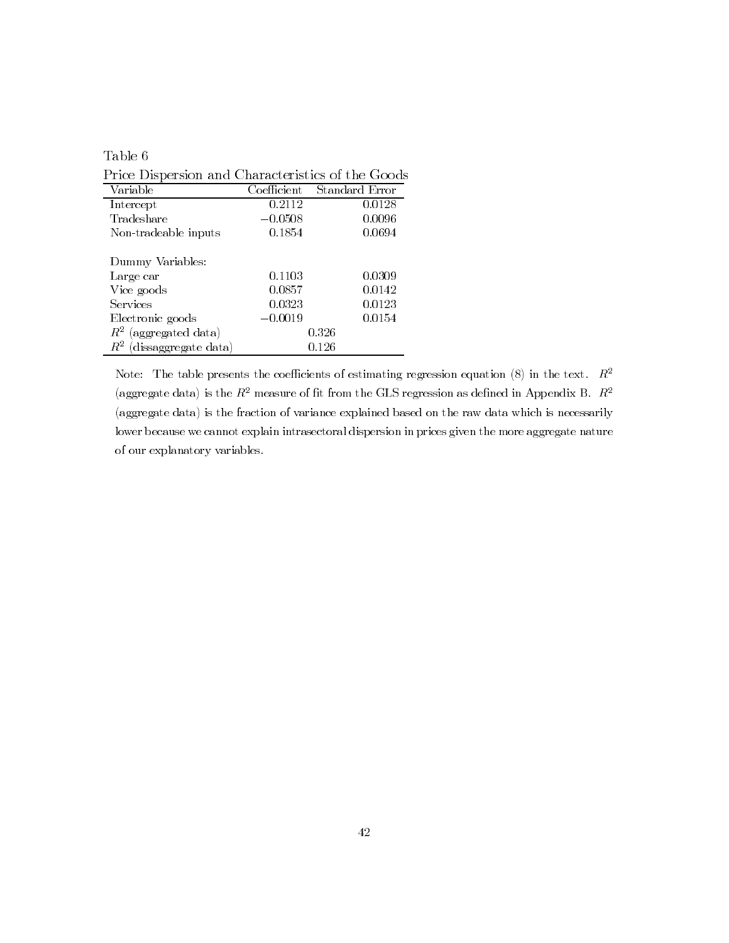| able |  |
|------|--|
|      |  |

Price Dispersion and Characteristics of the Goods

| Variable                      | Coefficient | Standard Error |
|-------------------------------|-------------|----------------|
| Intercept                     | 0.2112      | 0.0128         |
| Tradeshare                    | $-0.0508$   | 0.0096         |
| Non-tradeable inputs          | 0.1854      | 0.0694         |
| Dummy Variables:              |             |                |
| Large car                     | 0.1103      | 0.0309         |
| Vice goods                    | 0.0857      | 0.0142         |
| Services                      | 0.0323      | 0.0123         |
| Electronic goods              | $-0.0019$   | 0.0154         |
| $R^2$ (aggregated data)       |             | 0.326          |
| (dissaggregate data)<br>$R^z$ |             | 0.126          |

Note: The table presents the coefficients of estimating regression equation (8) in the text.  $R^2$ (aggregate data) is the  $R^2$  measure of fit from the GLS regression as defined in Appendix B.  $R^2$ (aggregate data) is the fraction of variance explained based on the raw data which is necessarily lower because we cannot explain intrasectoral dispersion in prices given the more aggregate nature of our explanatory variables.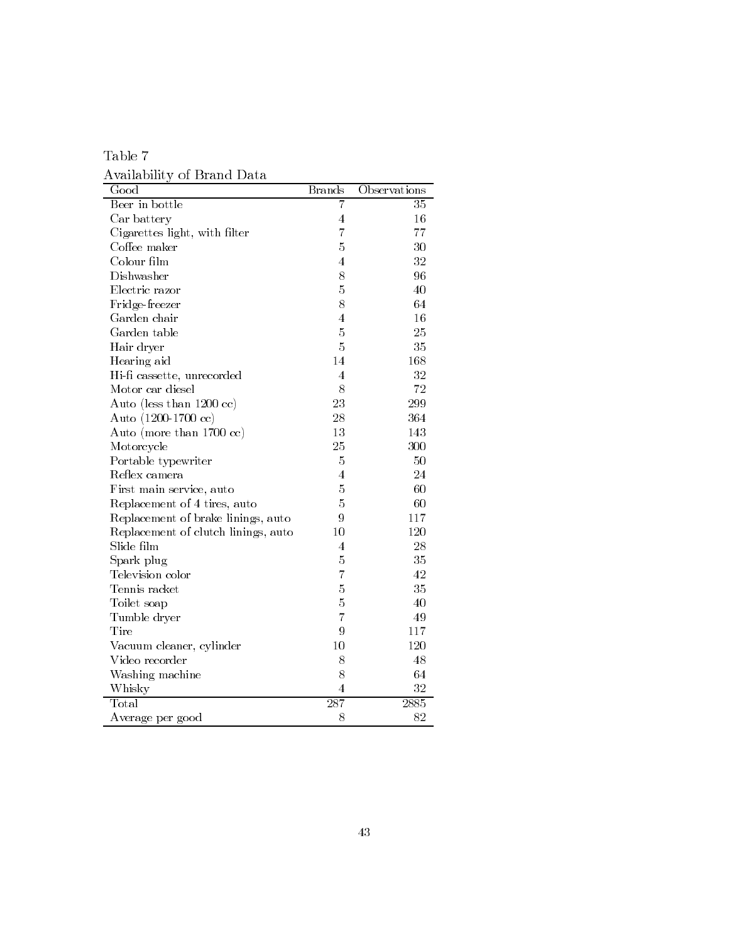Table  $7\,$ Availability of Brand Data

| Good                                | <b>Brands</b>           | Observations |
|-------------------------------------|-------------------------|--------------|
| Beer in bottle                      | 7                       | 35           |
| Car battery                         | 4                       | 16           |
| Cigarettes light, with filter       | $\overline{7}$          | 77           |
| Coffee maker                        | 5                       | 30           |
| Colour film                         | $\overline{4}$          | 32           |
| Dishwasher                          | 8                       | 96           |
| Electric razor                      | 5                       | 40           |
| Fridge-freezer                      | 8                       | 64           |
| Garden chair                        | $\overline{4}$          | 16           |
| Garden table                        | $\overline{5}$          | 25           |
| Hair dryer                          | 5                       | 35           |
| Hearing aid                         | 14                      | 168          |
| Hi-fi cassette, unrecorded          | 4                       | 32           |
| Motor car diesel                    | 8                       | 72           |
| Auto (less than 1200 cc)            | 23                      | 299          |
| Auto (1200-1700 cc)                 | 28                      | 364          |
| Auto (more than 1700 cc)            | 13                      | 143          |
| Motorcycle                          | 25                      | 300          |
| Portable typewriter                 | $\overline{5}$          | 50           |
| Reflex camera                       | 4                       | 24           |
| First main service, auto            | 5                       | 60           |
| Replacement of 4 tires, auto        | 5                       | 60           |
| Replacement of brake linings, auto  | 9                       | 117          |
| Replacement of clutch linings, auto | 10                      | 120          |
| Slide film                          | 4                       | 28           |
| Spark plug                          | 5                       | 35           |
| Television color                    | $\overline{7}$          | 42           |
| Tennis racket                       | $\overline{5}$          | 35           |
| Toilet soap                         | 5                       | 40           |
| Tumble dryer                        | $\overline{7}$          | 49           |
| Tire                                | $\overline{Q}$          | 117          |
| Vacuum cleaner, cylinder            | 10                      | 120          |
| Video recorder                      | 8                       | 48           |
| Washing machine                     | 8                       | 64           |
| Whisky                              | $\overline{\mathbf{4}}$ | 32           |
| Total                               | 287                     | 2885         |
| Average per good                    | 8                       | 82           |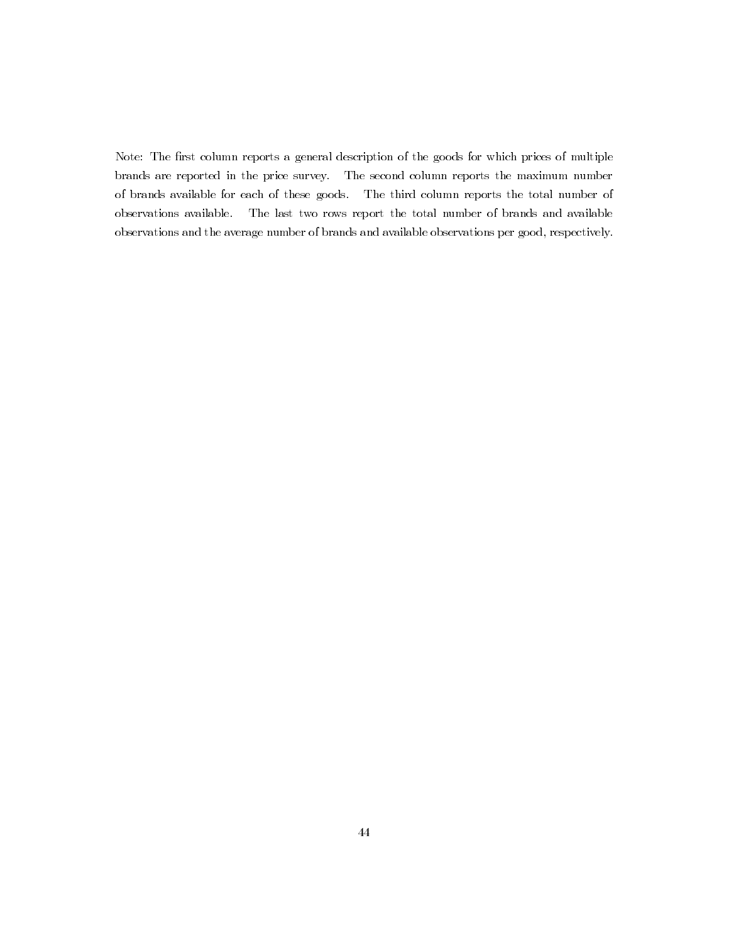Note: The first column reports a general description of the goods for which prices of multiple brands are reported in the price survey. The second column reports the maximum number of brands available for each of these goods. The third column reports the total number of observations available. The last two rows report the total number of brands and available observations and the average number of brands and available observations per good, respectively.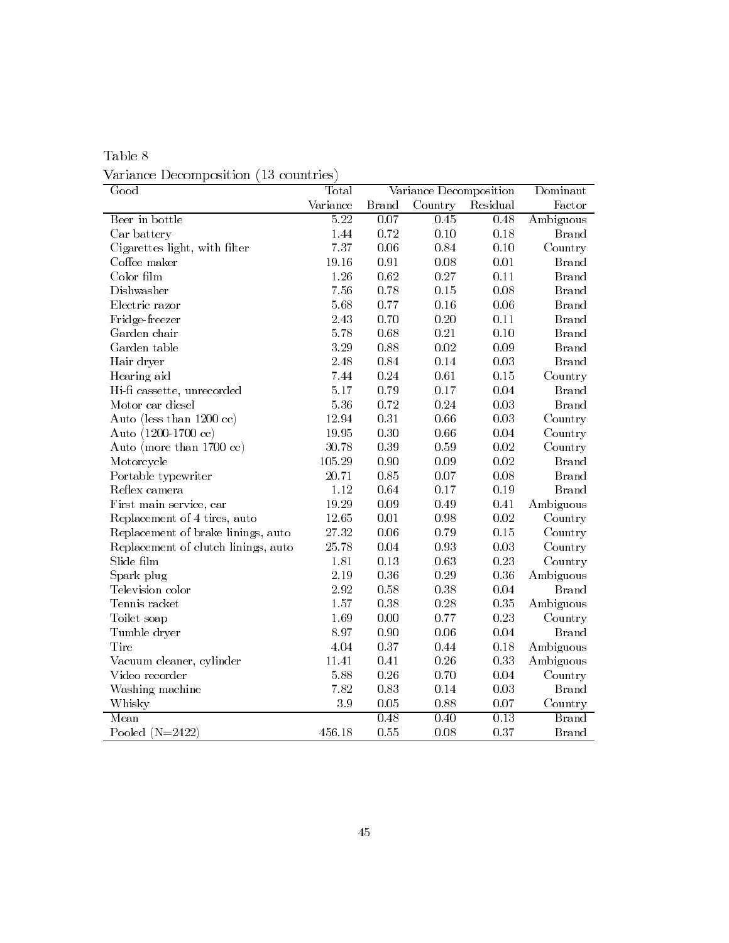| Table 8                               |  |
|---------------------------------------|--|
| Variance Decomposition (13 countries) |  |

| $\overline{\text{Good}}$            | Total             |                   | Variance Decomposition |                   | Dominant     |
|-------------------------------------|-------------------|-------------------|------------------------|-------------------|--------------|
|                                     | Variance          | <b>Brand</b>      | Country                | Residual          | Factor       |
| Beer in bottle                      | $\overline{5.22}$ | $\overline{0.07}$ | $\overline{0.45}$      | 0.48              | Ambiguous    |
| Car battery                         | 1.44              | 0.72              | 0.10                   | 0.18              | <b>Brand</b> |
| Cigarettes light, with filter       | 7.37              | 0.06              | 0.84                   | 0.10              | Country      |
| Coffee maker                        | 19.16             | 0.91              | $0.08\,$               | 0.01              | <b>Brand</b> |
| Color film                          | 1.26              | 0.62              | $0.27\,$               | 0.11              | <b>Brand</b> |
| Dishwasher                          | 7.56              | 0.78              | 0.15                   | 0.08              | <b>Brand</b> |
| Electric razor                      | 5.68              | 0.77              | 0.16                   | $0.06\,$          | <b>Brand</b> |
| Fridge-freezer                      | 2.43              | 0.70              | 0.20                   | 0.11              | <b>Brand</b> |
| Garden chair                        | 5.78              | 0.68              | 0.21                   | 0.10              | <b>Brand</b> |
| Garden table                        | 3.29              | 0.88              | $0.02\,$               | 0.09              | <b>Brand</b> |
| Hair dryer                          | 2.48              | 0.84              | 0.14                   | 0.03              | <b>Brand</b> |
| Hearing aid                         | 7.44              | 0.24              | 0.61                   | 0.15              | Country      |
| Hi-fi cassette, unrecorded          | 5.17              | 0.79              | $0.17\,$               | 0.04              | <b>Brand</b> |
| Motor car diesel                    | $5.36\,$          | 0.72              | 0.24                   | 0.03              | <b>Brand</b> |
| Auto (less than 1200 cc)            | 12.94             | 0.31              | 0.66                   | 0.03              | Country      |
| Auto (1200-1700 cc)                 | 19.95             | 0.30              | 0.66                   | 0.04              | Country      |
| Auto (more than $1700 \text{ cc}$ ) | 30.78             | 0.39              | 0.59                   | 0.02              | Country      |
| Motorcycle                          | 105.29            | 0.90              | 0.09                   | 0.02              | <b>Brand</b> |
| Portable typewriter                 | 20.71             | $\,0.85\,$        | $0.07\,$               | 0.08              | <b>Brand</b> |
| Reflex camera                       | 1.12              | 0.64              | 0.17                   | 0.19              | <b>Brand</b> |
| First main service, car             | 19.29             | 0.09              | $0.49\,$               | 0.41              | Ambiguous    |
| Replacement of 4 tires, auto        | $12.65\,$         | $0.01\,$          | 0.98                   | $\rm 0.02$        | Country      |
| Replacement of brake linings, auto  | $27\;32$          | 0.06              | 0.79                   | 0.15              | Country      |
| Replacement of clutch linings, auto | 25.78             | 0.04              | 0.93                   | 0.03              | Country      |
| Slide film                          | 1.81              | 0.13              | 0.63                   | 0.23              | Country      |
| Spark plug                          | 2.19              | 0.36              | $0.29\,$               | 0.36              | Ambiguous    |
| Television color                    | $2.92\,$          | 0.58              | $0.38\,$               | 0.04              | <b>Brand</b> |
| Tennis racket                       | 1.57              | 0.38              | 0.28                   | $0.35\,$          | Ambiguous    |
| Toilet soap                         | 1.69              | 0.00              | 0.77                   | 0.23              | Country      |
| Tumble dryer                        | 8.97              | 0.90              | $0.06\,$               | 0.04              | <b>Brand</b> |
| Tire                                | 4.04              | 0.37              | 0.44                   | 0.18              | Ambiguous    |
| Vacuum cleaner, cylinder            | 11.41             | 0.41              | $0.26\,$               | 0.33              | Ambiguous    |
| Video recorder                      | 5.88              | 0.26              | 0.70                   | 0.04              | Country      |
| Washing machine                     | 7.82              | 0.83              | 0.14                   | 0.03              | <b>Brand</b> |
| Whisky                              | $3\,$ $9\,$       | 0.05              | 0.88                   | 0.07              | Country      |
| Mean                                |                   | $\overline{0.48}$ | 0.40                   | $\overline{0.13}$ | <b>Brand</b> |
| Pooled $(N=2422)$                   | 456.18            | 0.55              | 0.08                   | 0.37              | <b>Brand</b> |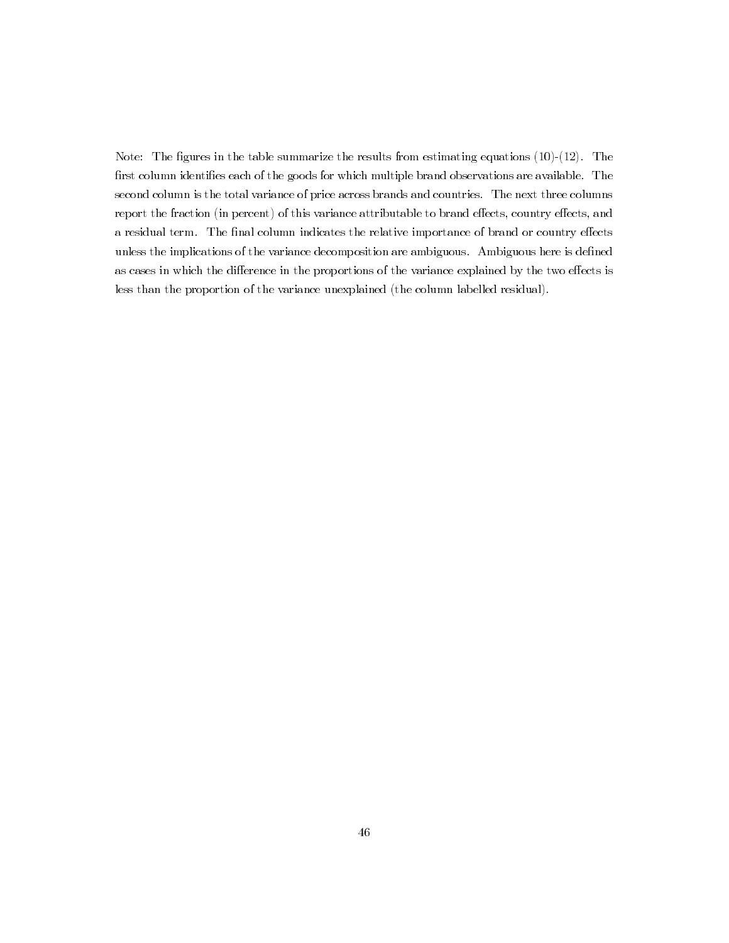Note: The figures in the table summarize the results from estimating equations  $(10)-(12)$ . The first column identifies each of the goods for which multiple brand observations are available. The second column is the total variance of price across brands and countries. The next three columns report the fraction (in percent) of this variance attributable to brand effects, country effects, and a residual term. The final column indicates the relative importance of brand or country effects unless the implications of the variance decomposition are ambiguous. Ambiguous here is defined as cases in which the difference in the proportions of the variance explained by the two effects is less than the proportion of the variance unexplained (the column labelled residual).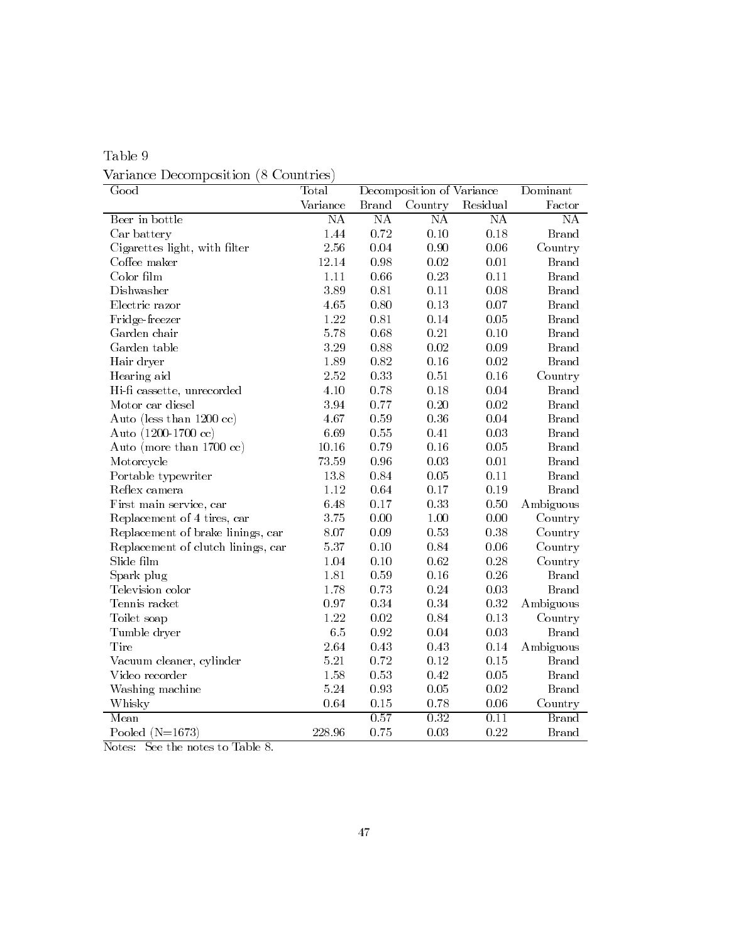| Table 9                              |  |
|--------------------------------------|--|
| Variance Decomposition (8 Countries) |  |

| Good                                | Total    | Decomposition of Variance |                        | Dominant               |                        |
|-------------------------------------|----------|---------------------------|------------------------|------------------------|------------------------|
|                                     | Variance | <b>Brand</b>              | Country                | Residual               | Factor                 |
| Beer in bottle                      | NA       | $\overline{\text{NA}}$    | $\overline{\text{NA}}$ | $\overline{\text{NA}}$ | NA                     |
| Car battery                         | 1.44     | $0.72\,$                  | $0.10\,$               | 0.18                   | <b>Brand</b>           |
| Cigarettes light, with filter       | 2.56     | $\,0.04$                  | 0.90                   | 0.06                   | Country                |
| Coffee maker                        | 12.14    | 0.98                      | $0.02\,$               | $0.01\,$               | <b>Brand</b>           |
| Color film                          | 1.11     | 0.66                      | 0.23                   | 0.11                   | <b>Brand</b>           |
| Dishwasher                          | 3.89     | 0.81                      | 0.11                   | $0.08\,$               | <b>Brand</b>           |
| Electric razor                      | 4.65     | 0.80                      | 0.13                   | $0.07\,$               | <b>Brand</b>           |
| Fridge-freezer                      | 1.22     | 0.81                      | 0.14                   | $0.05\,$               | <b>Brand</b>           |
| Garden chair                        | 5.78     | 0.68                      | 0.21                   | 0.10                   | <b>Brand</b>           |
| Garden table                        | 3.29     | 0.88                      | 0.02                   | $0.09\,$               | <b>Brand</b>           |
| Hair dryer                          | 1.89     | 0.82                      | 0.16                   | $0.02\,$               | <b>Brand</b>           |
| Hearing aid                         | $2\!.52$ | 0.33                      | 0.51                   | 0.16                   | Country                |
| Hi-fi cassette, unrecorded          | 4.10     | 0.78                      | 0.18                   | 0.04                   | <b>Brand</b>           |
| Motor car diesel                    | $3.94\,$ | 0.77                      | 0.20                   | $0.02\,$               | <b>Brand</b>           |
| Auto (less than 1200 cc)            | 4.67     | 0.59                      | 0.36                   | 0.04                   | <b>Brand</b>           |
| Auto (1200-1700 cc)                 | 6.69     | 0.55                      | 0.41                   | 0.03                   | <b>Brand</b>           |
| Auto (more than $1700 \text{ cc}$ ) | 10.16    | 0.79                      | 0.16                   | 0.05                   | <b>Brand</b>           |
| Motorcycle                          | 73.59    | 0.96                      | 0.03                   | $0.01\,$               | <b>Brand</b>           |
| Portable typewriter                 | 13.8     | 0.84                      | 0.05                   | 0.11                   | <b>Brand</b>           |
| Reflex camera                       | 1.12     | 0.64                      | 0.17                   | 0.19                   | <b>Brand</b>           |
| First main service, car             | 6.48     | 0.17                      | 0.33                   | 0.50                   | Ambiguous              |
| Replacement of 4 tires, car         | 3.75     | $0.00\,$                  | $1.00\,$               | $0.00\,$               | Country                |
| Replacement of brake linings, car   | $8.07\,$ | $0.09\,$                  | $0.53\,$               | 0.38                   | Country                |
| Replacement of clutch linings, car  | $5.37\,$ | 0.10                      | 0.84                   | $0.06\,$               | Country                |
| Slide film                          | 1.04     | 0.10                      | 0.62                   | $0.28\,$               | Country                |
| Spark plug                          | 1.81     | 0.59                      | 0.16                   | $0.26\,$               | <b>Brand</b>           |
| Television color                    | 1.78     | 0.73                      | $\rm 0.24$             | $\rm 0.03$             | <b>Brand</b>           |
| Tennis racket                       | 0.97     | 0.34                      | 0.34                   | $\rm 0.32$             | Ambiguous              |
| Toilet soap                         | 1.22     | $\rm 0.02$                | 0.84                   | $0.13\,$               | Country                |
| Tumble dryer                        | 6.5      | 0.92                      | 0.04                   | 0.03                   | $\operatorname{Brand}$ |
| Tire                                | $2.64\,$ | $0.43\,$                  | 0.43                   | $0.14\,$               | Ambiguous              |
| Vacuum cleaner, cylinder            | $5.21\,$ | 0.72                      | 0.12                   | 0.15                   | <b>Brand</b>           |
| Video recorder                      | 1.58     | $0.53\,$                  | 0.42                   | 0.05                   | <b>Brand</b>           |
| Washing machine                     | 5.24     | 0.93                      | 0.05                   | 0.02                   | <b>Brand</b>           |
| Whisky                              | 0.64     | $0.15\,$                  | 0.78                   | 0.06                   | Country                |
| Mean                                |          | 0.57                      | 0.32                   | 0.11                   | <b>Brand</b>           |
| Pooled $(N=1673)$                   | 228.96   | 0.75                      | 0.03                   | 0.22                   | <b>Brand</b>           |

Notes: See the notes to Table 8.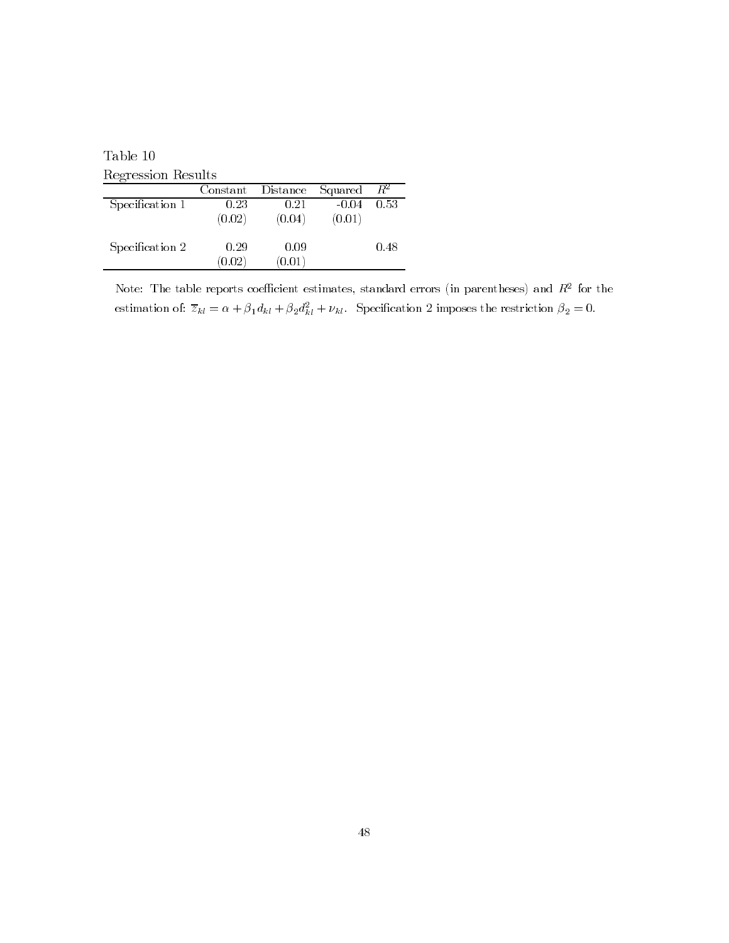Table  $10$ Regression Results

| Constant |                      |                                 | $R^2$   |
|----------|----------------------|---------------------------------|---------|
| 0.23     | 0.21                 | $-0.04$                         | 0.53    |
| (0.02)   | (0.04)               | (0.01)                          |         |
|          |                      |                                 |         |
| 0.29     | 0.09                 |                                 | 0.48    |
|          |                      |                                 |         |
|          | $\left( 0.02\right)$ | Distance<br>$\left(0.01\right)$ | Squared |

Note: The table reports coefficient estimates, standard errors (in parentheses) and  $R^2$  for the estimation of:  $\overline{z}_{kl} = \alpha + \beta_1 d_{kl} + \beta_2 d_{kl}^2 + \nu_{kl}$ . Specification 2 imposes the restriction  $\beta_2 = 0$ .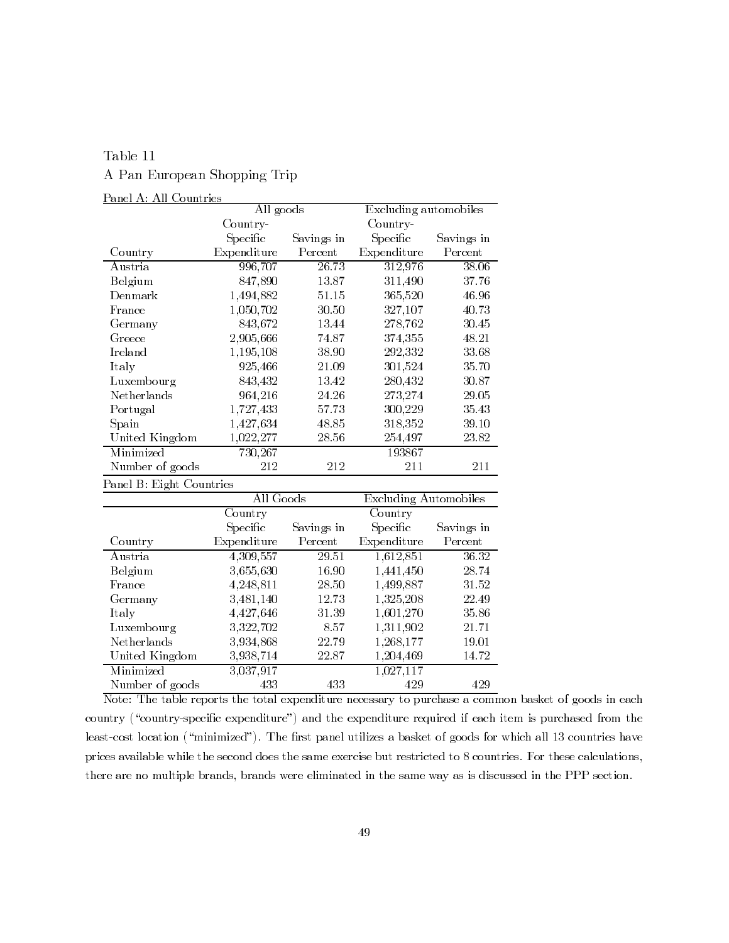## Table 11 A Pan European Shopping Trip

### Panel A: All Countries

|                 | All goods        |            | Excluding automobiles |            |  |
|-----------------|------------------|------------|-----------------------|------------|--|
|                 | Country-         |            | Country-              |            |  |
|                 | ${\rm Specific}$ | Savings in | Specific              | Savings in |  |
| Country         | Expenditure      | Percent    | Expenditure           | Percent    |  |
| Austria         | 996,707          | 26.73      | 312,976               | 38.06      |  |
| Belgium         | 847,890          | 13.87      | 311,490               | 37.76      |  |
| Denmark         | 1,494,882        | 51.15      | 365,520               | 46.96      |  |
| France          | 1,050,702        | 30.50      | 327,107               | 40.73      |  |
| Germany         | 843,672          | 13.44      | 278,762               | 30.45      |  |
| Greece          | 2,905,666        | 74.87      | 374,355               | 48.21      |  |
| Ireland         | 1,195,108        | 38.90      | 292,332               | 33.68      |  |
| Italy           | 925,466          | 21.09      | 301,524               | 35.70      |  |
| Luxembourg      | 843,432          | 13.42      | 280,432               | 30.87      |  |
| Netherlands     | 964,216          | 24.26      | 273,274               | 29.05      |  |
| Portugal        | 1,727,433        | 57.73      | 300,229               | 35.43      |  |
| Spain           | 1,427,634        | 48.85      | 318,352               | 39.10      |  |
| United Kingdom  | 1,022,277        | 28.56      | 254,497               | 23.82      |  |
| Minimized       | 730,267          |            | 193867                |            |  |
| Number of goods | 212              | 212        | 211                   | 211        |  |

Panel B: Eight Countries

|                 | All Goods   |            | <b>Excluding Automobiles</b> |            |  |
|-----------------|-------------|------------|------------------------------|------------|--|
|                 | Country     |            | Country                      |            |  |
|                 | Specific    | Savings in | Specific                     | Savings in |  |
| Country         | Expenditure | Percent    | Expenditure                  | Percent    |  |
| Austria         | 4,309,557   | 29.51      | 1,612,851                    | 36.32      |  |
| Belgium         | 3,655,630   | 16.90      | 1,441,450                    | 28.74      |  |
| France          | 4,248,811   | 28.50      | 1,499,887                    | 31.52      |  |
| Germany         | 3,481,140   | 12.73      | 1,325,208                    | 22.49      |  |
| Italy           | 4,427,646   | 31.39      | 1,601,270                    | 35.86      |  |
| Luxembourg      | 3,322,702   | 8.57       | 1,311,902                    | 21.71      |  |
| Netherlands     | 3,934,868   | 22.79      | 1,268,177                    | 19.01      |  |
| United Kingdom  | 3,938,714   | 22.87      | 1,204,469                    | 14.72      |  |
| Minimized       | 3,037,917   |            | 1,027,117                    |            |  |
| Number of goods | 433         | 433        | 429                          | 429        |  |

Note: The table reports the total expenditure necessary to purchase a common basket of goods in each country ("country-specific expenditure") and the expenditure required if each item is purchased from the least-cost location ("minimized"). The first panel utilizes a basket of goods for which all 13 countries have prices available while the second does the same exercise but restricted to 8 countries. For these calculations, there are no multiple brands, brands were eliminated in the same way as is discussed in the PPP section.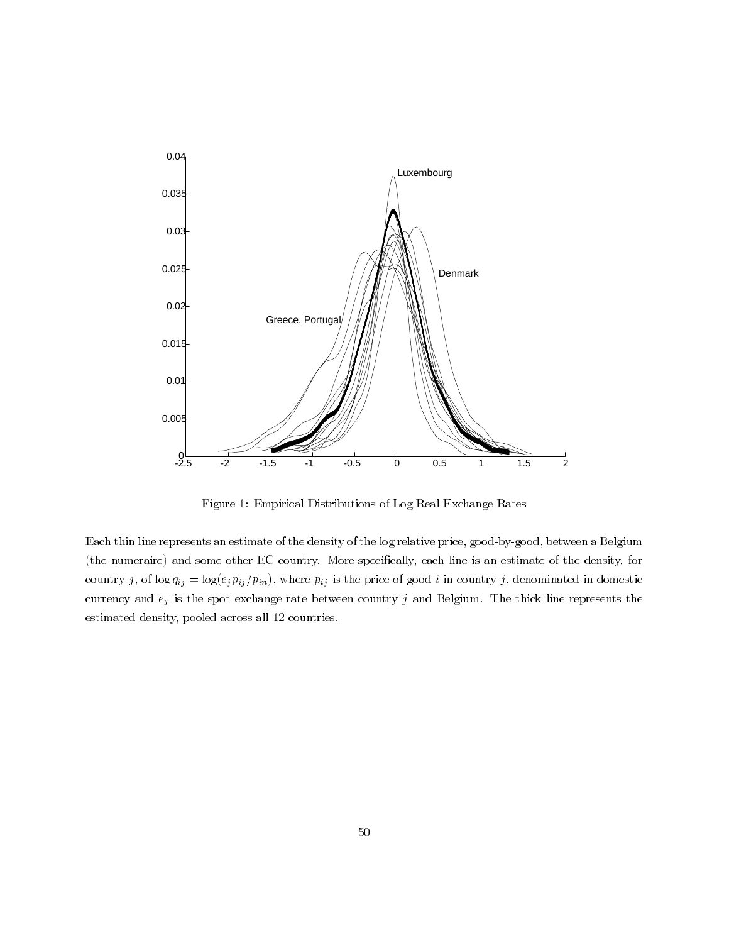

Figure 1: Empirical Distributions of Log Real Exchange Rates

Each thin line represents an estimate of the density of the log relative price, good-by-good, between a Belgium (the numeraire) and some other EC country. More specifically, each line is an estimate of the density, for country j, of  $\log q_{ij} = \log(e_j p_{ij}/p_{in})$ , where  $p_{ij}$  is the price of good i in country j, denominated in domestic currency and  $e_j$  is the spot exchange rate between country  $j$  and Belgium. The thick line represents the estimated density, pooled across all 12 countries.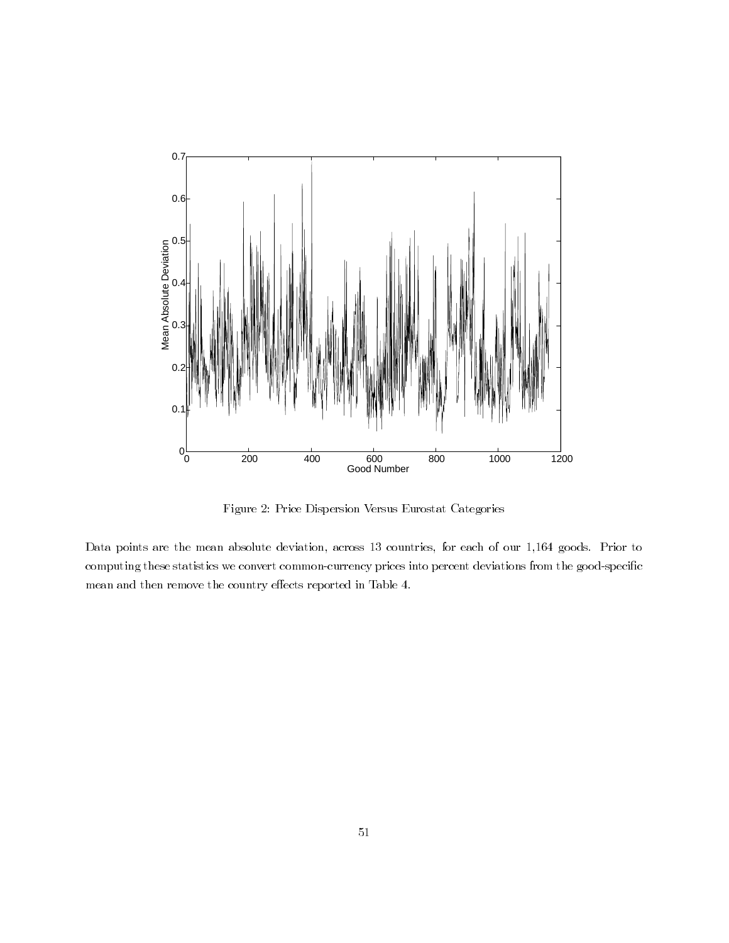

Figure 2: Price Dispersion Versus Eurostat Categories

Data points are the mean absolute deviation, across 13 countries, for each of our 1,164 goods. Prior to computing these statistics we convert common-currency prices into percent deviations from the good-specific mean and then remove the country effects reported in Table 4.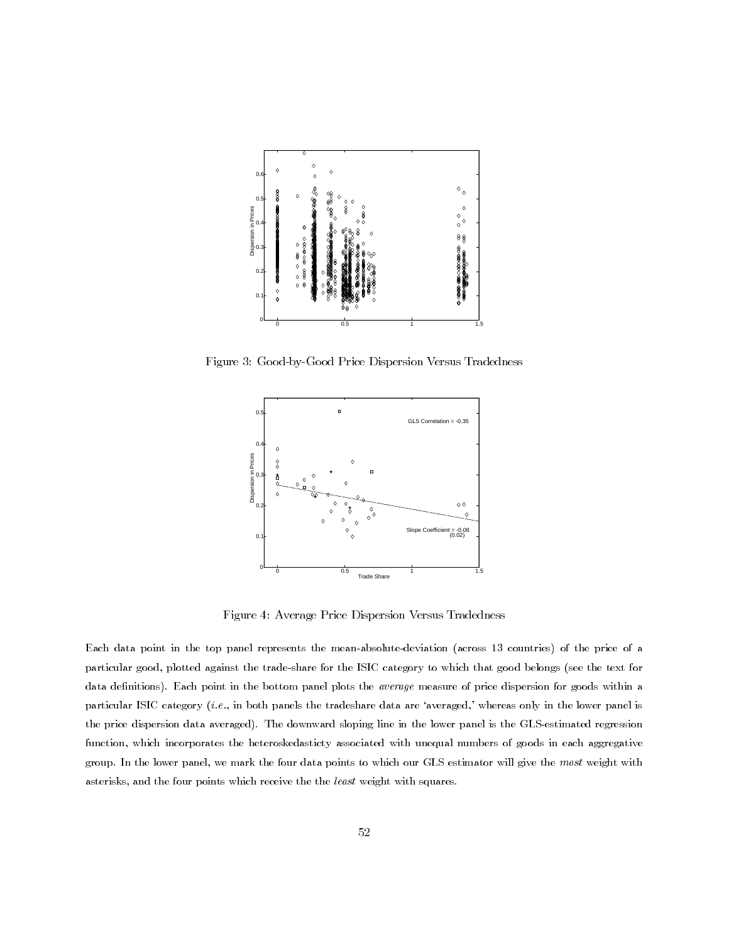

Figure 3: Good-by-Good Price Dispersion Versus Tradedness



Figure 4: Average Price Dispersion Versus Tradedness

Each data point in the top panel represents the mean-absolute-deviation (across 13 countries) of the price of a particular good, plotted against the trade-share for the ISIC category to which that good belongs (see the text for data definitions). Each point in the bottom panel plots the average measure of price dispersion for goods within a particular ISIC category (*i.e.*, in both panels the tradeshare data are 'averaged,' whereas only in the lower panel is the price dispersion data averaged). The downward sloping line in the lower panel is the GLS-estimated regression function, which incorporates the heteroskedasticty associated with unequal numbers of goods in each aggregative group. In the lower panel, we mark the four data points to which our GLS estimator will give the most weight with asterisks, and the four points which receive the the least weight with squares.